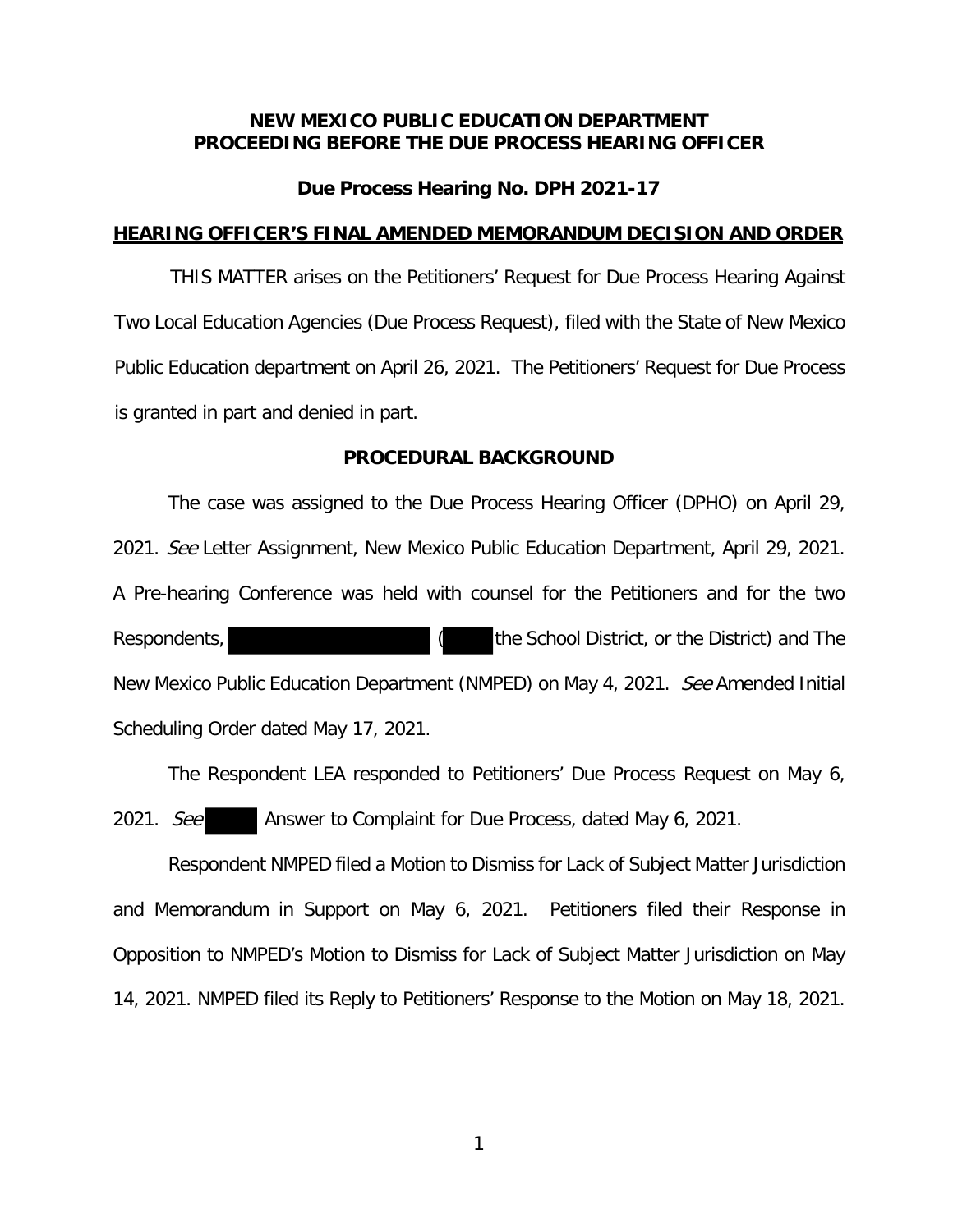# **NEW MEXICO PUBLIC EDUCATION DEPARTMENT PROCEEDING BEFORE THE DUE PROCESS HEARING OFFICER**

## **Due Process Hearing No. DPH 2021-17**

### **HEARING OFFICER'S FINAL AMENDED MEMORANDUM DECISION AND ORDER**

THIS MATTER arises on the Petitioners' Request for Due Process Hearing Against Two Local Education Agencies (Due Process Request), filed with the State of New Mexico Public Education department on April 26, 2021. The Petitioners' Request for Due Process is granted in part and denied in part.

## **PROCEDURAL BACKGROUND**

 The case was assigned to the Due Process Hearing Officer (DPHO) on April 29, 2021. See Letter Assignment, New Mexico Public Education Department, April 29, 2021. A Pre-hearing Conference was held with counsel for the Petitioners and for the two Respondents, Respondents, Respondents, Respondents, Respondents, Respondents, Respondents, Respondents, Respondents, Respondents, Respondents, Respondents, Respondents, Respondents, Respondents, Respondents, Respondents, R New Mexico Public Education Department (NMPED) on May 4, 2021. See Amended Initial Scheduling Order dated May 17, 2021.

 The Respondent LEA responded to Petitioners' Due Process Request on May 6, 2021. See Answer to Complaint for Due Process, dated May 6, 2021.

 Respondent NMPED filed a Motion to Dismiss for Lack of Subject Matter Jurisdiction and Memorandum in Support on May 6, 2021. Petitioners filed their Response in Opposition to NMPED's Motion to Dismiss for Lack of Subject Matter Jurisdiction on May 14, 2021. NMPED filed its Reply to Petitioners' Response to the Motion on May 18, 2021.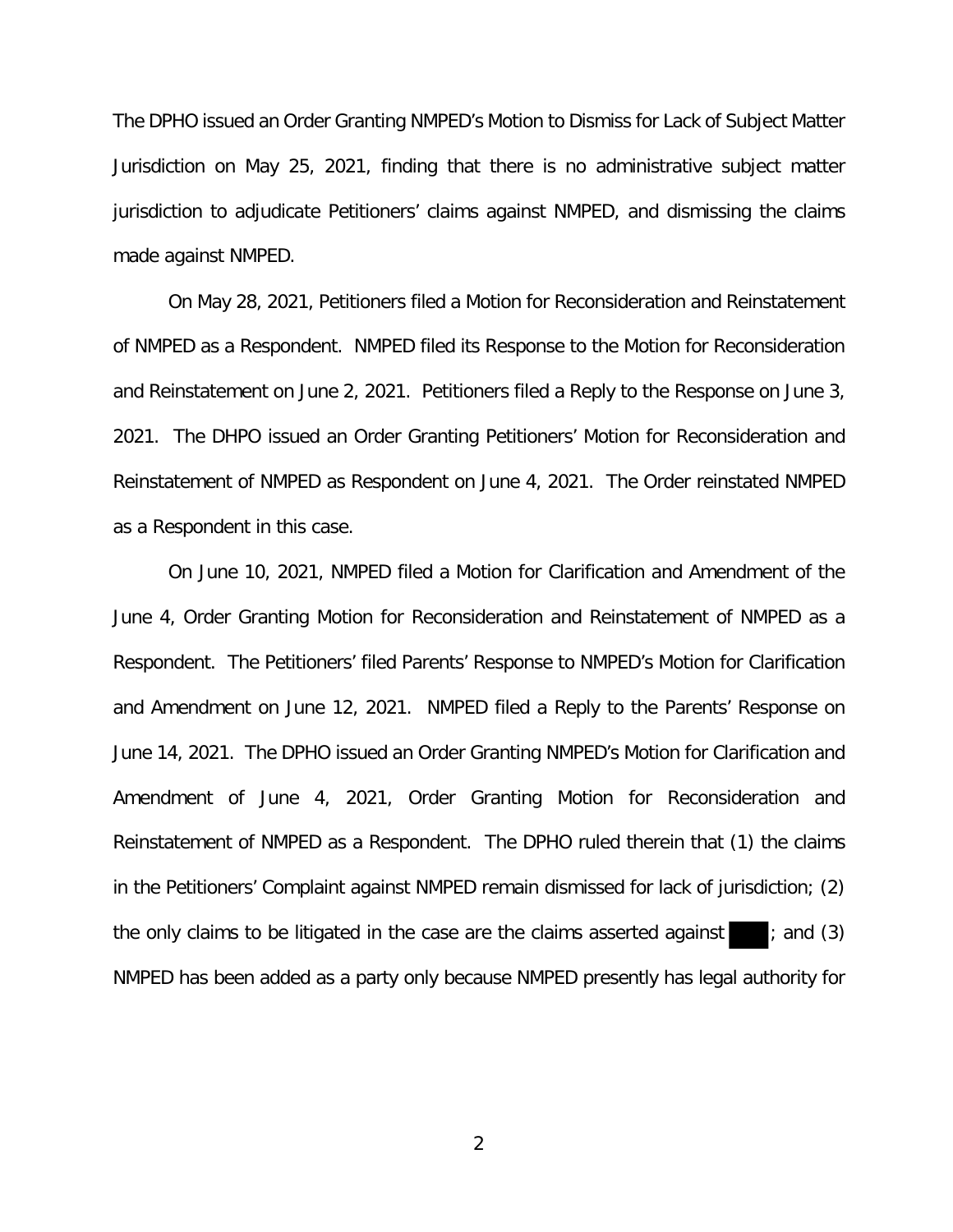The DPHO issued an Order Granting NMPED's Motion to Dismiss for Lack of Subject Matter Jurisdiction on May 25, 2021, finding that there is no administrative subject matter jurisdiction to adjudicate Petitioners' claims against NMPED, and dismissing the claims made against NMPED.

 On May 28, 2021, Petitioners filed a Motion for Reconsideration and Reinstatement of NMPED as a Respondent. NMPED filed its Response to the Motion for Reconsideration and Reinstatement on June 2, 2021. Petitioners filed a Reply to the Response on June 3, 2021. The DHPO issued an Order Granting Petitioners' Motion for Reconsideration and Reinstatement of NMPED as Respondent on June 4, 2021. The Order reinstated NMPED as a Respondent in this case.

 On June 10, 2021, NMPED filed a Motion for Clarification and Amendment of the June 4, Order Granting Motion for Reconsideration and Reinstatement of NMPED as a Respondent. The Petitioners' filed Parents' Response to NMPED's Motion for Clarification and Amendment on June 12, 2021. NMPED filed a Reply to the Parents' Response on June 14, 2021. The DPHO issued an Order Granting NMPED's Motion for Clarification and Amendment of June 4, 2021, Order Granting Motion for Reconsideration and Reinstatement of NMPED as a Respondent. The DPHO ruled therein that (1) the claims in the Petitioners' Complaint against NMPED remain dismissed for lack of jurisdiction; (2) the only claims to be litigated in the case are the claims asserted against  $\Box$ ; and (3) NMPED has been added as a party only because NMPED presently has legal authority for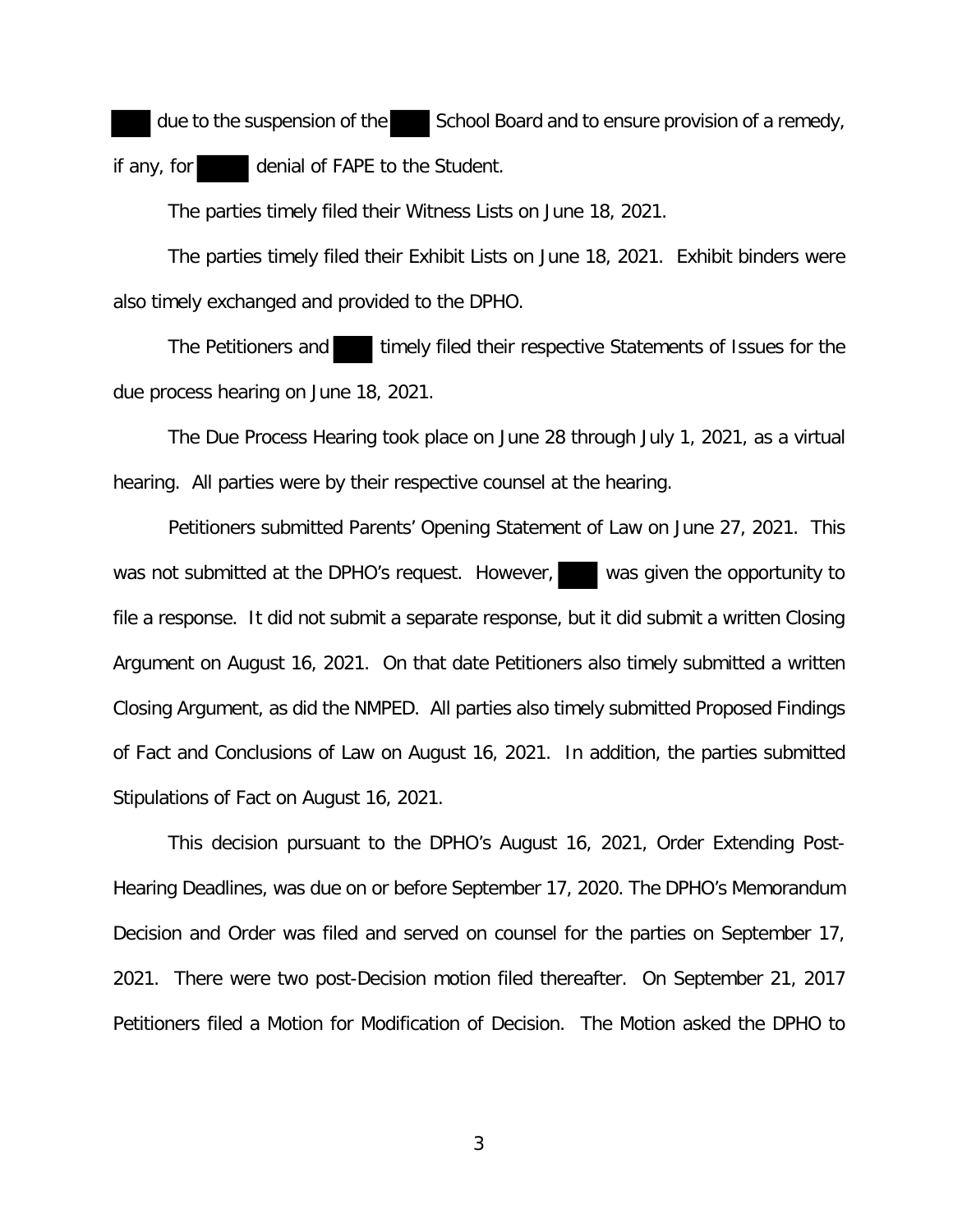due to the suspension of the  $\blacksquare$  School Board and to ensure provision of a remedy, if any, for denial of FAPE to the Student.

The parties timely filed their Witness Lists on June 18, 2021.

 The parties timely filed their Exhibit Lists on June 18, 2021. Exhibit binders were also timely exchanged and provided to the DPHO.

The Petitioners and timely filed their respective Statements of Issues for the due process hearing on June 18, 2021.

 The Due Process Hearing took place on June 28 through July 1, 2021, as a virtual hearing. All parties were by their respective counsel at the hearing.

 Petitioners submitted Parents' Opening Statement of Law on June 27, 2021. This was not submitted at the DPHO's request. However, was given the opportunity to file a response. It did not submit a separate response, but it did submit a written Closing Argument on August 16, 2021. On that date Petitioners also timely submitted a written Closing Argument, as did the NMPED. All parties also timely submitted Proposed Findings of Fact and Conclusions of Law on August 16, 2021. In addition, the parties submitted Stipulations of Fact on August 16, 2021.

 This decision pursuant to the DPHO's August 16, 2021, Order Extending Post-Hearing Deadlines, was due on or before September 17, 2020. The DPHO's Memorandum Decision and Order was filed and served on counsel for the parties on September 17, 2021. There were two post-Decision motion filed thereafter. On September 21, 2017 Petitioners filed a Motion for Modification of Decision. The Motion asked the DPHO to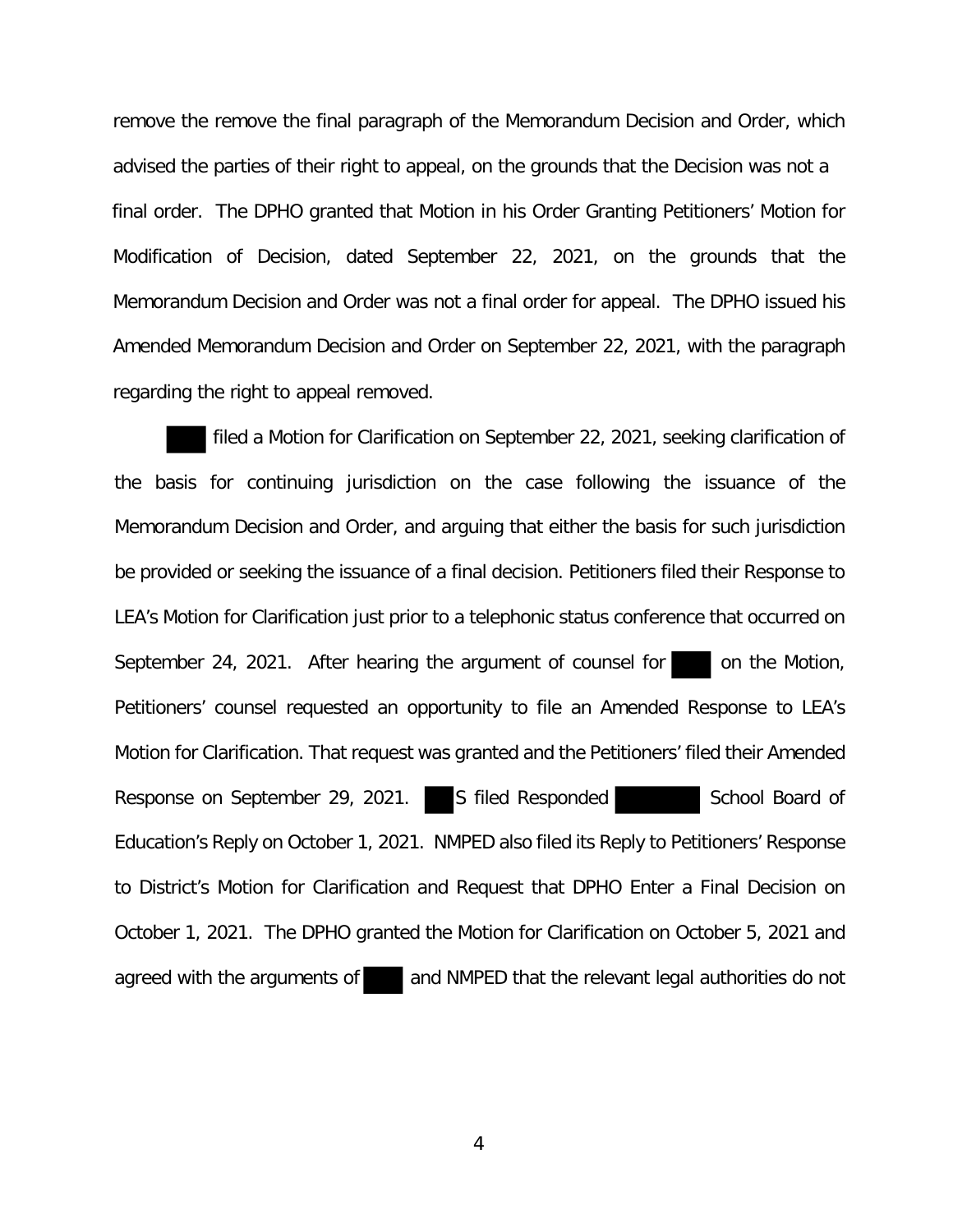remove the remove the final paragraph of the Memorandum Decision and Order, which advised the parties of their right to appeal, on the grounds that the Decision was not a final order. The DPHO granted that Motion in his Order Granting Petitioners' Motion for Modification of Decision, dated September 22, 2021, on the grounds that the Memorandum Decision and Order was not a final order for appeal. The DPHO issued his Amended Memorandum Decision and Order on September 22, 2021, with the paragraph regarding the right to appeal removed.

 filed a Motion for Clarification on September 22, 2021, seeking clarification of the basis for continuing jurisdiction on the case following the issuance of the Memorandum Decision and Order, and arguing that either the basis for such jurisdiction be provided or seeking the issuance of a final decision. Petitioners filed their Response to LEA's Motion for Clarification just prior to a telephonic status conference that occurred on September 24, 2021. After hearing the argument of counsel for on the Motion, Petitioners' counsel requested an opportunity to file an Amended Response to LEA's Motion for Clarification. That request was granted and the Petitioners' filed their Amended Response on September 29, 2021. S filed Responded School Board of Education's Reply on October 1, 2021. NMPED also filed its Reply to Petitioners' Response to District's Motion for Clarification and Request that DPHO Enter a Final Decision on October 1, 2021. The DPHO granted the Motion for Clarification on October 5, 2021 and agreed with the arguments of and NMPED that the relevant legal authorities do not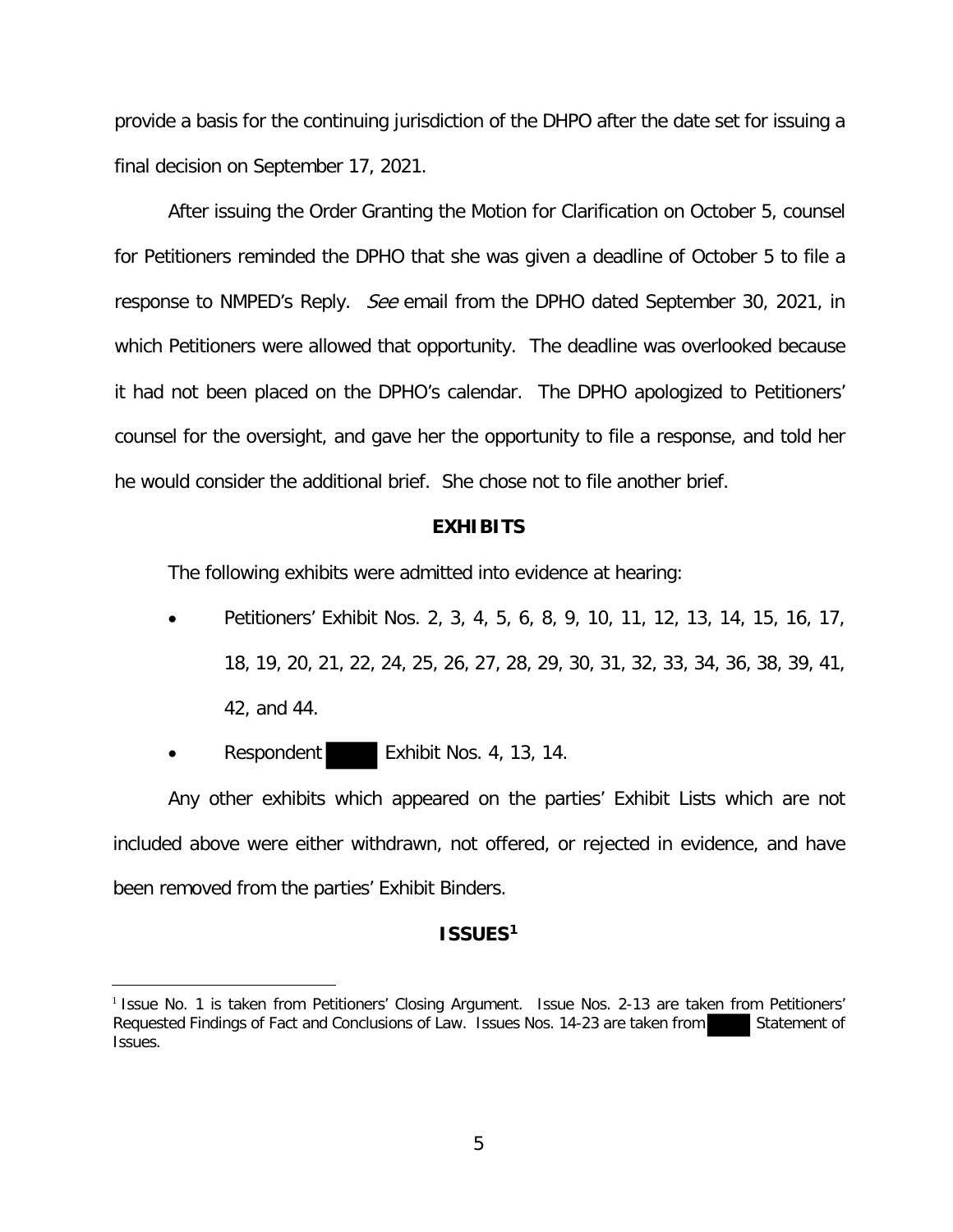provide a basis for the continuing jurisdiction of the DHPO after the date set for issuing a final decision on September 17, 2021.

 After issuing the Order Granting the Motion for Clarification on October 5, counsel for Petitioners reminded the DPHO that she was given a deadline of October 5 to file a response to NMPED's Reply. See email from the DPHO dated September 30, 2021, in which Petitioners were allowed that opportunity. The deadline was overlooked because it had not been placed on the DPHO's calendar. The DPHO apologized to Petitioners' counsel for the oversight, and gave her the opportunity to file a response, and told her he would consider the additional brief. She chose not to file another brief.

#### **EXHIBITS**

The following exhibits were admitted into evidence at hearing:

- Petitioners' Exhibit Nos. 2, 3, 4, 5, 6, 8, 9, 10, 11, 12, 13, 14, 15, 16, 17, 18, 19, 20, 21, 22, 24, 25, 26, 27, 28, 29, 30, 31, 32, 33, 34, 36, 38, 39, 41, 42, and 44.
- Respondent Exhibit Nos. 4, 13, 14.

Any other exhibits which appeared on the parties' Exhibit Lists which are not included above were either withdrawn, not offered, or rejected in evidence, and have been removed from the parties' Exhibit Binders.

### **ISSUES1**

<sup>&</sup>lt;sup>1</sup> Issue No. 1 is taken from Petitioners' Closing Argument. Issue Nos. 2-13 are taken from Petitioners' Requested Findings of Fact and Conclusions of Law. Issues Nos. 14-23 are taken from Statement of Issues.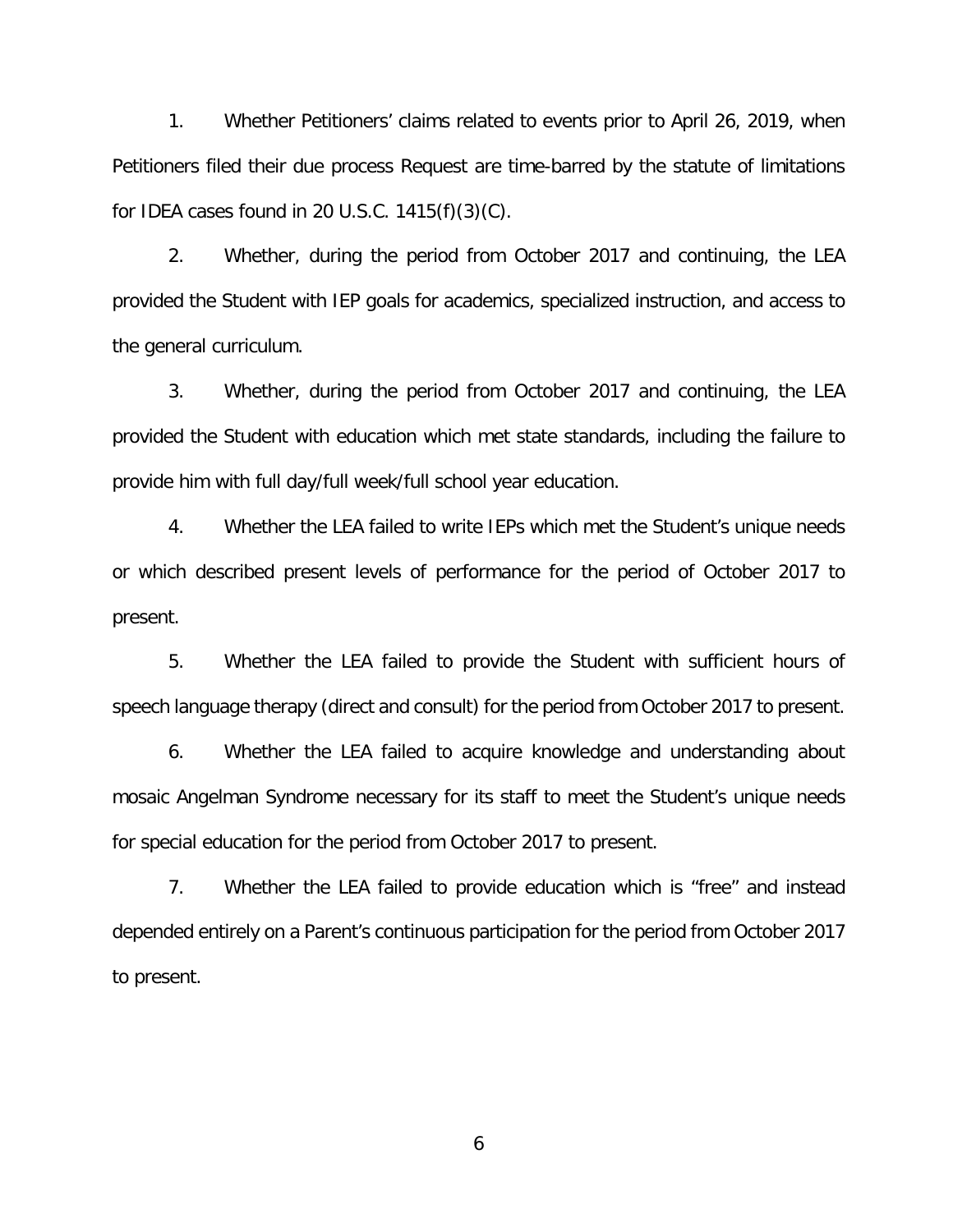1. Whether Petitioners' claims related to events prior to April 26, 2019, when Petitioners filed their due process Request are time-barred by the statute of limitations for IDEA cases found in 20 U.S.C.  $1415(f)(3)(C)$ .

2. Whether, during the period from October 2017 and continuing, the LEA provided the Student with IEP goals for academics, specialized instruction, and access to the general curriculum.

3. Whether, during the period from October 2017 and continuing, the LEA provided the Student with education which met state standards, including the failure to provide him with full day/full week/full school year education.

4. Whether the LEA failed to write IEPs which met the Student's unique needs or which described present levels of performance for the period of October 2017 to present.

5. Whether the LEA failed to provide the Student with sufficient hours of speech language therapy (direct and consult) for the period from October 2017 to present.

6. Whether the LEA failed to acquire knowledge and understanding about mosaic Angelman Syndrome necessary for its staff to meet the Student's unique needs for special education for the period from October 2017 to present.

7. Whether the LEA failed to provide education which is "free" and instead depended entirely on a Parent's continuous participation for the period from October 2017 to present.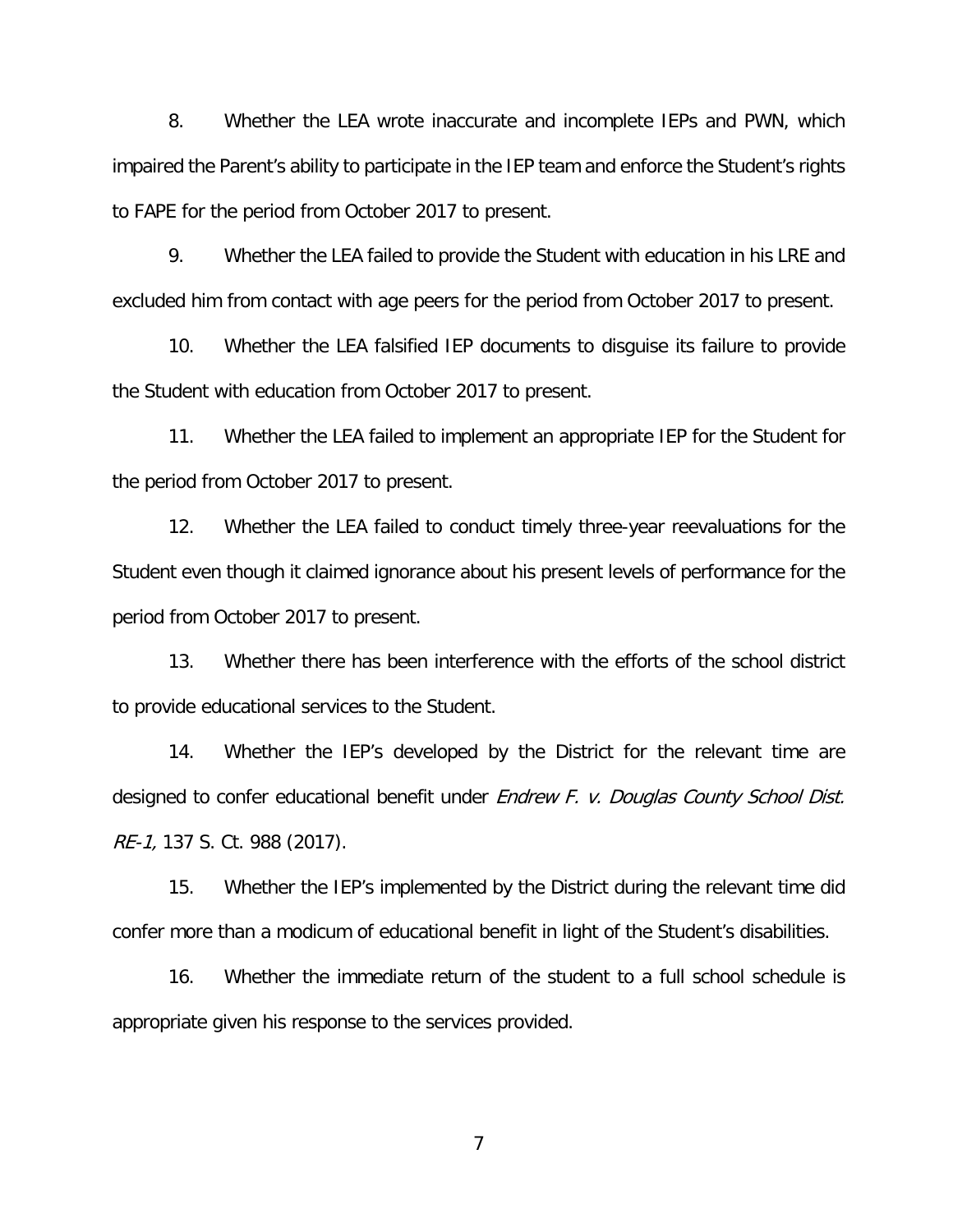8. Whether the LEA wrote inaccurate and incomplete IEPs and PWN, which impaired the Parent's ability to participate in the IEP team and enforce the Student's rights to FAPE for the period from October 2017 to present.

9. Whether the LEA failed to provide the Student with education in his LRE and excluded him from contact with age peers for the period from October 2017 to present.

10. Whether the LEA falsified IEP documents to disguise its failure to provide the Student with education from October 2017 to present.

11. Whether the LEA failed to implement an appropriate IEP for the Student for the period from October 2017 to present.

12. Whether the LEA failed to conduct timely three-year reevaluations for the Student even though it claimed ignorance about his present levels of performance for the period from October 2017 to present.

13. Whether there has been interference with the efforts of the school district to provide educational services to the Student.

14. Whether the IEP's developed by the District for the relevant time are designed to confer educational benefit under Endrew F. v. Douglas County School Dist. RE-1, 137 S. Ct. 988 (2017).

15. Whether the IEP's implemented by the District during the relevant time did confer more than a modicum of educational benefit in light of the Student's disabilities.

16. Whether the immediate return of the student to a full school schedule is appropriate given his response to the services provided.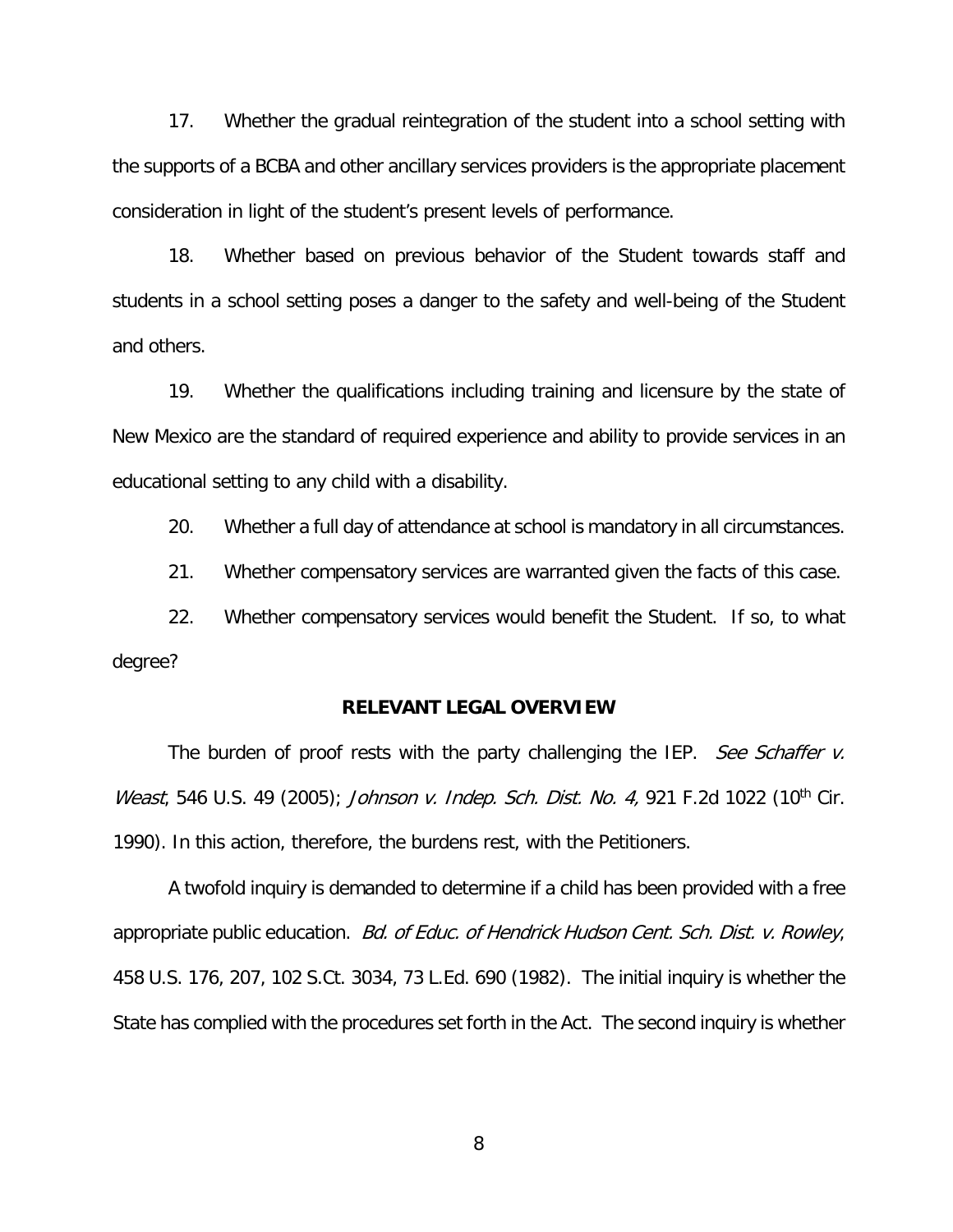17. Whether the gradual reintegration of the student into a school setting with the supports of a BCBA and other ancillary services providers is the appropriate placement consideration in light of the student's present levels of performance.

18. Whether based on previous behavior of the Student towards staff and students in a school setting poses a danger to the safety and well-being of the Student and others.

19. Whether the qualifications including training and licensure by the state of New Mexico are the standard of required experience and ability to provide services in an educational setting to any child with a disability.

20. Whether a full day of attendance at school is mandatory in all circumstances.

21. Whether compensatory services are warranted given the facts of this case.

22. Whether compensatory services would benefit the Student. If so, to what degree?

#### **RELEVANT LEGAL OVERVIEW**

The burden of proof rests with the party challenging the IEP. See Schaffer v. Weast, 546 U.S. 49 (2005); Johnson v. Indep. Sch. Dist. No. 4, 921 F.2d 1022 (10<sup>th</sup> Cir. 1990). In this action, therefore, the burdens rest, with the Petitioners.

 A twofold inquiry is demanded to determine if a child has been provided with a free appropriate public education. Bd. of Educ. of Hendrick Hudson Cent. Sch. Dist. v. Rowley, 458 U.S. 176, 207, 102 S.Ct. 3034, 73 L.Ed. 690 (1982). The initial inquiry is whether the State has complied with the procedures set forth in the Act. The second inquiry is whether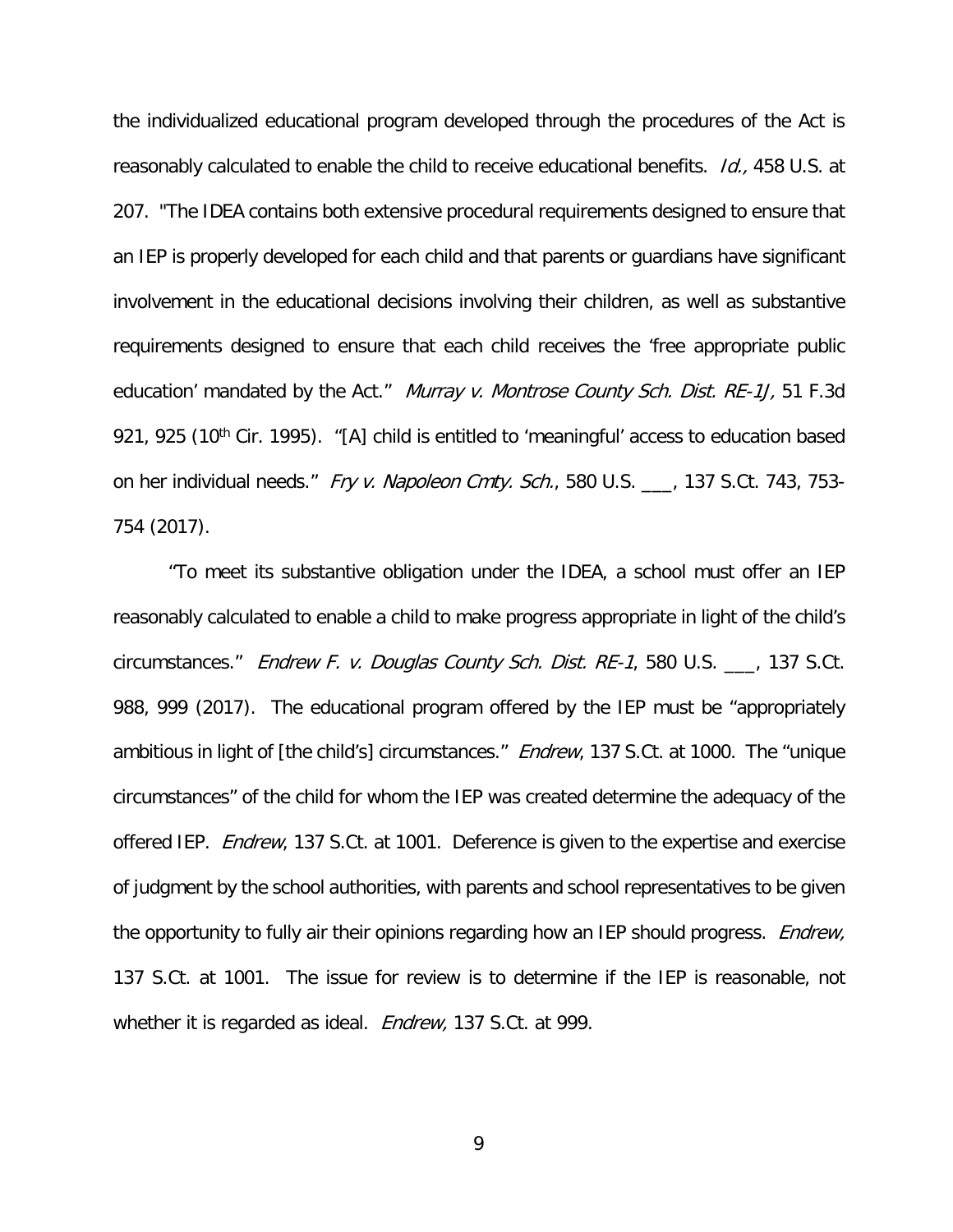the individualized educational program developed through the procedures of the Act is reasonably calculated to enable the child to receive educational benefits. *Id.*, 458 U.S. at 207. "The IDEA contains both extensive procedural requirements designed to ensure that an IEP is properly developed for each child and that parents or guardians have significant involvement in the educational decisions involving their children, as well as substantive requirements designed to ensure that each child receives the 'free appropriate public education' mandated by the Act." Murray v. Montrose County Sch. Dist. RE-1J, 51 F.3d 921, 925 (10<sup>th</sup> Cir. 1995). "[A] child is entitled to 'meaningful' access to education based on her individual needs." Fry v. Napoleon Cmty. Sch., 580 U.S. \_\_\_, 137 S.Ct. 743, 753-754 (2017).

 "To meet its substantive obligation under the IDEA, a school must offer an IEP reasonably calculated to enable a child to make progress appropriate in light of the child's circumstances." Endrew F. v. Douglas County Sch. Dist. RE-1, 580 U.S. \_\_\_, 137 S.Ct. 988, 999 (2017). The educational program offered by the IEP must be "appropriately ambitious in light of [the child's] circumstances." *Endrew*, 137 S.Ct. at 1000. The "unique circumstances" of the child for whom the IEP was created determine the adequacy of the offered IEP. *Endrew*, 137 S.Ct. at 1001. Deference is given to the expertise and exercise of judgment by the school authorities, with parents and school representatives to be given the opportunity to fully air their opinions regarding how an IEP should progress. *Endrew*, 137 S.Ct. at 1001. The issue for review is to determine if the IEP is reasonable, not whether it is regarded as ideal. *Endrew*, 137 S.Ct. at 999.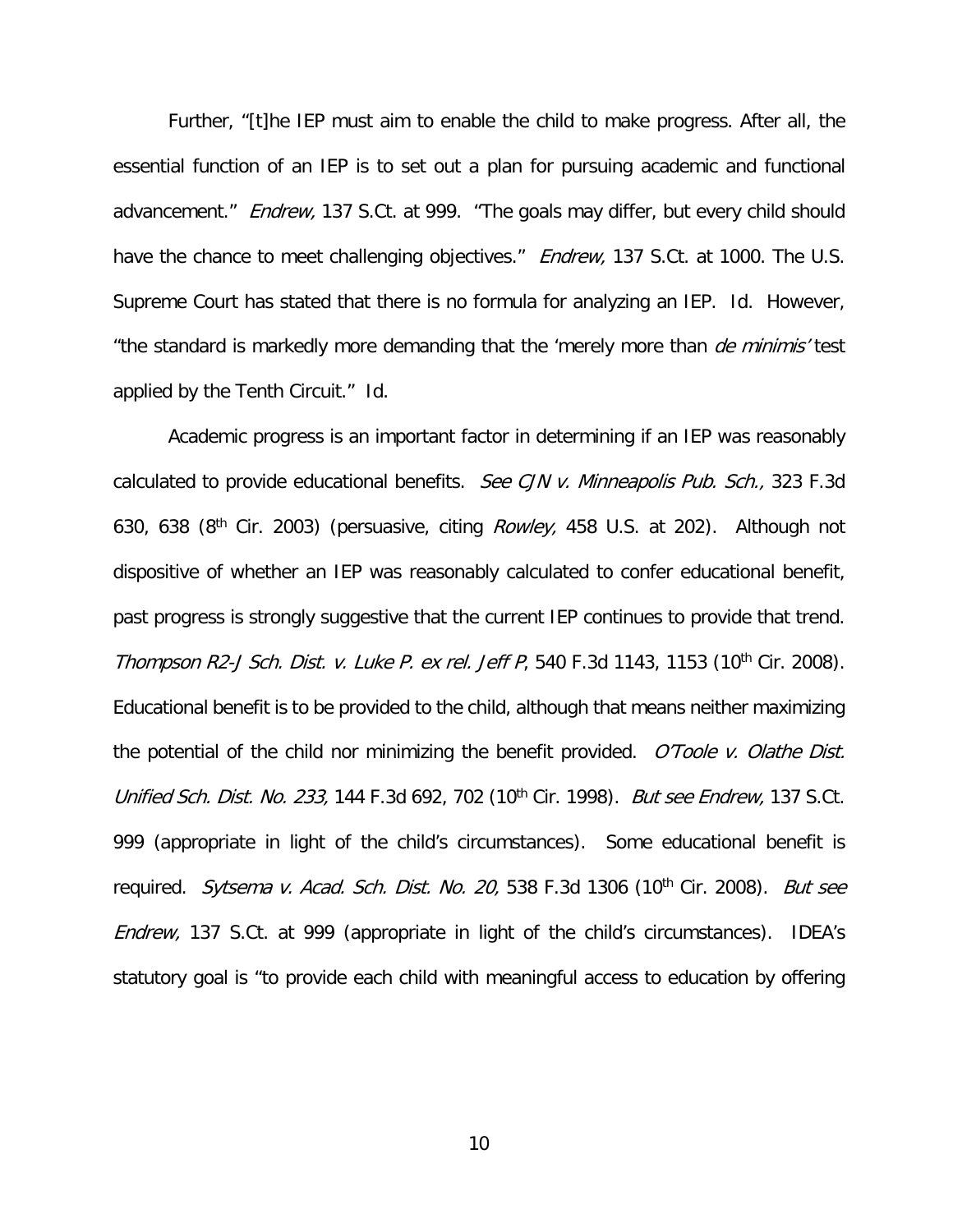Further, "[t]he IEP must aim to enable the child to make progress. After all, the essential function of an IEP is to set out a plan for pursuing academic and functional advancement." Endrew, 137 S.Ct. at 999. "The goals may differ, but every child should have the chance to meet challenging objectives." *Endrew*, 137 S.Ct. at 1000. The U.S. Supreme Court has stated that there is no formula for analyzing an IEP. Id. However, "the standard is markedly more demanding that the 'merely more than *de minimis'* test applied by the Tenth Circuit." Id.

 Academic progress is an important factor in determining if an IEP was reasonably calculated to provide educational benefits. See CJN v. Minneapolis Pub. Sch., 323 F.3d 630, 638 (8<sup>th</sup> Cir. 2003) (persuasive, citing *Rowley*, 458 U.S. at 202). Although not dispositive of whether an IEP was reasonably calculated to confer educational benefit, past progress is strongly suggestive that the current IEP continues to provide that trend. Thompson R2-J Sch. Dist. v. Luke P. ex rel. Jeff P, 540 F.3d 1143, 1153 (10<sup>th</sup> Cir. 2008). Educational benefit is to be provided to the child, although that means neither maximizing the potential of the child nor minimizing the benefit provided.  $O'Toole$  v. Olathe Dist. Unified Sch. Dist. No. 233, 144 F.3d 692, 702 (10<sup>th</sup> Cir. 1998). But see Endrew, 137 S.Ct. 999 (appropriate in light of the child's circumstances). Some educational benefit is required. Sytsema v. Acad. Sch. Dist. No. 20, 538 F.3d 1306 (10<sup>th</sup> Cir. 2008). But see Endrew, 137 S.Ct. at 999 (appropriate in light of the child's circumstances). IDEA's statutory goal is "to provide each child with meaningful access to education by offering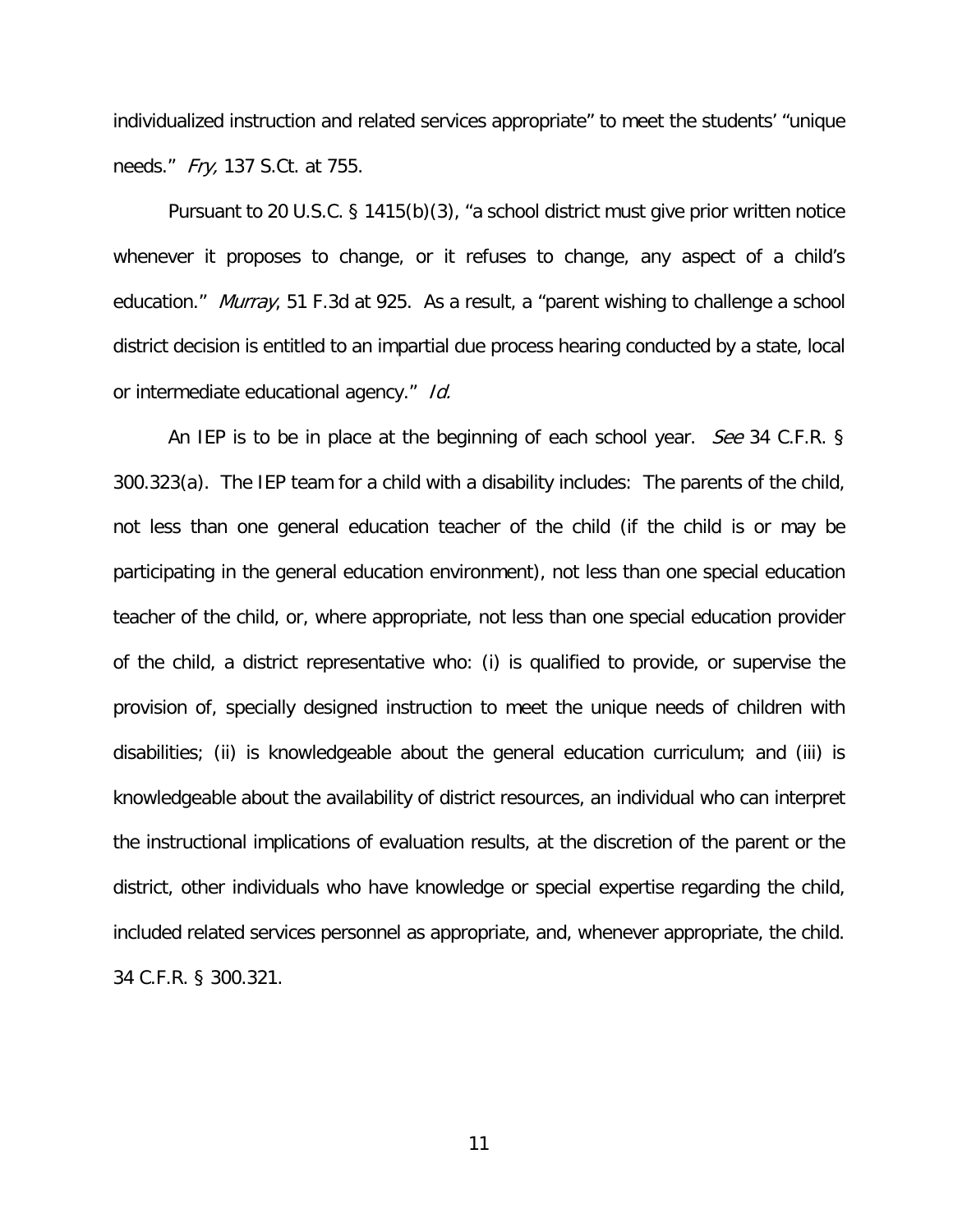individualized instruction and related services appropriate" to meet the students' "unique needs." Fry, 137 S.Ct. at 755.

 Pursuant to 20 U.S.C. § 1415(b)(3), "a school district must give prior written notice whenever it proposes to change, or it refuses to change, any aspect of a child's education." *Murray*, 51 F.3d at 925. As a result, a "parent wishing to challenge a school district decision is entitled to an impartial due process hearing conducted by a state, local or intermediate educational agency." Id.

An IEP is to be in place at the beginning of each school year. *See* 34 C.F.R. § 300.323(a). The IEP team for a child with a disability includes: The parents of the child, not less than one general education teacher of the child (if the child is or may be participating in the general education environment), not less than one special education teacher of the child, or, where appropriate, not less than one special education provider of the child, a district representative who: (i) is qualified to provide, or supervise the provision of, specially designed instruction to meet the unique needs of children with disabilities; (ii) is knowledgeable about the general education curriculum; and (iii) is knowledgeable about the availability of district resources, an individual who can interpret the instructional implications of evaluation results, at the discretion of the parent or the district, other individuals who have knowledge or special expertise regarding the child, included related services personnel as appropriate, and, whenever appropriate, the child. 34 C.F.R. § 300.321.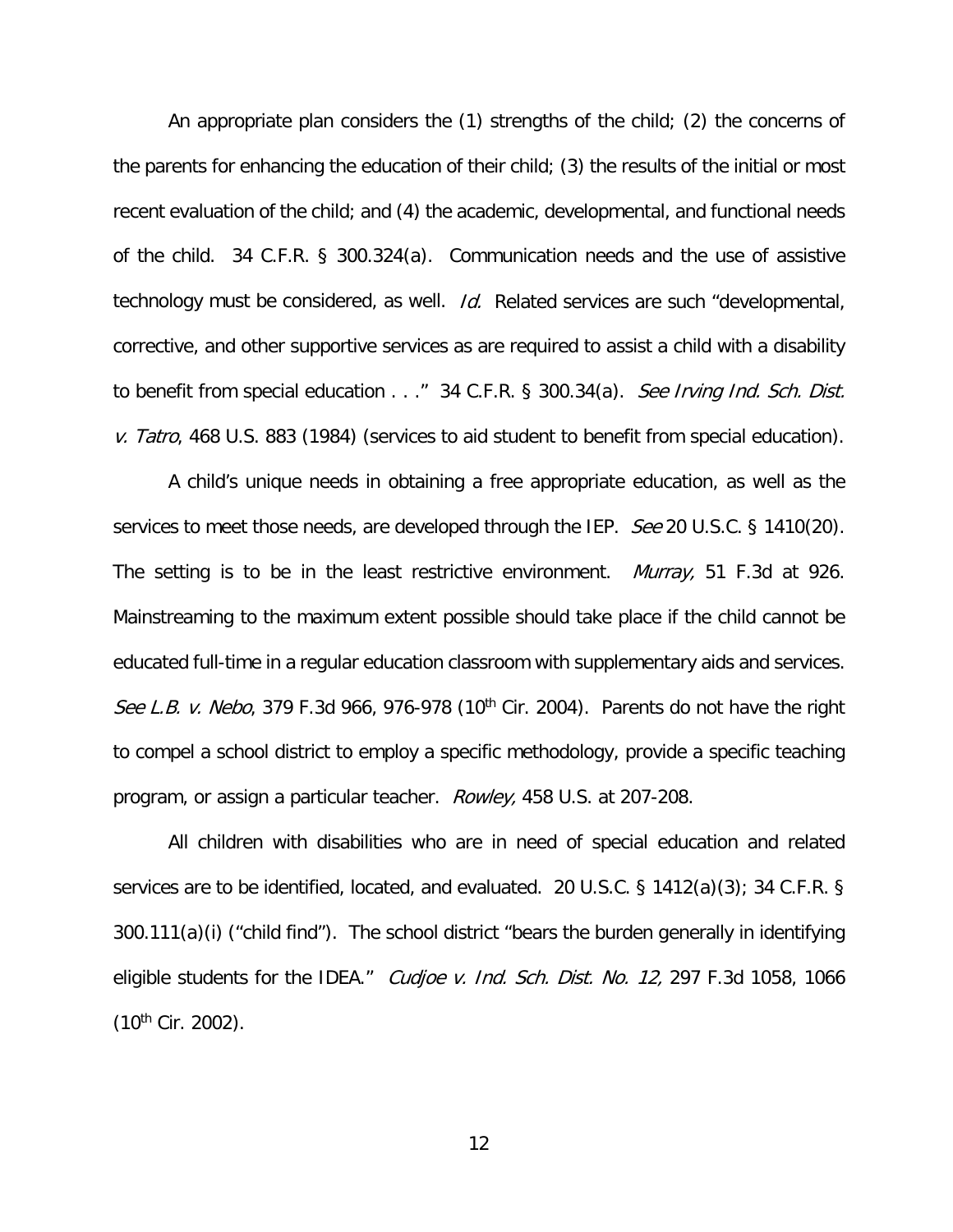An appropriate plan considers the (1) strengths of the child; (2) the concerns of the parents for enhancing the education of their child; (3) the results of the initial or most recent evaluation of the child; and (4) the academic, developmental, and functional needs of the child. 34 C.F.R. § 300.324(a). Communication needs and the use of assistive technology must be considered, as well. *Id.* Related services are such "developmental, corrective, and other supportive services as are required to assist a child with a disability to benefit from special education . . ." 34 C.F.R. § 300.34(a). See Irving Ind. Sch. Dist. v. Tatro, 468 U.S. 883 (1984) (services to aid student to benefit from special education).

 A child's unique needs in obtaining a free appropriate education, as well as the services to meet those needs, are developed through the IEP. See 20 U.S.C. § 1410(20). The setting is to be in the least restrictive environment. *Murray*, 51 F.3d at 926. Mainstreaming to the maximum extent possible should take place if the child cannot be educated full-time in a regular education classroom with supplementary aids and services. See L.B. v. Nebo, 379 F.3d 966, 976-978 (10<sup>th</sup> Cir. 2004). Parents do not have the right to compel a school district to employ a specific methodology, provide a specific teaching program, or assign a particular teacher. Rowley, 458 U.S. at 207-208.

 All children with disabilities who are in need of special education and related services are to be identified, located, and evaluated. 20 U.S.C. § 1412(a)(3); 34 C.F.R. § 300.111(a)(i) ("child find"). The school district "bears the burden generally in identifying eligible students for the IDEA." Cudjoe v. Ind. Sch. Dist. No. 12, 297 F.3d 1058, 1066  $(10^{th}$  Cir. 2002).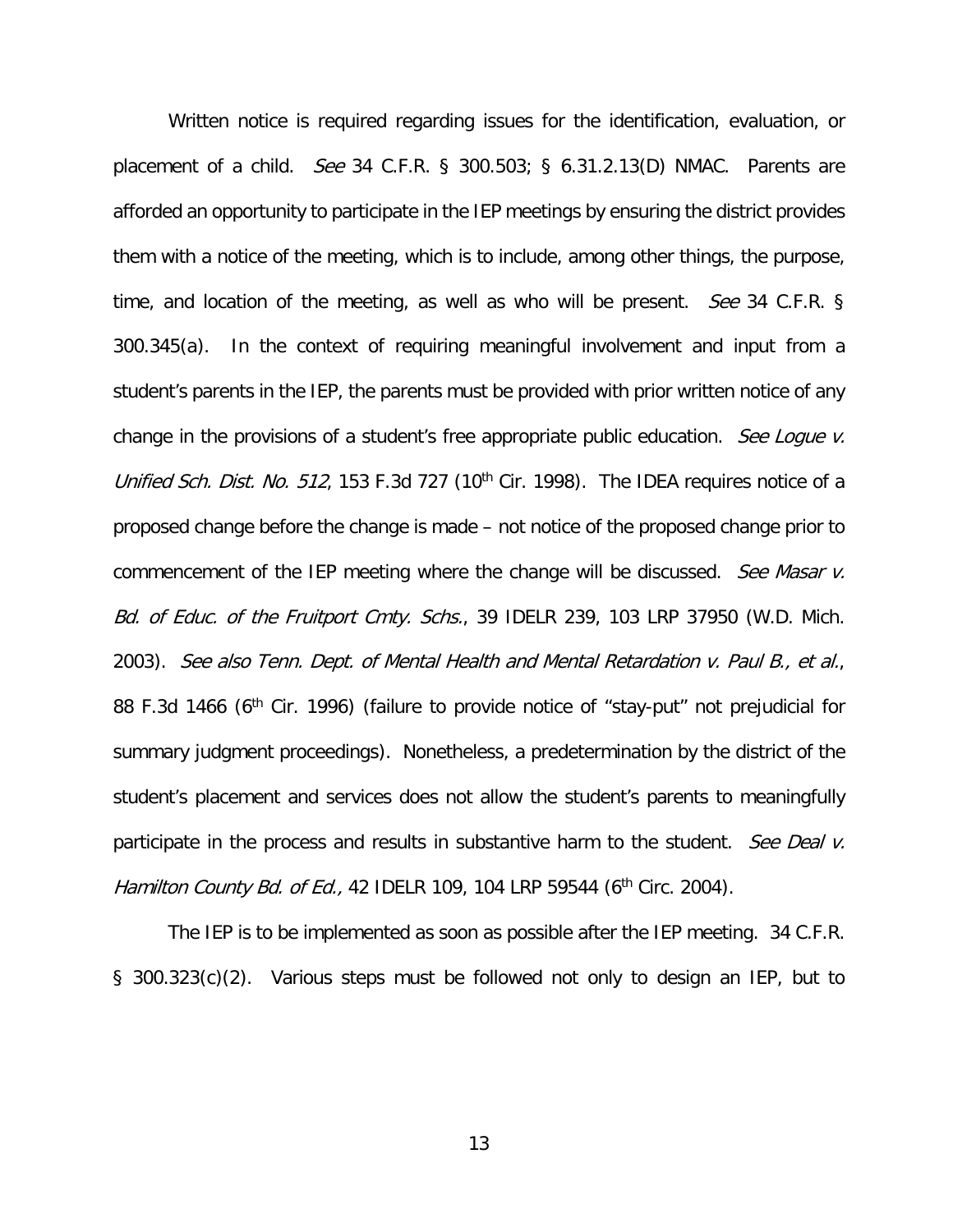Written notice is required regarding issues for the identification, evaluation, or placement of a child. See 34 C.F.R. § 300.503; § 6.31.2.13(D) NMAC. Parents are afforded an opportunity to participate in the IEP meetings by ensuring the district provides them with a notice of the meeting, which is to include, among other things, the purpose, time, and location of the meeting, as well as who will be present. *See* 34 C.F.R. § 300.345(a). In the context of requiring meaningful involvement and input from a student's parents in the IEP, the parents must be provided with prior written notice of any change in the provisions of a student's free appropriate public education. See Loque v. Unified Sch. Dist. No. 512, 153 F.3d 727 (10<sup>th</sup> Cir. 1998). The IDEA requires notice of a proposed change before the change is made – not notice of the proposed change prior to commencement of the IEP meeting where the change will be discussed. See Masar v. Bd. of Educ. of the Fruitport Cmty. Schs., 39 IDELR 239, 103 LRP 37950 (W.D. Mich. 2003). See also Tenn. Dept. of Mental Health and Mental Retardation v. Paul B., et al., 88 F.3d 1466 (6<sup>th</sup> Cir. 1996) (failure to provide notice of "stay-put" not prejudicial for summary judgment proceedings). Nonetheless, a predetermination by the district of the student's placement and services does not allow the student's parents to meaningfully participate in the process and results in substantive harm to the student. See Deal v. Hamilton County Bd. of Ed., 42 IDELR 109, 104 LRP 59544 (6<sup>th</sup> Circ. 2004).

 The IEP is to be implemented as soon as possible after the IEP meeting. 34 C.F.R. § 300.323(c)(2). Various steps must be followed not only to design an IEP, but to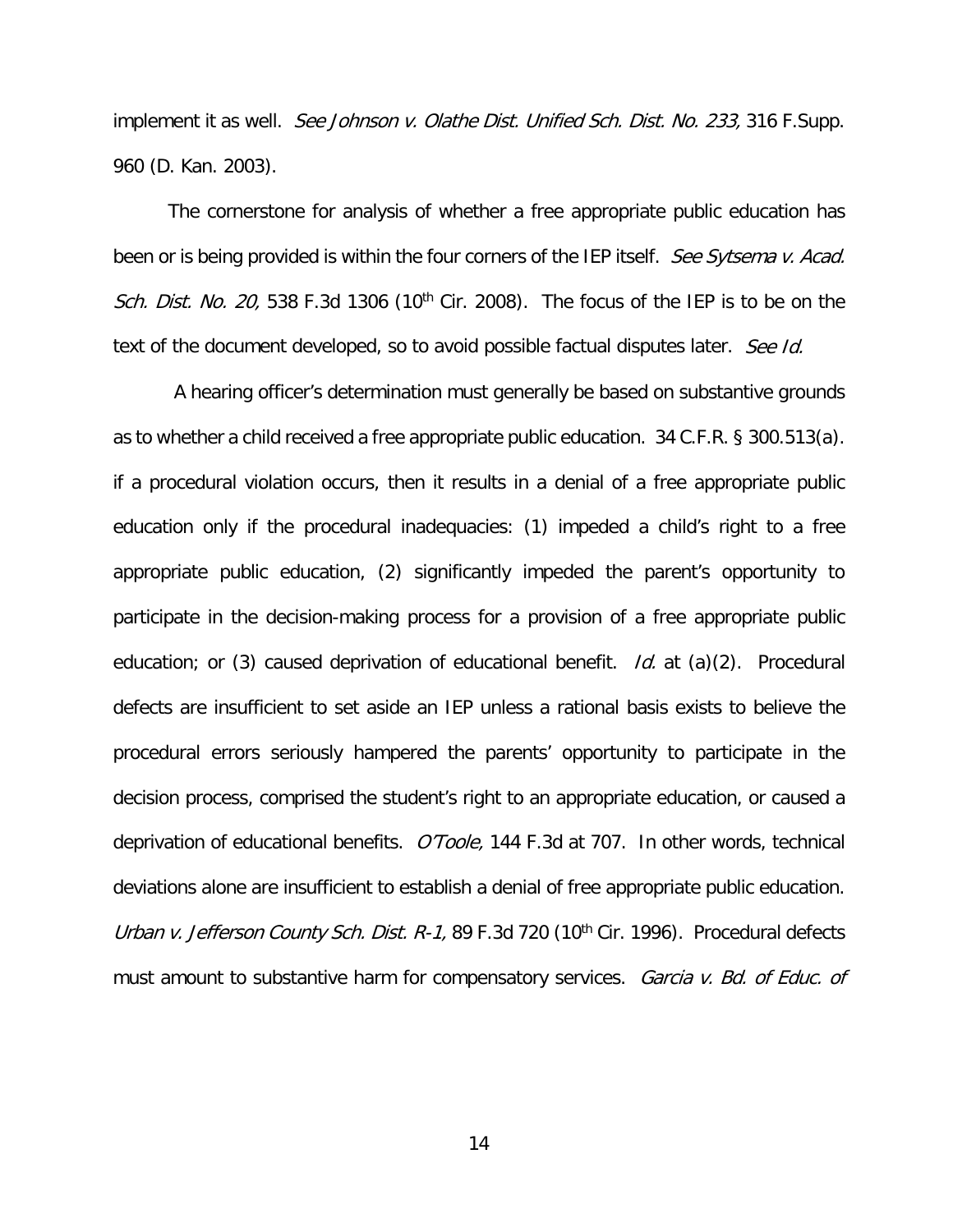implement it as well. See Johnson v. Olathe Dist. Unified Sch. Dist. No. 233, 316 F. Supp. 960 (D. Kan. 2003).

 The cornerstone for analysis of whether a free appropriate public education has been or is being provided is within the four corners of the IEP itself. See Sytsema v. Acad. Sch. Dist. No. 20, 538 F.3d 1306 (10<sup>th</sup> Cir. 2008). The focus of the IEP is to be on the text of the document developed, so to avoid possible factual disputes later. See Id.

 A hearing officer's determination must generally be based on substantive grounds as to whether a child received a free appropriate public education. 34 C.F.R. § 300.513(a). if a procedural violation occurs, then it results in a denial of a free appropriate public education only if the procedural inadequacies: (1) impeded a child's right to a free appropriate public education, (2) significantly impeded the parent's opportunity to participate in the decision-making process for a provision of a free appropriate public education; or (3) caused deprivation of educational benefit.  $Id$ . at (a)(2). Procedural defects are insufficient to set aside an IEP unless a rational basis exists to believe the procedural errors seriously hampered the parents' opportunity to participate in the decision process, comprised the student's right to an appropriate education, or caused a deprivation of educational benefits. O'Toole, 144 F.3d at 707. In other words, technical deviations alone are insufficient to establish a denial of free appropriate public education. Urban v. Jefferson County Sch. Dist. R-1, 89 F.3d 720 (10<sup>th</sup> Cir. 1996). Procedural defects must amount to substantive harm for compensatory services. Garcia v. Bd. of Educ. of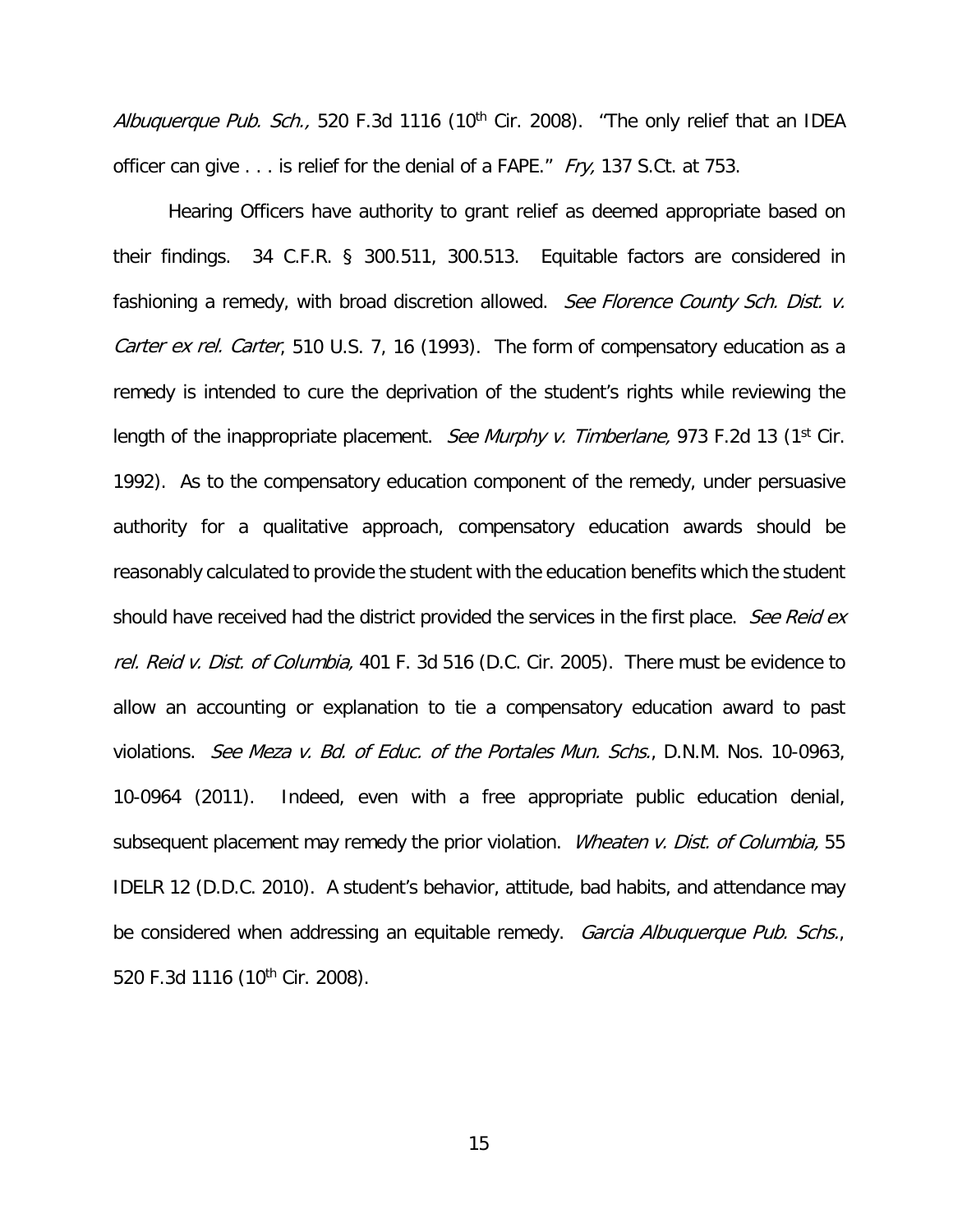Albuquerque Pub. Sch., 520 F.3d 1116 (10<sup>th</sup> Cir. 2008). "The only relief that an IDEA officer can give . . . is relief for the denial of a FAPE." Fry, 137 S.Ct. at 753.

 Hearing Officers have authority to grant relief as deemed appropriate based on their findings. 34 C.F.R. § 300.511, 300.513. Equitable factors are considered in fashioning a remedy, with broad discretion allowed. See Florence County Sch. Dist. v. Carter ex rel. Carter, 510 U.S. 7, 16 (1993). The form of compensatory education as a remedy is intended to cure the deprivation of the student's rights while reviewing the length of the inappropriate placement. See Murphy v. Timberlane, 973 F.2d 13 (1st Cir. 1992). As to the compensatory education component of the remedy, under persuasive authority for a qualitative approach, compensatory education awards should be reasonably calculated to provide the student with the education benefits which the student should have received had the district provided the services in the first place. See Reid ex rel. Reid v. Dist. of Columbia, 401 F. 3d 516 (D.C. Cir. 2005). There must be evidence to allow an accounting or explanation to tie a compensatory education award to past violations. See Meza v. Bd. of Educ. of the Portales Mun. Schs., D.N.M. Nos. 10-0963, 10-0964 (2011). Indeed, even with a free appropriate public education denial, subsequent placement may remedy the prior violation. Wheaten v. Dist. of Columbia, 55 IDELR 12 (D.D.C. 2010). A student's behavior, attitude, bad habits, and attendance may be considered when addressing an equitable remedy. Garcia Albuquerque Pub. Schs., 520 F.3d 1116 (10<sup>th</sup> Cir. 2008).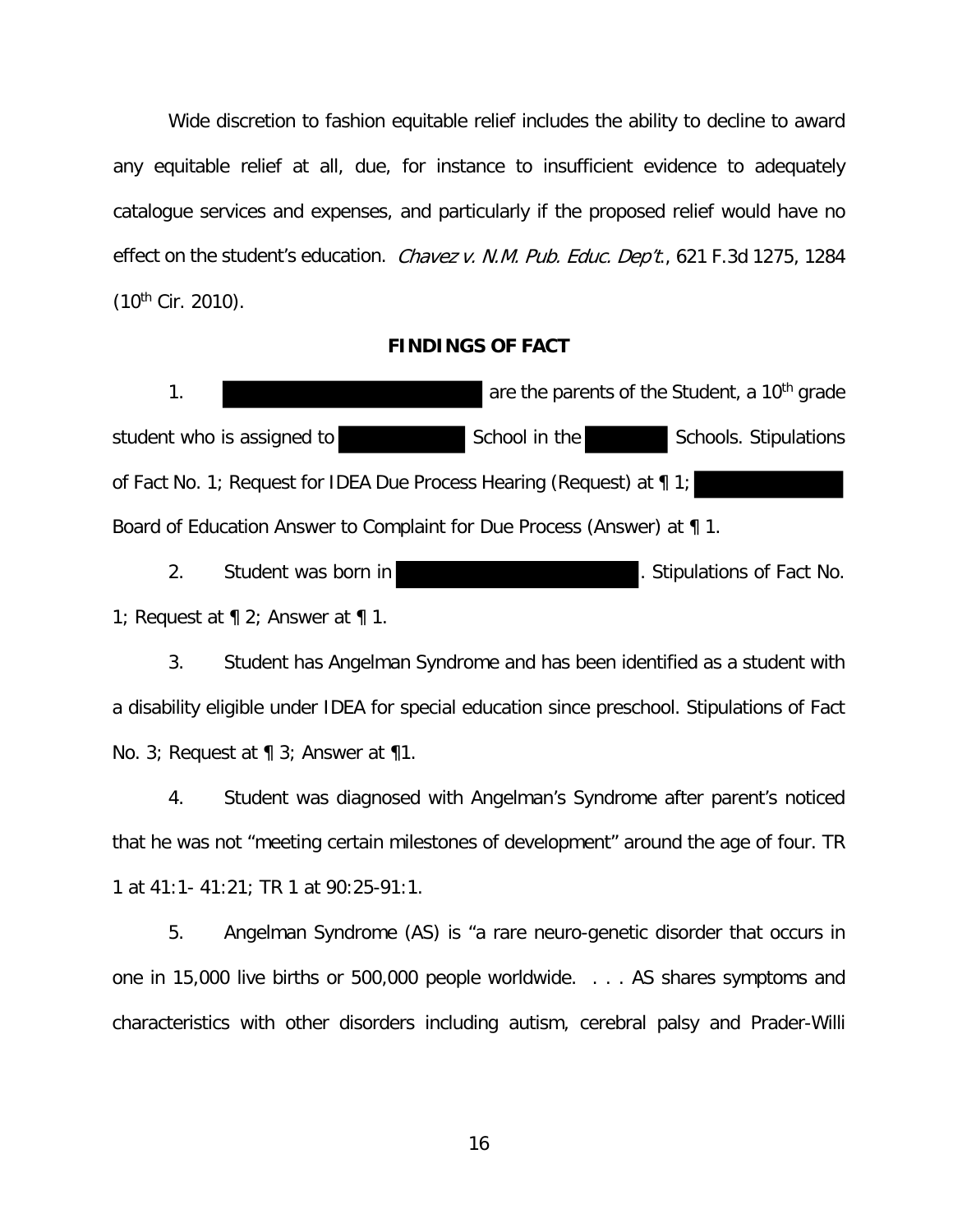Wide discretion to fashion equitable relief includes the ability to decline to award any equitable relief at all, due, for instance to insufficient evidence to adequately catalogue services and expenses, and particularly if the proposed relief would have no effect on the student's education. Chavez v. N.M. Pub. Educ. Dep't., 621 F.3d 1275, 1284  $(10^{th}$  Cir. 2010).

#### **FINDINGS OF FACT**

1. **1. are the parents of the Student, a 10<sup>th</sup> grade** student who is assigned to School in the Schools. Stipulations of Fact No. 1; Request for IDEA Due Process Hearing (Request) at ¶ 1; Board of Education Answer to Complaint for Due Process (Answer) at ¶ 1.

2. Student was born in **Example 2.** Stipulations of Fact No. 1; Request at  $\P$  2; Answer at  $\P$  1.

3. Student has Angelman Syndrome and has been identified as a student with a disability eligible under IDEA for special education since preschool. Stipulations of Fact No. 3; Request at ¶ 3; Answer at ¶1.

4. Student was diagnosed with Angelman's Syndrome after parent's noticed that he was not "meeting certain milestones of development" around the age of four. TR 1 at 41:1- 41:21; TR 1 at 90:25-91:1.

5. Angelman Syndrome (AS) is "a rare neuro-genetic disorder that occurs in one in 15,000 live births or 500,000 people worldwide. . . . AS shares symptoms and characteristics with other disorders including autism, cerebral palsy and Prader-Willi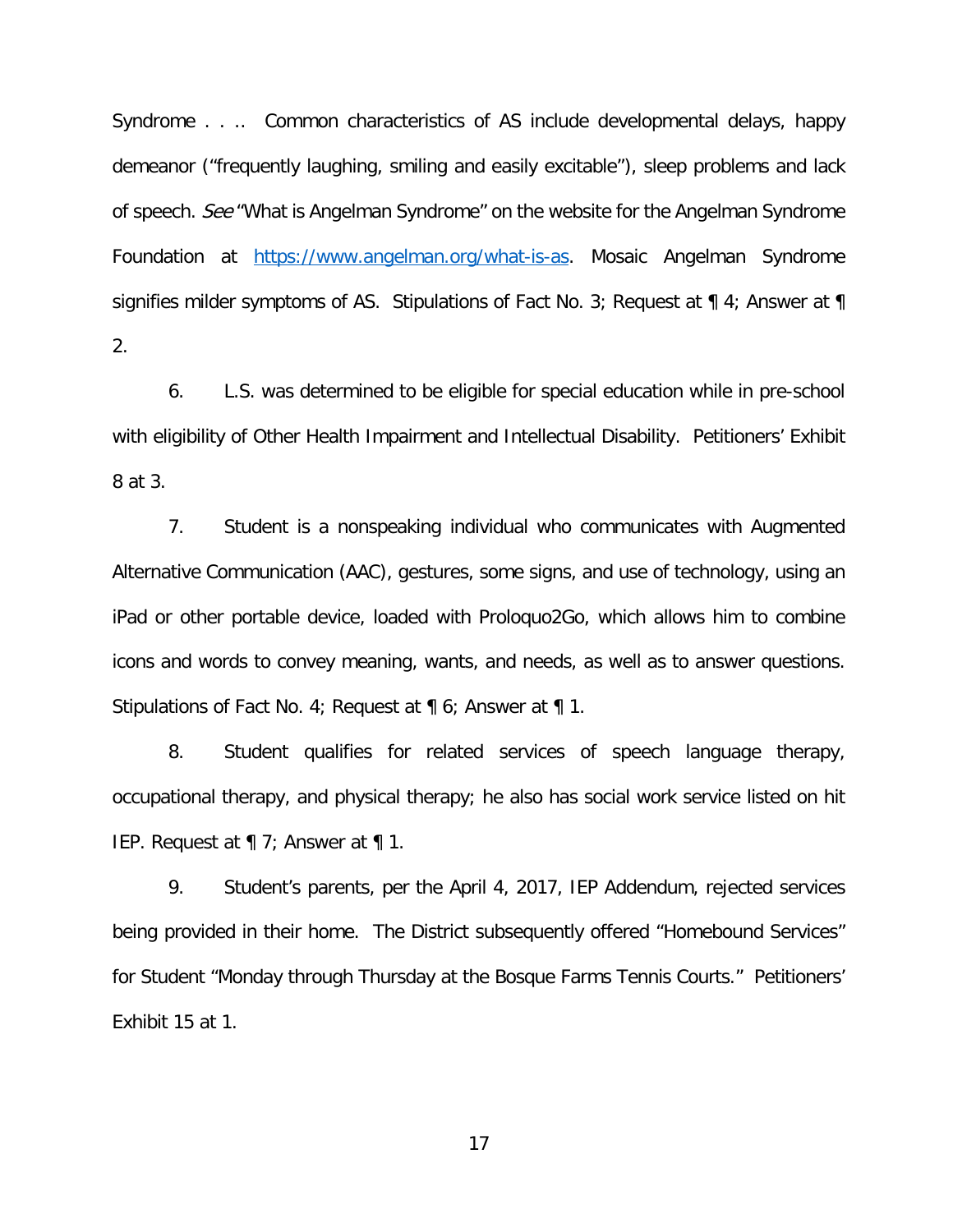Syndrome . . .. Common characteristics of AS include developmental delays, happy demeanor ("frequently laughing, smiling and easily excitable"), sleep problems and lack of speech. See "What is Angelman Syndrome" on the website for the Angelman Syndrome Foundation at https://www.angelman.org/what-is-as. Mosaic Angelman Syndrome signifies milder symptoms of AS. Stipulations of Fact No. 3; Request at  $\P$  4; Answer at  $\P$ 2.

6. L.S. was determined to be eligible for special education while in pre-school with eligibility of Other Health Impairment and Intellectual Disability. Petitioners' Exhibit 8 at 3.

7. Student is a nonspeaking individual who communicates with Augmented Alternative Communication (AAC), gestures, some signs, and use of technology, using an iPad or other portable device, loaded with Proloquo2Go, which allows him to combine icons and words to convey meaning, wants, and needs, as well as to answer questions. Stipulations of Fact No. 4; Request at ¶ 6; Answer at ¶ 1.

8. Student qualifies for related services of speech language therapy, occupational therapy, and physical therapy; he also has social work service listed on hit IEP. Request at ¶ 7; Answer at ¶ 1.

9. Student's parents, per the April 4, 2017, IEP Addendum, rejected services being provided in their home. The District subsequently offered "Homebound Services" for Student "Monday through Thursday at the Bosque Farms Tennis Courts." Petitioners' Exhibit 15 at 1.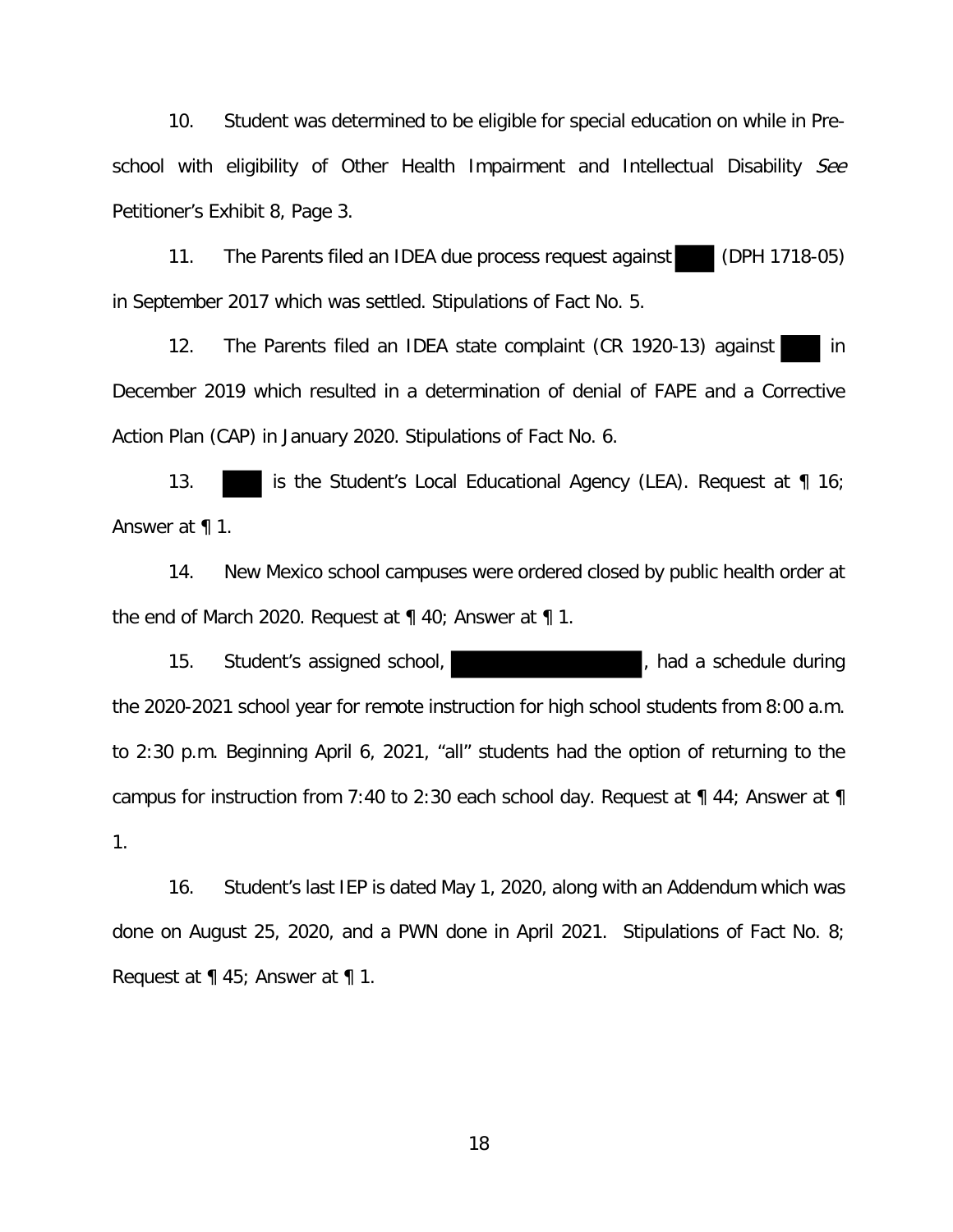10. Student was determined to be eligible for special education on while in Preschool with eligibility of Other Health Impairment and Intellectual Disability See Petitioner's Exhibit 8, Page 3.

11. The Parents filed an IDEA due process request against (DPH 1718-05) in September 2017 which was settled. Stipulations of Fact No. 5.

12. The Parents filed an IDEA state complaint (CR 1920-13) against in December 2019 which resulted in a determination of denial of FAPE and a Corrective Action Plan (CAP) in January 2020. Stipulations of Fact No. 6.

13. **is the Student's Local Educational Agency (LEA). Request at** 16; Answer at ¶ 1.

14. New Mexico school campuses were ordered closed by public health order at the end of March 2020. Request at ¶ 40; Answer at ¶ 1.

15. Student's assigned school, the state of the schedule during in Student's assigned school, the 2020-2021 school year for remote instruction for high school students from 8:00 a.m. to 2:30 p.m. Beginning April 6, 2021, "all" students had the option of returning to the campus for instruction from 7:40 to 2:30 each school day. Request at ¶ 44; Answer at ¶ 1.

16. Student's last IEP is dated May 1, 2020, along with an Addendum which was done on August 25, 2020, and a PWN done in April 2021. Stipulations of Fact No. 8; Request at ¶ 45; Answer at ¶ 1.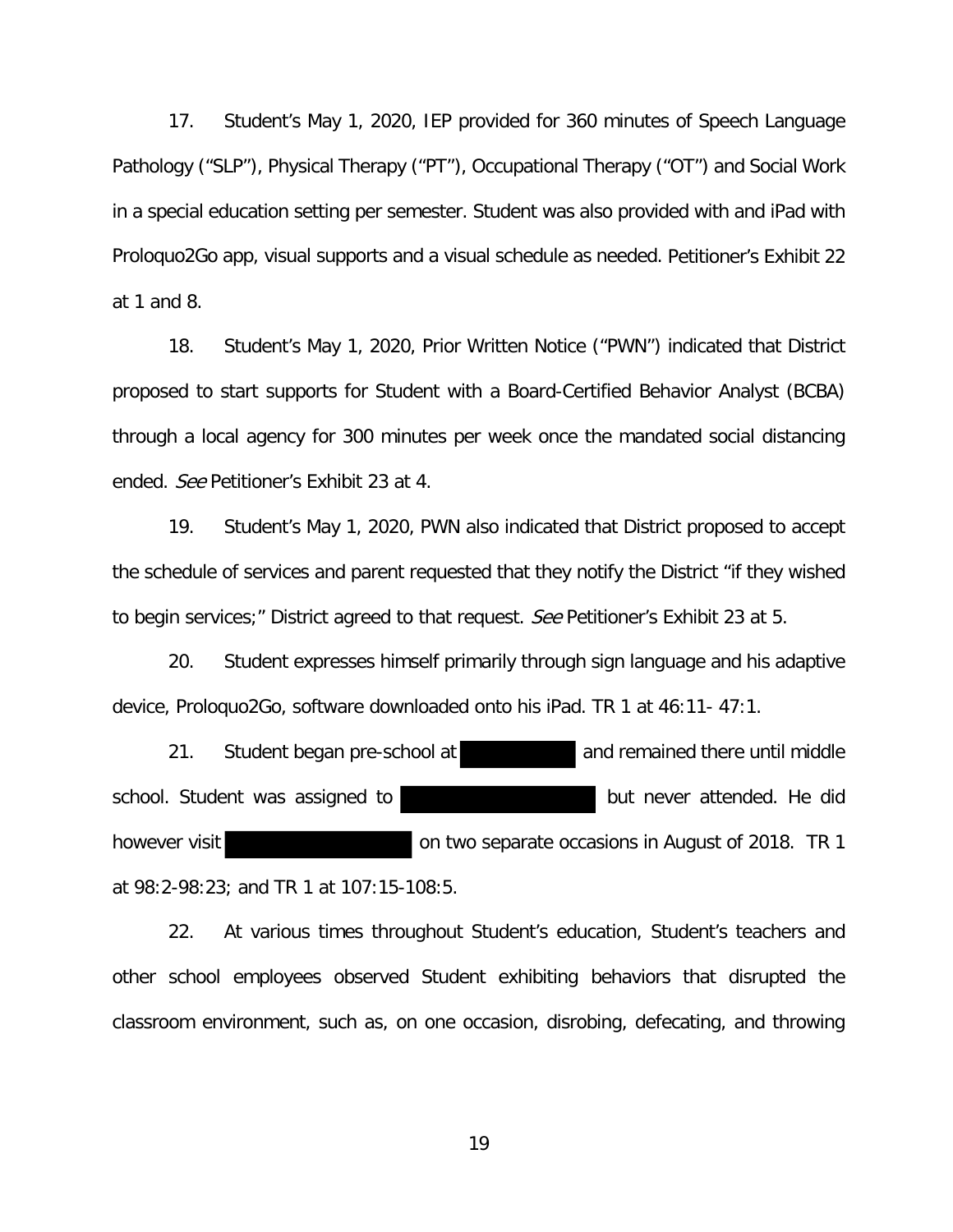17. Student's May 1, 2020, IEP provided for 360 minutes of Speech Language Pathology ("SLP"), Physical Therapy ("PT"), Occupational Therapy ("OT") and Social Work in a special education setting per semester. Student was also provided with and iPad with Proloquo2Go app, visual supports and a visual schedule as needed. Petitioner's Exhibit 22 at 1 and 8.

18. Student's May 1, 2020, Prior Written Notice ("PWN") indicated that District proposed to start supports for Student with a Board-Certified Behavior Analyst (BCBA) through a local agency for 300 minutes per week once the mandated social distancing ended. See Petitioner's Exhibit 23 at 4.

19. Student's May 1, 2020, PWN also indicated that District proposed to accept the schedule of services and parent requested that they notify the District "if they wished to begin services;" District agreed to that request. See Petitioner's Exhibit 23 at 5.

20. Student expresses himself primarily through sign language and his adaptive device, Proloquo2Go, software downloaded onto his iPad. TR 1 at 46:11- 47:1.

21. Student began pre-school at and remained there until middle school. Student was assigned to but never attended. He did however visit **on two separate occasions in August of 2018.** TR 1 at 98:2-98:23; and TR 1 at 107:15-108:5.

22. At various times throughout Student's education, Student's teachers and other school employees observed Student exhibiting behaviors that disrupted the classroom environment, such as, on one occasion, disrobing, defecating, and throwing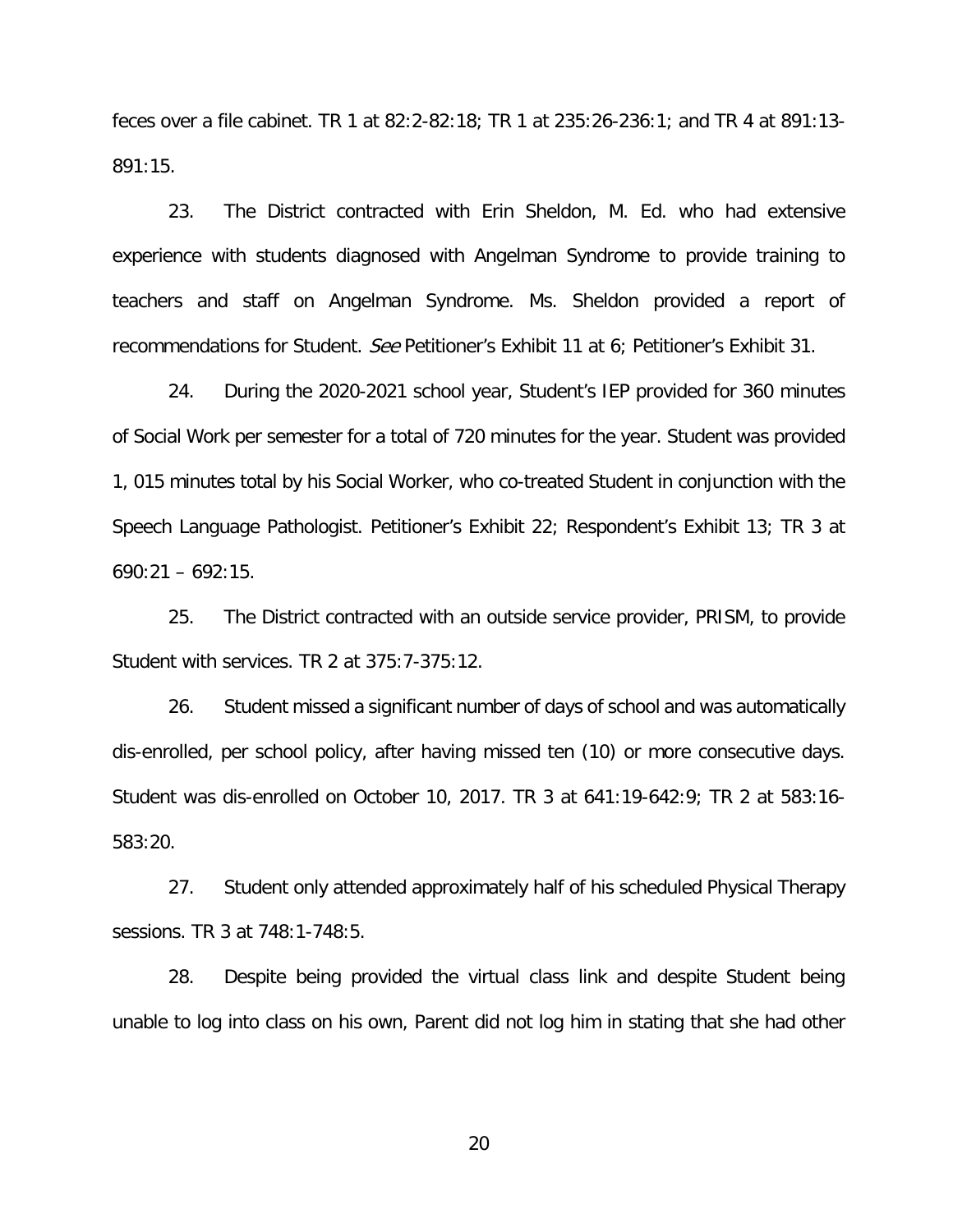feces over a file cabinet. TR 1 at 82:2-82:18; TR 1 at 235:26-236:1; and TR 4 at 891:13- 891:15.

23. The District contracted with Erin Sheldon, M. Ed. who had extensive experience with students diagnosed with Angelman Syndrome to provide training to teachers and staff on Angelman Syndrome. Ms. Sheldon provided a report of recommendations for Student. See Petitioner's Exhibit 11 at 6; Petitioner's Exhibit 31.

24. During the 2020-2021 school year, Student's IEP provided for 360 minutes of Social Work per semester for a total of 720 minutes for the year. Student was provided 1, 015 minutes total by his Social Worker, who co-treated Student in conjunction with the Speech Language Pathologist. Petitioner's Exhibit 22; Respondent's Exhibit 13; TR 3 at  $690:21 - 692:15$ .

25. The District contracted with an outside service provider, PRISM, to provide Student with services. TR 2 at 375:7-375:12.

26. Student missed a significant number of days of school and was automatically dis-enrolled, per school policy, after having missed ten (10) or more consecutive days. Student was dis-enrolled on October 10, 2017. TR 3 at 641:19-642:9; TR 2 at 583:16- 583:20.

27. Student only attended approximately half of his scheduled Physical Therapy sessions. TR 3 at 748:1-748:5.

28. Despite being provided the virtual class link and despite Student being unable to log into class on his own, Parent did not log him in stating that she had other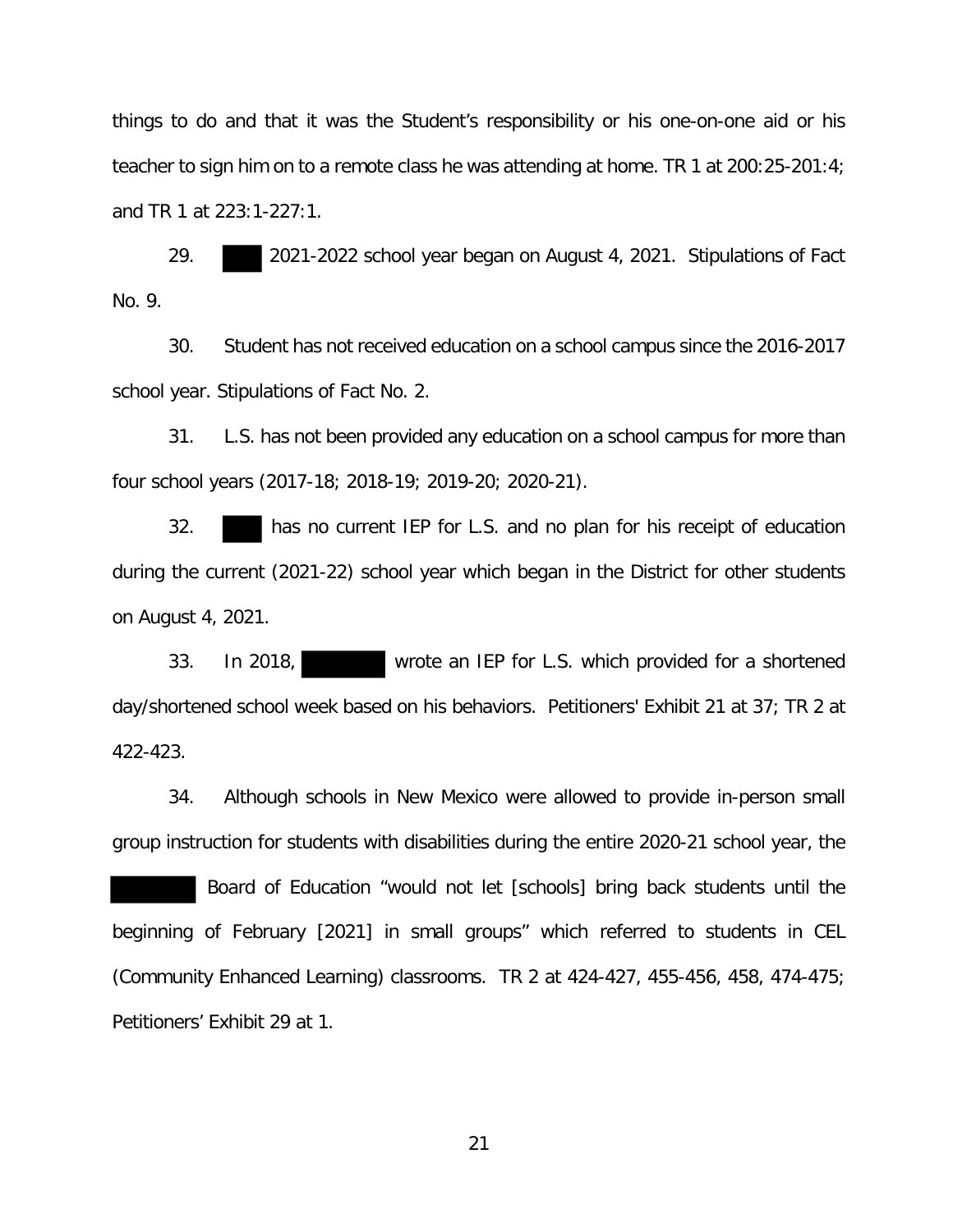things to do and that it was the Student's responsibility or his one-on-one aid or his teacher to sign him on to a remote class he was attending at home. TR 1 at 200:25-201:4; and TR 1 at 223:1-227:1.

29. 2021-2022 school year began on August 4, 2021. Stipulations of Fact No. 9.

30. Student has not received education on a school campus since the 2016-2017 school year. Stipulations of Fact No. 2.

31. L.S. has not been provided any education on a school campus for more than four school years (2017-18; 2018-19; 2019-20; 2020-21).

32. has no current IEP for L.S. and no plan for his receipt of education during the current (2021-22) school year which began in the District for other students on August 4, 2021.

33. In 2018, wrote an IEP for L.S. which provided for a shortened day/shortened school week based on his behaviors. Petitioners' Exhibit 21 at 37; TR 2 at 422-423.

34. Although schools in New Mexico were allowed to provide in-person small group instruction for students with disabilities during the entire 2020-21 school year, the

 Board of Education "would not let [schools] bring back students until the beginning of February [2021] in small groups" which referred to students in CEL (Community Enhanced Learning) classrooms. TR 2 at 424-427, 455-456, 458, 474-475; Petitioners' Exhibit 29 at 1.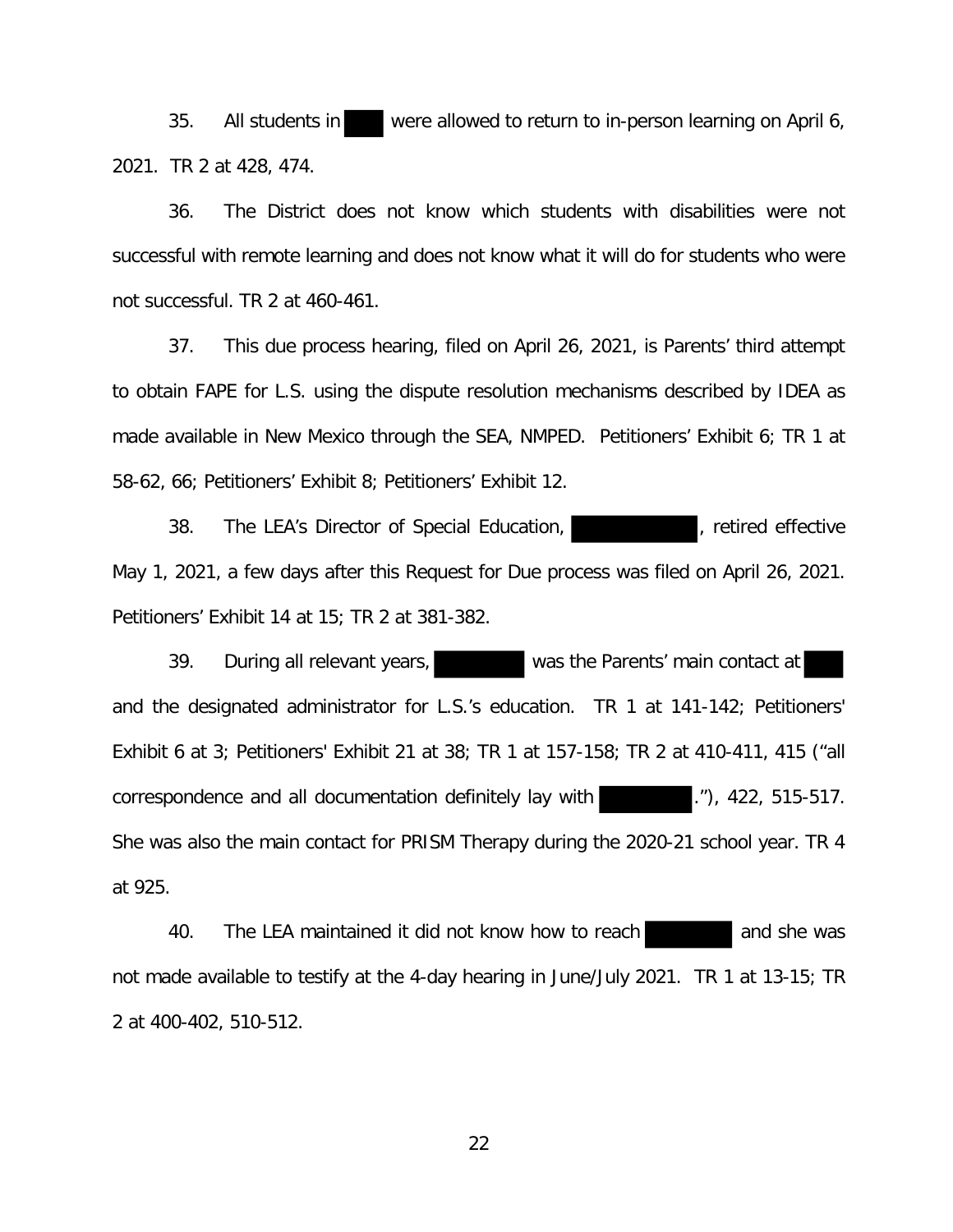35. All students in were allowed to return to in-person learning on April 6, 2021. TR 2 at 428, 474.

36. The District does not know which students with disabilities were not successful with remote learning and does not know what it will do for students who were not successful. TR 2 at 460-461.

37. This due process hearing, filed on April 26, 2021, is Parents' third attempt to obtain FAPE for L.S. using the dispute resolution mechanisms described by IDEA as made available in New Mexico through the SEA, NMPED. Petitioners' Exhibit 6; TR 1 at 58-62, 66; Petitioners' Exhibit 8; Petitioners' Exhibit 12.

38. The LEA's Director of Special Education, The Team of Tective May 1, 2021, a few days after this Request for Due process was filed on April 26, 2021. Petitioners' Exhibit 14 at 15; TR 2 at 381-382.

39. During all relevant years, was the Parents' main contact at and the designated administrator for L.S.'s education. TR 1 at 141-142; Petitioners' Exhibit 6 at 3; Petitioners' Exhibit 21 at 38; TR 1 at 157-158; TR 2 at 410-411, 415 ("all correspondence and all documentation definitely lay with ... (20), 422, 515-517. She was also the main contact for PRISM Therapy during the 2020-21 school year. TR 4 at 925.

40. The LEA maintained it did not know how to reach and she was not made available to testify at the 4-day hearing in June/July 2021. TR 1 at 13-15; TR 2 at 400-402, 510-512.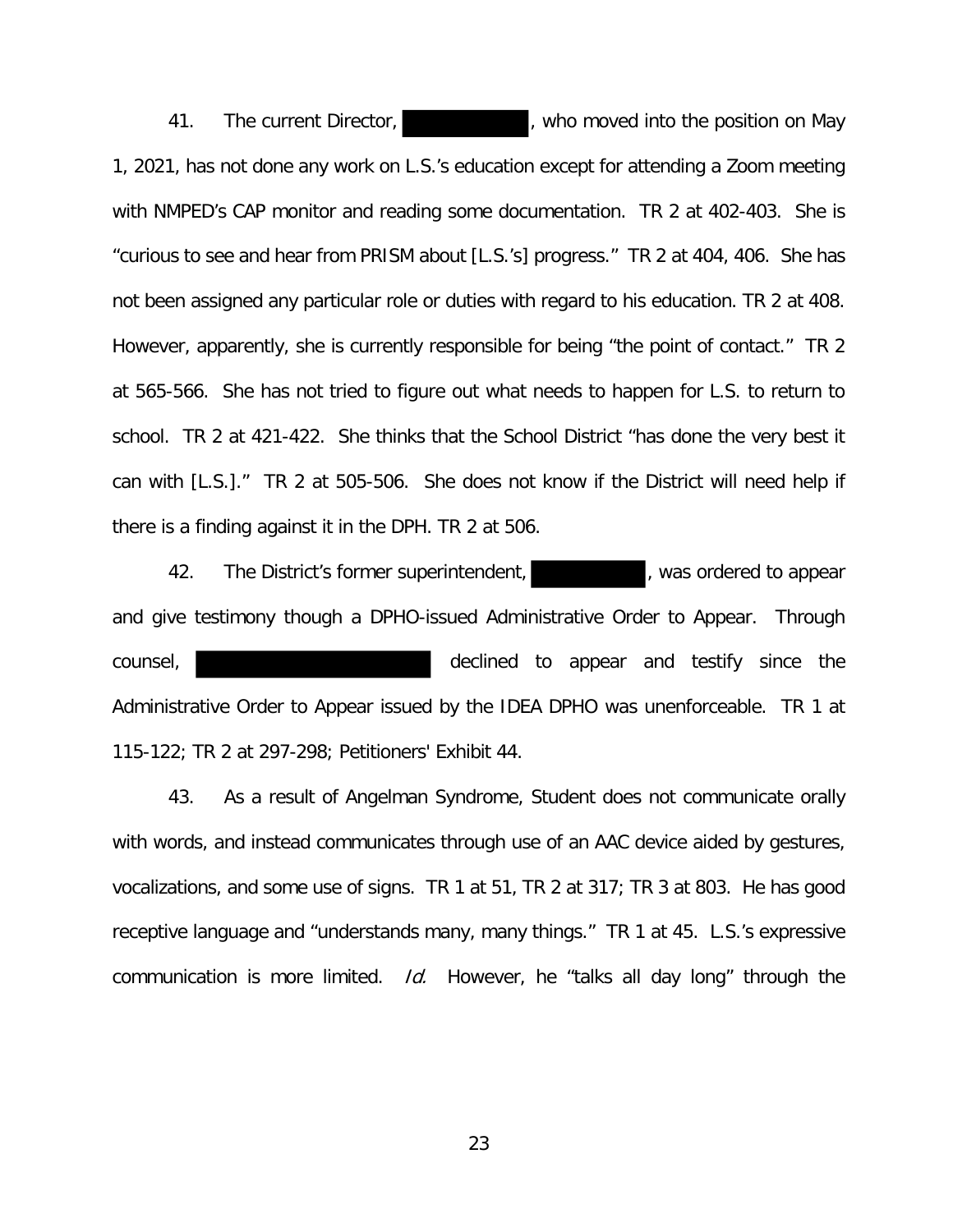41. The current Director, **Example 20 and The Current Director, include 20 and The May** 1, 2021, has not done any work on L.S.'s education except for attending a Zoom meeting with NMPED's CAP monitor and reading some documentation. TR 2 at 402-403. She is "curious to see and hear from PRISM about [L.S.'s] progress." TR 2 at 404, 406. She has not been assigned any particular role or duties with regard to his education. TR 2 at 408. However, apparently, she is currently responsible for being "the point of contact." TR 2 at 565-566. She has not tried to figure out what needs to happen for L.S. to return to school. TR 2 at 421-422. She thinks that the School District "has done the very best it can with [L.S.]." TR 2 at 505-506. She does not know if the District will need help if there is a finding against it in the DPH. TR 2 at 506.

42. The District's former superintendent, and the set of appear states of the District's former superintendent, and give testimony though a DPHO-issued Administrative Order to Appear. Through counsel, declined to appear and testify since the Administrative Order to Appear issued by the IDEA DPHO was unenforceable. TR 1 at 115-122; TR 2 at 297-298; Petitioners' Exhibit 44.

43. As a result of Angelman Syndrome, Student does not communicate orally with words, and instead communicates through use of an AAC device aided by gestures, vocalizations, and some use of signs. TR 1 at 51, TR 2 at 317; TR 3 at 803. He has good receptive language and "understands many, many things." TR 1 at 45. L.S.'s expressive communication is more limited.  $Id$ . However, he "talks all day long" through the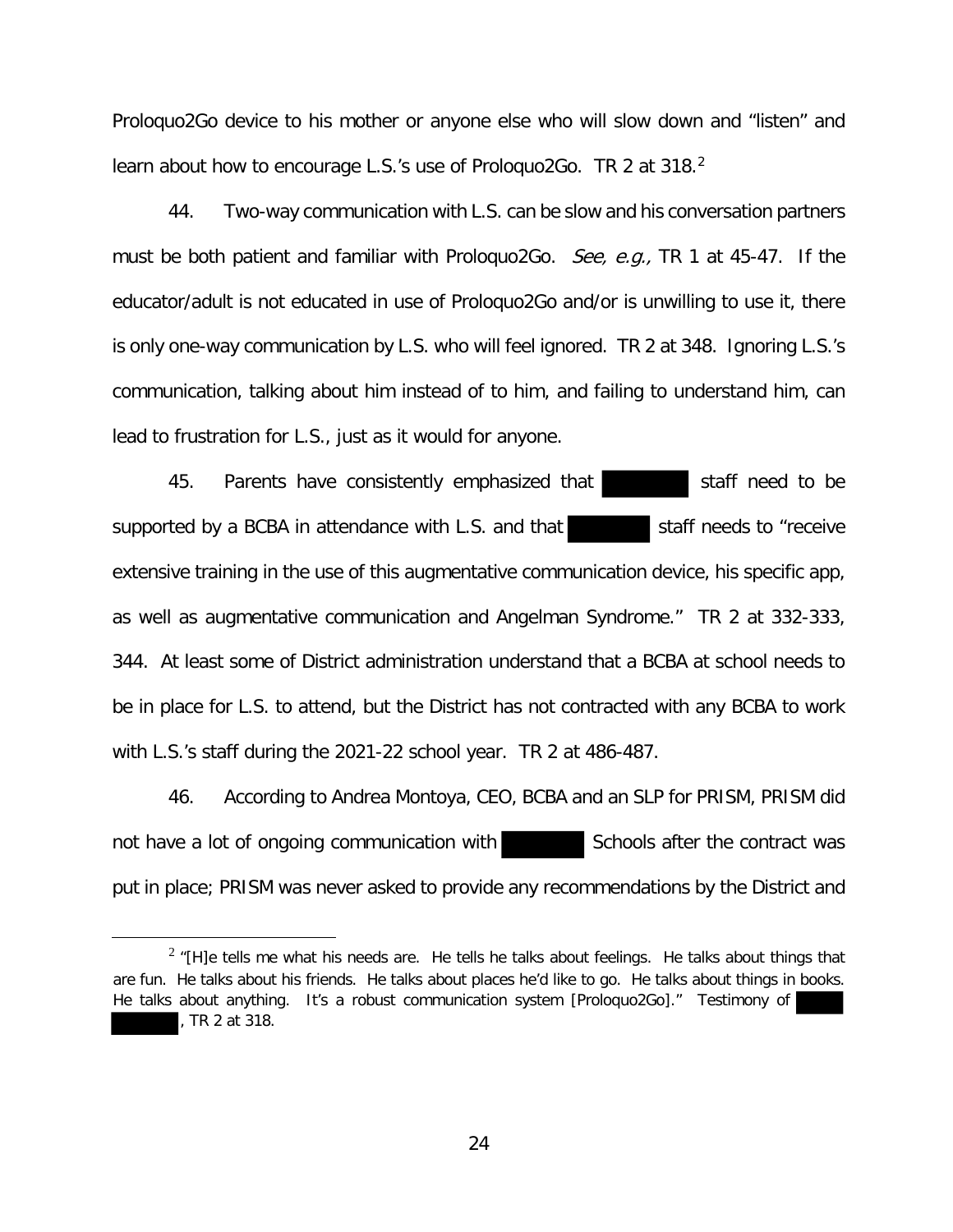Proloquo2Go device to his mother or anyone else who will slow down and "listen" and learn about how to encourage L.S.'s use of Prologuo2Go. TR 2 at 318.<sup>2</sup>

44. Two-way communication with L.S. can be slow and his conversation partners must be both patient and familiar with Prologuo2Go. See, e.g., TR 1 at 45-47. If the educator/adult is not educated in use of Proloquo2Go and/or is unwilling to use it, there is only one-way communication by L.S. who will feel ignored. TR 2 at 348. Ignoring L.S.'s communication, talking about him instead of to him, and failing to understand him, can lead to frustration for L.S., just as it would for anyone.

45. Parents have consistently emphasized that staff need to be supported by a BCBA in attendance with L.S. and that staff needs to "receive extensive training in the use of this augmentative communication device, his specific app, as well as augmentative communication and Angelman Syndrome." TR 2 at 332-333, 344. At least some of District administration understand that a BCBA at school needs to be in place for L.S. to attend, but the District has not contracted with any BCBA to work with L.S.'s staff during the 2021-22 school year. TR 2 at 486-487.

46. According to Andrea Montoya, CEO, BCBA and an SLP for PRISM, PRISM did not have a lot of ongoing communication with Schools after the contract was put in place; PRISM was never asked to provide any recommendations by the District and

 $2\pi$ [H]e tells me what his needs are. He tells he talks about feelings. He talks about things that are fun. He talks about his friends. He talks about places he'd like to go. He talks about things in books. He talks about anything. It's a robust communication system [Proloquo2Go]." Testimony of , TR 2 at 318.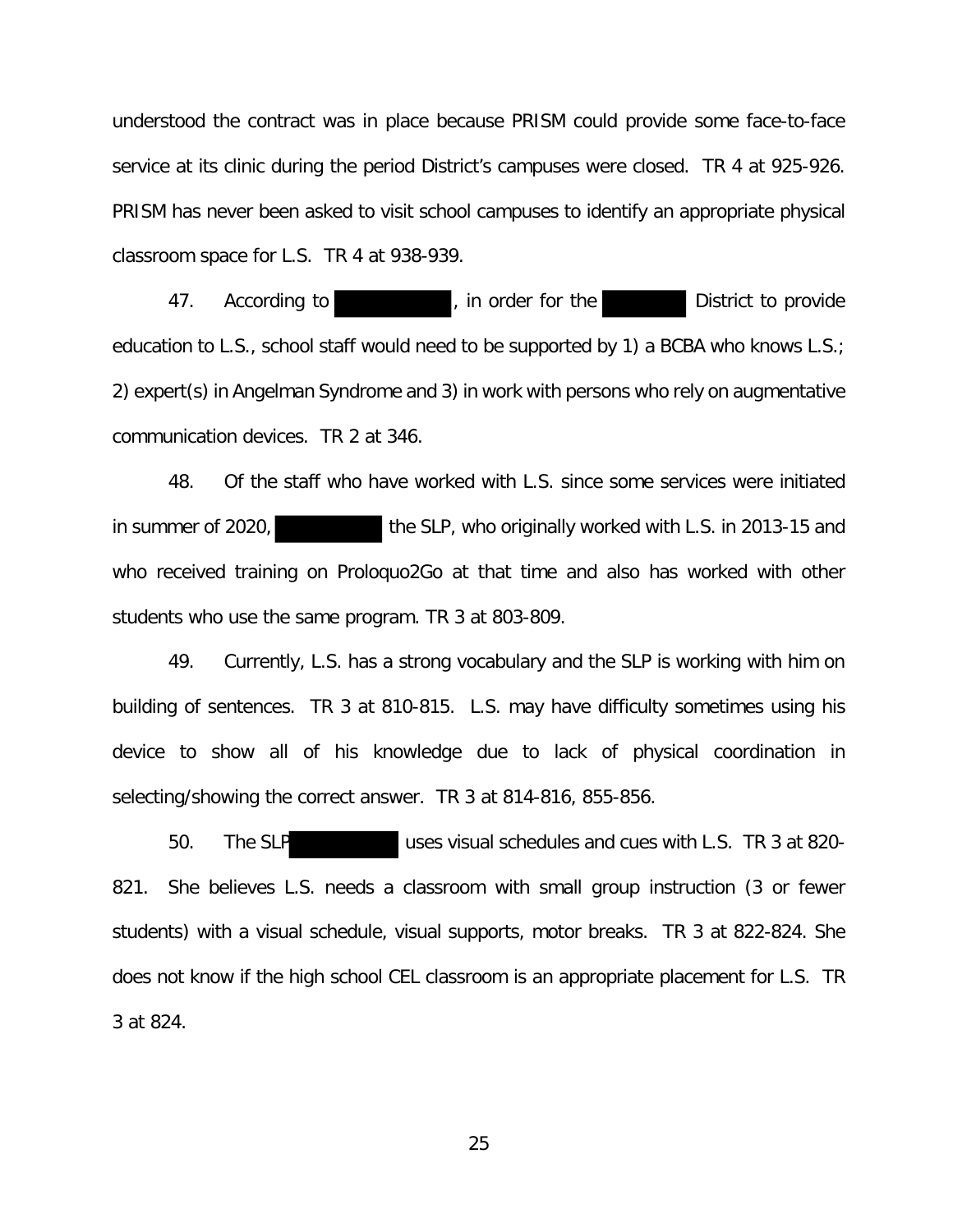understood the contract was in place because PRISM could provide some face-to-face service at its clinic during the period District's campuses were closed. TR 4 at 925-926. PRISM has never been asked to visit school campuses to identify an appropriate physical classroom space for L.S. TR 4 at 938-939.

47. According to **According to According to According to According to According to According to According to According to According to According to According to According to According to According to According to According** education to L.S., school staff would need to be supported by 1) a BCBA who knows L.S.; 2) expert(s) in Angelman Syndrome and 3) in work with persons who rely on augmentative communication devices. TR 2 at 346.

48. Of the staff who have worked with L.S. since some services were initiated in summer of 2020, the SLP, who originally worked with L.S. in 2013-15 and who received training on Proloquo2Go at that time and also has worked with other students who use the same program. TR 3 at 803-809.

49. Currently, L.S. has a strong vocabulary and the SLP is working with him on building of sentences. TR 3 at 810-815. L.S. may have difficulty sometimes using his device to show all of his knowledge due to lack of physical coordination in selecting/showing the correct answer. TR 3 at 814-816, 855-856.

50. The SLP uses visual schedules and cues with L.S. TR 3 at 820- 821. She believes L.S. needs a classroom with small group instruction (3 or fewer students) with a visual schedule, visual supports, motor breaks. TR 3 at 822-824. She does not know if the high school CEL classroom is an appropriate placement for L.S. TR 3 at 824.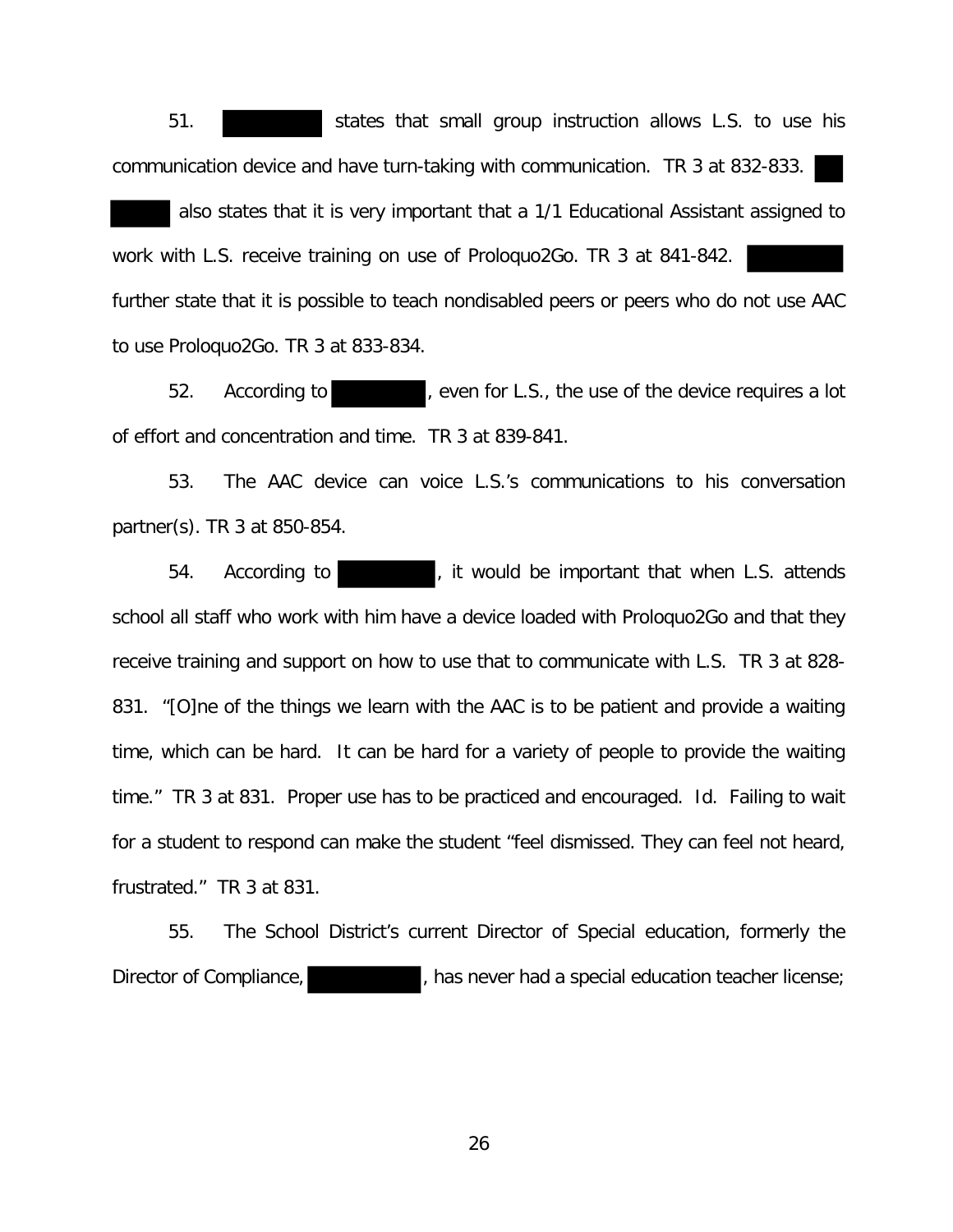51. states that small group instruction allows L.S. to use his communication device and have turn-taking with communication. TR 3 at 832-833.

 also states that it is very important that a 1/1 Educational Assistant assigned to work with L.S. receive training on use of Proloquo2Go. TR 3 at 841-842. further state that it is possible to teach nondisabled peers or peers who do not use AAC to use Proloquo2Go. TR 3 at 833-834.

52. According to **the contract of the use of the device requires a lot** of effort and concentration and time. TR 3 at 839-841.

53. The AAC device can voice L.S.'s communications to his conversation partner(s). TR 3 at 850-854.

54. According to **the set of the state of the important that when L.S. attends** school all staff who work with him have a device loaded with Proloquo2Go and that they receive training and support on how to use that to communicate with L.S. TR 3 at 828- 831. "[O]ne of the things we learn with the AAC is to be patient and provide a waiting time, which can be hard. It can be hard for a variety of people to provide the waiting time." TR 3 at 831. Proper use has to be practiced and encouraged. Id. Failing to wait for a student to respond can make the student "feel dismissed. They can feel not heard, frustrated." TR 3 at 831.

55. The School District's current Director of Special education, formerly the Director of Compliance,  $\blacksquare$ , has never had a special education teacher license;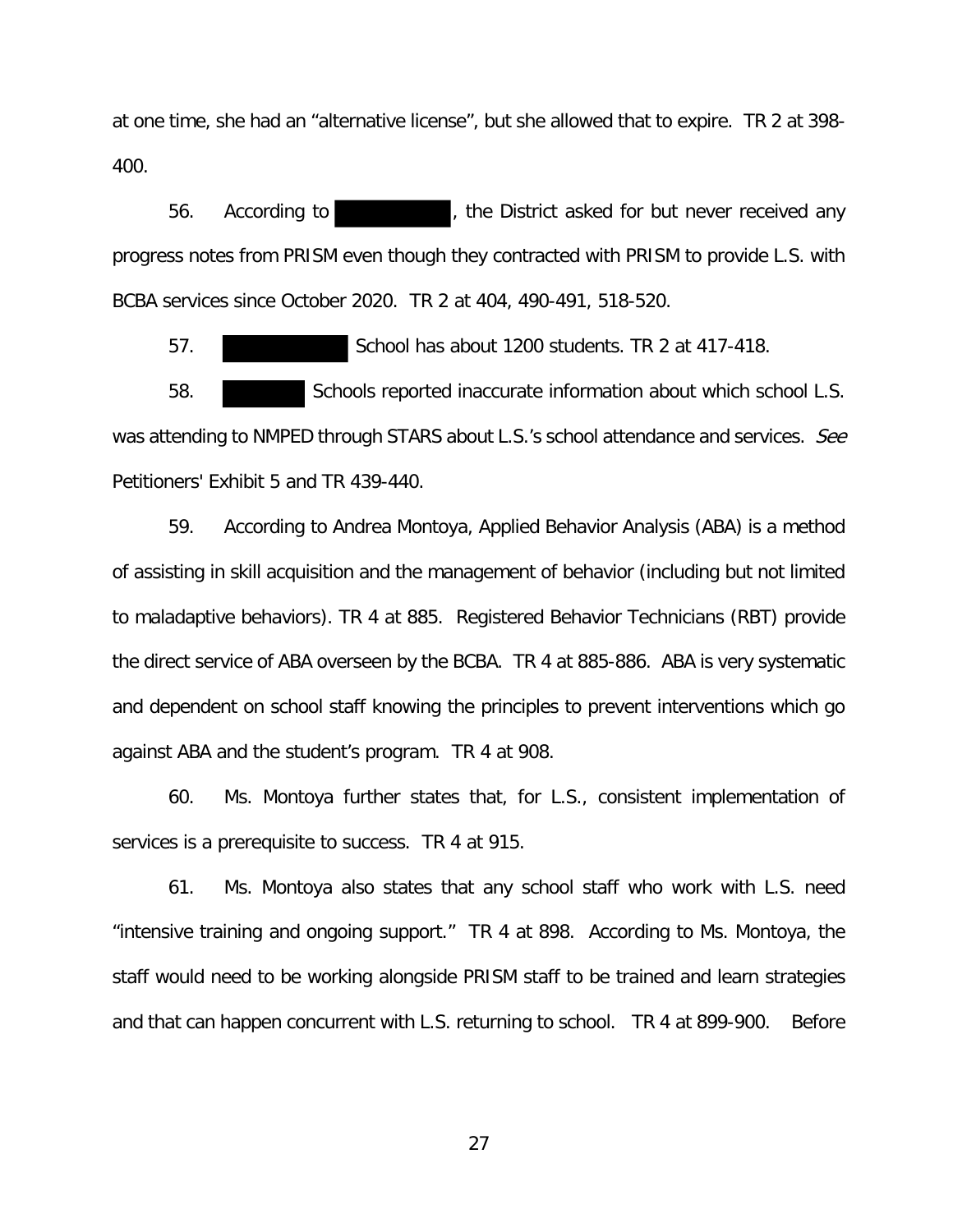at one time, she had an "alternative license", but she allowed that to expire. TR 2 at 398- 400.

56. According to **the Containty of the District asked for but never received any** progress notes from PRISM even though they contracted with PRISM to provide L.S. with BCBA services since October 2020. TR 2 at 404, 490-491, 518-520.

57. School has about 1200 students. TR 2 at 417-418.

58. Schools reported inaccurate information about which school L.S. was attending to NMPED through STARS about L.S.'s school attendance and services. See Petitioners' Exhibit 5 and TR 439-440.

59. According to Andrea Montoya, Applied Behavior Analysis (ABA) is a method of assisting in skill acquisition and the management of behavior (including but not limited to maladaptive behaviors). TR 4 at 885. Registered Behavior Technicians (RBT) provide the direct service of ABA overseen by the BCBA. TR 4 at 885-886. ABA is very systematic and dependent on school staff knowing the principles to prevent interventions which go against ABA and the student's program. TR 4 at 908.

60. Ms. Montoya further states that, for L.S., consistent implementation of services is a prerequisite to success. TR 4 at 915.

61. Ms. Montoya also states that any school staff who work with L.S. need "intensive training and ongoing support." TR 4 at 898. According to Ms. Montoya, the staff would need to be working alongside PRISM staff to be trained and learn strategies and that can happen concurrent with L.S. returning to school. TR 4 at 899-900. Before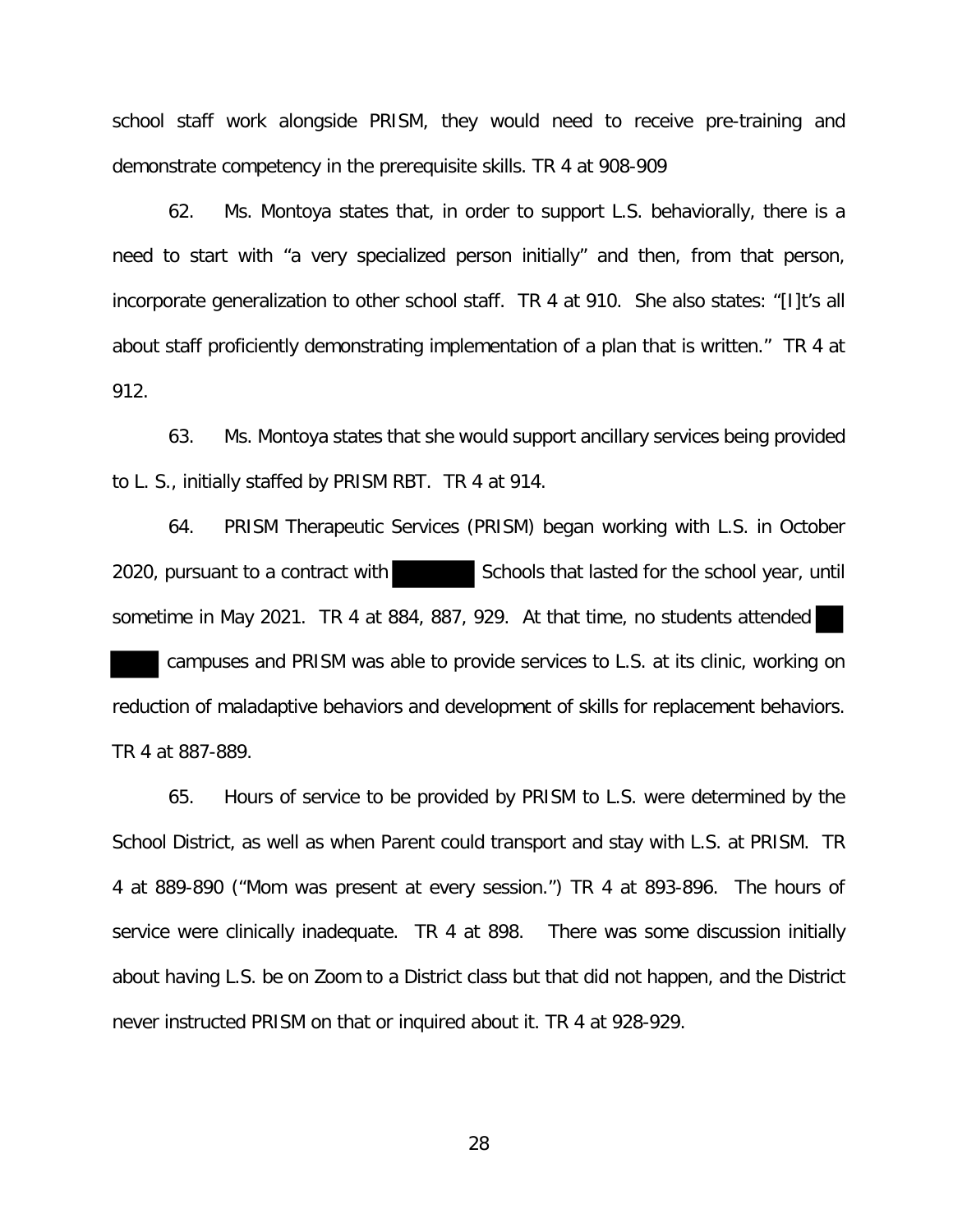school staff work alongside PRISM, they would need to receive pre-training and demonstrate competency in the prerequisite skills. TR 4 at 908-909

62. Ms. Montoya states that, in order to support L.S. behaviorally, there is a need to start with "a very specialized person initially" and then, from that person, incorporate generalization to other school staff. TR 4 at 910. She also states: "[I]t's all about staff proficiently demonstrating implementation of a plan that is written." TR 4 at 912.

63. Ms. Montoya states that she would support ancillary services being provided to L. S., initially staffed by PRISM RBT. TR 4 at 914.

64. PRISM Therapeutic Services (PRISM) began working with L.S. in October 2020, pursuant to a contract with Schools that lasted for the school year, until sometime in May 2021. TR 4 at 884, 887, 929. At that time, no students attended

 campuses and PRISM was able to provide services to L.S. at its clinic, working on reduction of maladaptive behaviors and development of skills for replacement behaviors. TR 4 at 887-889.

65. Hours of service to be provided by PRISM to L.S. were determined by the School District, as well as when Parent could transport and stay with L.S. at PRISM. TR 4 at 889-890 ("Mom was present at every session.") TR 4 at 893-896. The hours of service were clinically inadequate. TR 4 at 898. There was some discussion initially about having L.S. be on Zoom to a District class but that did not happen, and the District never instructed PRISM on that or inquired about it. TR 4 at 928-929.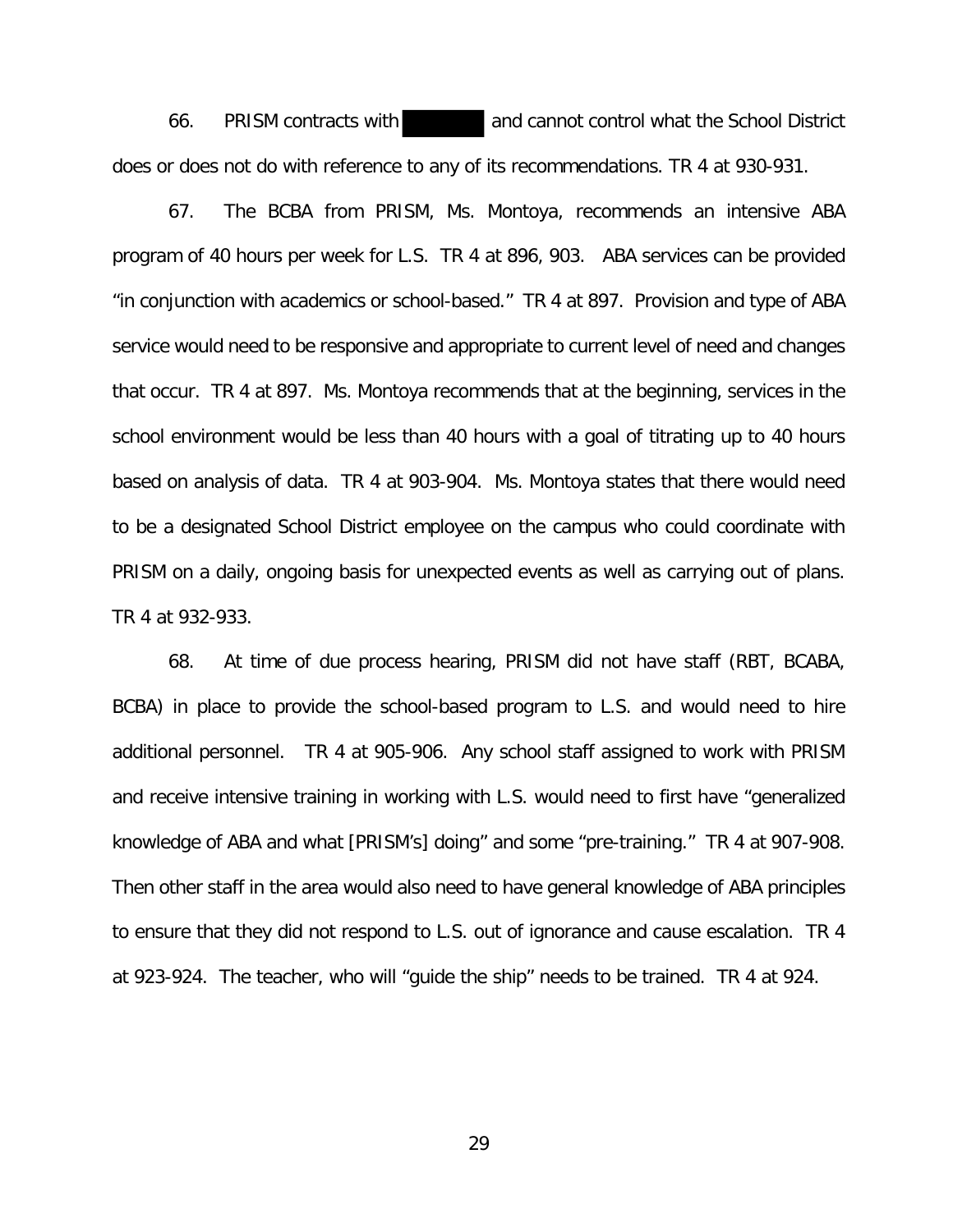66. PRISM contracts with and cannot control what the School District does or does not do with reference to any of its recommendations. TR 4 at 930-931.

67. The BCBA from PRISM, Ms. Montoya, recommends an intensive ABA program of 40 hours per week for L.S. TR 4 at 896, 903. ABA services can be provided "in conjunction with academics or school-based." TR 4 at 897. Provision and type of ABA service would need to be responsive and appropriate to current level of need and changes that occur. TR 4 at 897. Ms. Montoya recommends that at the beginning, services in the school environment would be less than 40 hours with a goal of titrating up to 40 hours based on analysis of data. TR 4 at 903-904. Ms. Montoya states that there would need to be a designated School District employee on the campus who could coordinate with PRISM on a daily, ongoing basis for unexpected events as well as carrying out of plans. TR 4 at 932-933.

68. At time of due process hearing, PRISM did not have staff (RBT, BCABA, BCBA) in place to provide the school-based program to L.S. and would need to hire additional personnel. TR 4 at 905-906. Any school staff assigned to work with PRISM and receive intensive training in working with L.S. would need to first have "generalized knowledge of ABA and what [PRISM's] doing" and some "pre-training." TR 4 at 907-908. Then other staff in the area would also need to have general knowledge of ABA principles to ensure that they did not respond to L.S. out of ignorance and cause escalation. TR 4 at 923-924. The teacher, who will "guide the ship" needs to be trained. TR 4 at 924.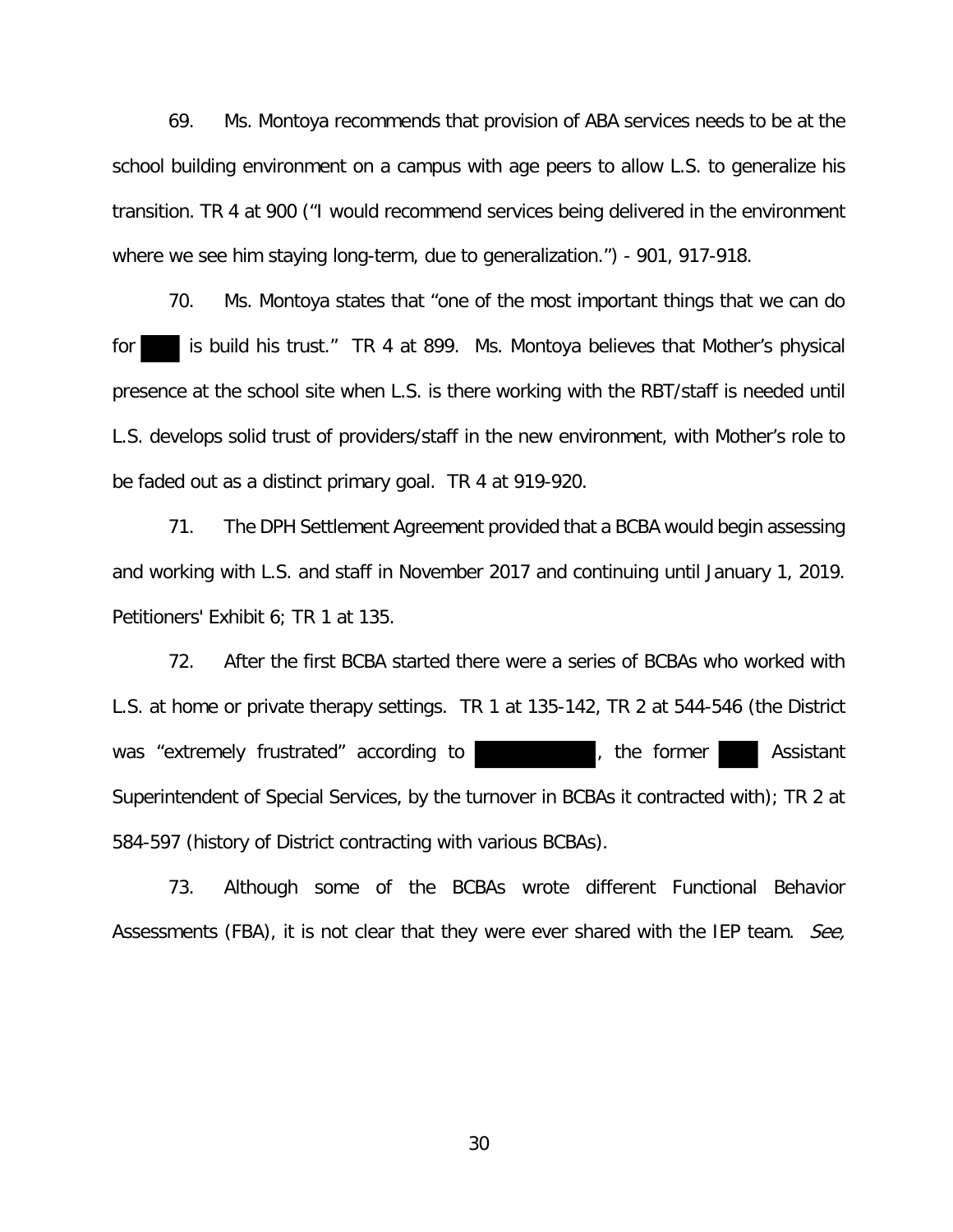69. Ms. Montoya recommends that provision of ABA services needs to be at the school building environment on a campus with age peers to allow L.S. to generalize his transition. TR 4 at 900 ("I would recommend services being delivered in the environment where we see him staying long-term, due to generalization.") - 901, 917-918.

70. Ms. Montoya states that "one of the most important things that we can do for is build his trust." TR 4 at 899. Ms. Montoya believes that Mother's physical presence at the school site when L.S. is there working with the RBT/staff is needed until L.S. develops solid trust of providers/staff in the new environment, with Mother's role to be faded out as a distinct primary goal. TR 4 at 919-920.

71. The DPH Settlement Agreement provided that a BCBA would begin assessing and working with L.S. and staff in November 2017 and continuing until January 1, 2019. Petitioners' Exhibit 6; TR 1 at 135.

72. After the first BCBA started there were a series of BCBAs who worked with L.S. at home or private therapy settings. TR 1 at 135-142, TR 2 at 544-546 (the District was "extremely frustrated" according to **the end of the former** Assistant Superintendent of Special Services, by the turnover in BCBAs it contracted with); TR 2 at 584-597 (history of District contracting with various BCBAs).

73. Although some of the BCBAs wrote different Functional Behavior Assessments (FBA), it is not clear that they were ever shared with the IEP team. See,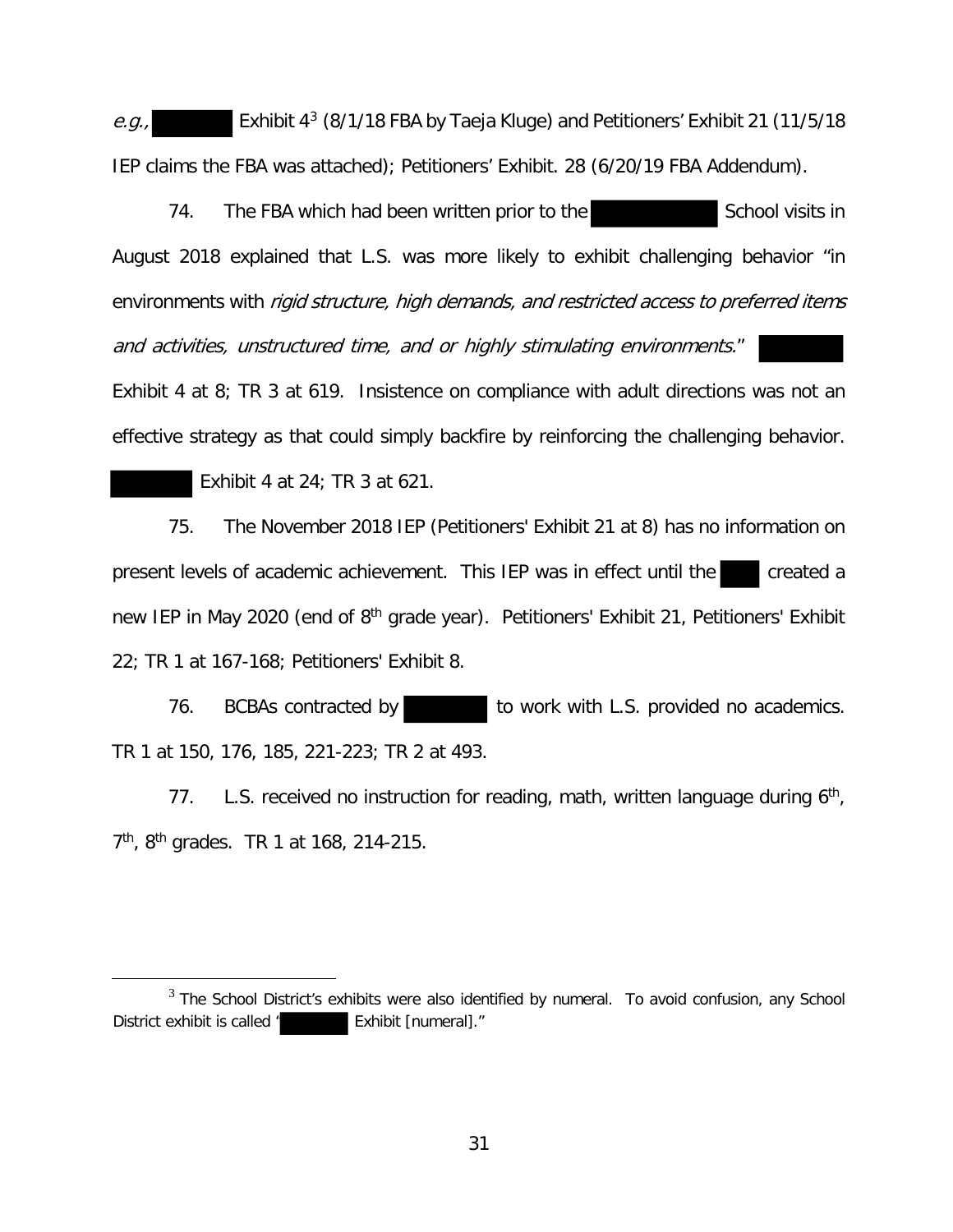e.g., Exhibit  $4^3$  (8/1/18 FBA by Taeja Kluge) and Petitioners' Exhibit 21 (11/5/18 IEP claims the FBA was attached); Petitioners' Exhibit. 28 (6/20/19 FBA Addendum).

74. The FBA which had been written prior to the School visits in August 2018 explained that L.S. was more likely to exhibit challenging behavior "in environments with rigid structure, high demands, and restricted access to preferred items and activities, unstructured time, and or highly stimulating environments."

Exhibit 4 at 8; TR 3 at 619. Insistence on compliance with adult directions was not an effective strategy as that could simply backfire by reinforcing the challenging behavior.

Exhibit 4 at 24; TR 3 at 621.

75. The November 2018 IEP (Petitioners' Exhibit 21 at 8) has no information on present levels of academic achievement. This IEP was in effect until the new IEP in May 2020 (end of 8<sup>th</sup> grade year). Petitioners' Exhibit 21, Petitioners' Exhibit 22; TR 1 at 167-168; Petitioners' Exhibit 8.

76. BCBAs contracted by to work with L.S. provided no academics. TR 1 at 150, 176, 185, 221-223; TR 2 at 493.

77. L.S. received no instruction for reading, math, written language during  $6<sup>th</sup>$ , 7<sup>th</sup>, 8<sup>th</sup> grades. TR 1 at 168, 214-215.

 $3$  The School District's exhibits were also identified by numeral. To avoid confusion, any School District exhibit is called " Exhibit [numeral]."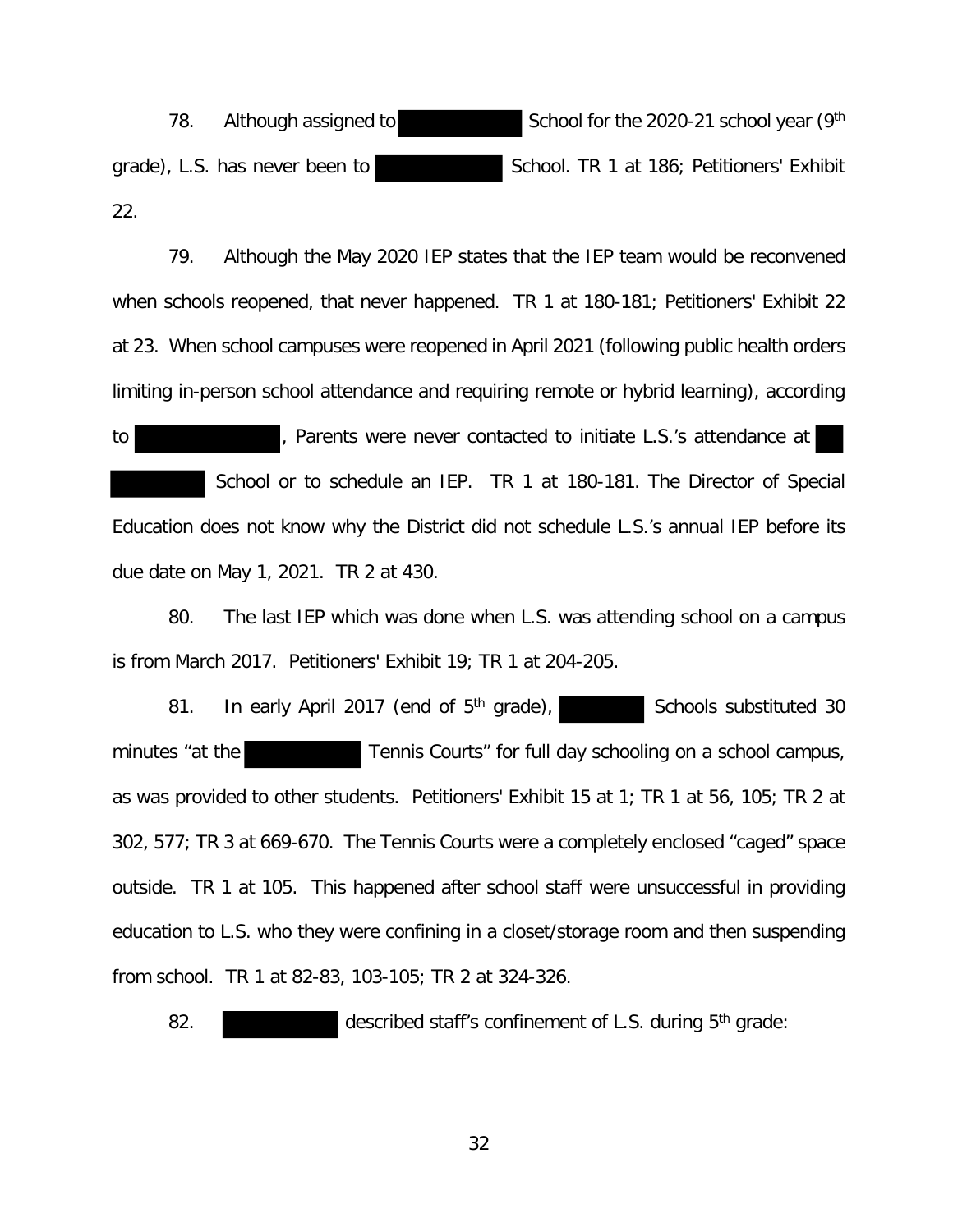78. Although assigned to School for the 2020-21 school year (9th grade), L.S. has never been to School. TR 1 at 186; Petitioners' Exhibit 22.

79. Although the May 2020 IEP states that the IEP team would be reconvened when schools reopened, that never happened. TR 1 at 180-181; Petitioners' Exhibit 22 at 23. When school campuses were reopened in April 2021 (following public health orders limiting in-person school attendance and requiring remote or hybrid learning), according

to **the contacted to initiate L.S.'s attendance at**  School or to schedule an IEP. TR 1 at 180-181. The Director of Special Education does not know why the District did not schedule L.S.'s annual IEP before its due date on May 1, 2021. TR 2 at 430.

80. The last IEP which was done when L.S. was attending school on a campus is from March 2017. Petitioners' Exhibit 19; TR 1 at 204-205.

81. In early April 2017 (end of 5<sup>th</sup> grade), Schools substituted 30 minutes "at the Tennis Courts" for full day schooling on a school campus, as was provided to other students. Petitioners' Exhibit 15 at 1; TR 1 at 56, 105; TR 2 at 302, 577; TR 3 at 669-670. The Tennis Courts were a completely enclosed "caged" space outside. TR 1 at 105. This happened after school staff were unsuccessful in providing education to L.S. who they were confining in a closet/storage room and then suspending from school. TR 1 at 82-83, 103-105; TR 2 at 324-326.

82. described staff's confinement of L.S. during 5<sup>th</sup> grade: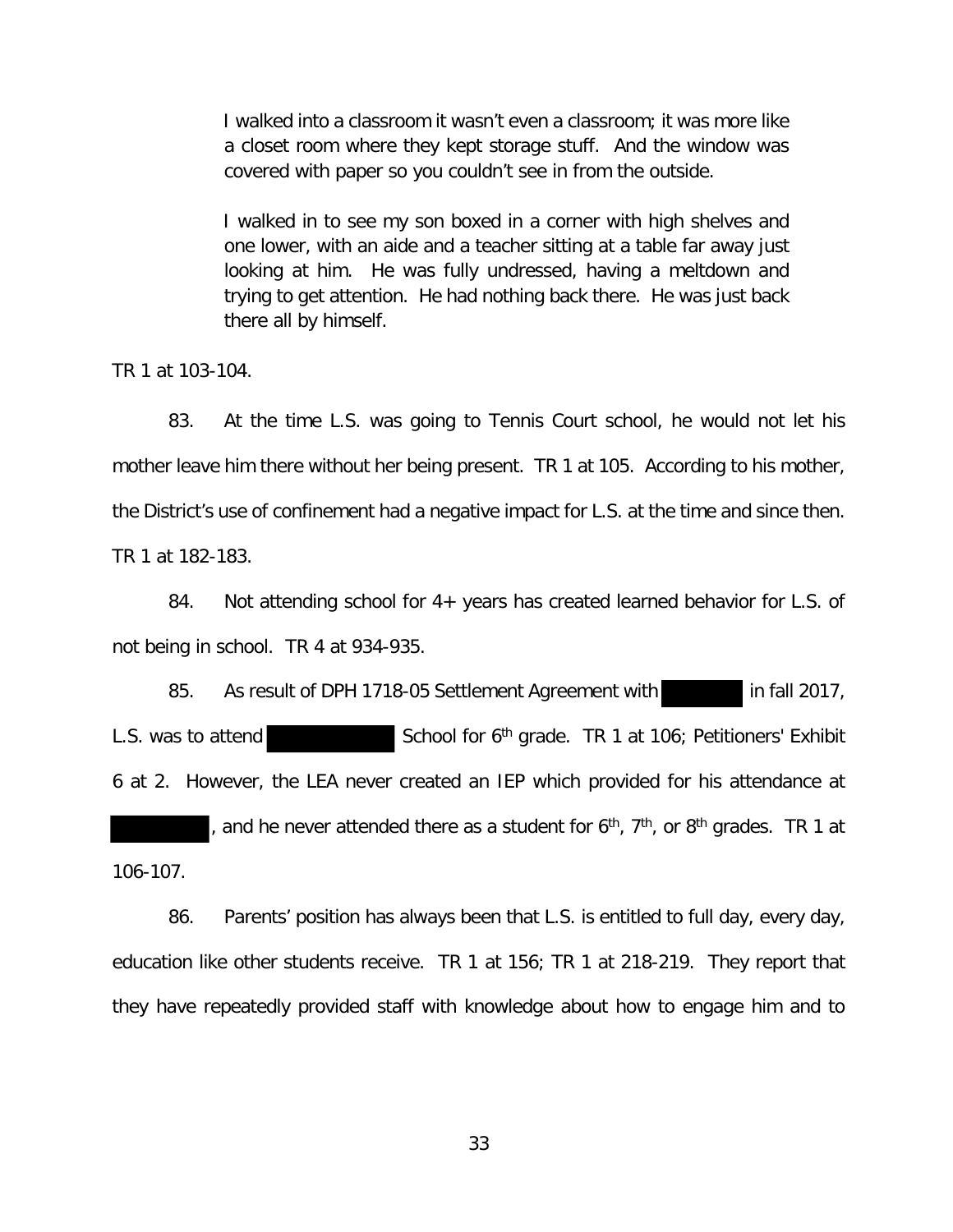I walked into a classroom it wasn't even a classroom; it was more like a closet room where they kept storage stuff. And the window was covered with paper so you couldn't see in from the outside.

I walked in to see my son boxed in a corner with high shelves and one lower, with an aide and a teacher sitting at a table far away just looking at him. He was fully undressed, having a meltdown and trying to get attention. He had nothing back there. He was just back there all by himself.

TR 1 at 103-104.

83. At the time L.S. was going to Tennis Court school, he would not let his mother leave him there without her being present. TR 1 at 105. According to his mother, the District's use of confinement had a negative impact for L.S. at the time and since then. TR 1 at 182-183.

84. Not attending school for 4+ years has created learned behavior for L.S. of not being in school. TR 4 at 934-935.

85. As result of DPH 1718-05 Settlement Agreement with in fall 2017, L.S. was to attend  $School$  for 6<sup>th</sup> grade. TR 1 at 106; Petitioners' Exhibit 6 at 2. However, the LEA never created an IEP which provided for his attendance at and he never attended there as a student for  $6<sup>th</sup>$ ,  $7<sup>th</sup>$ , or  $8<sup>th</sup>$  grades. TR 1 at 106-107.

86. Parents' position has always been that L.S. is entitled to full day, every day, education like other students receive. TR 1 at 156; TR 1 at 218-219. They report that they have repeatedly provided staff with knowledge about how to engage him and to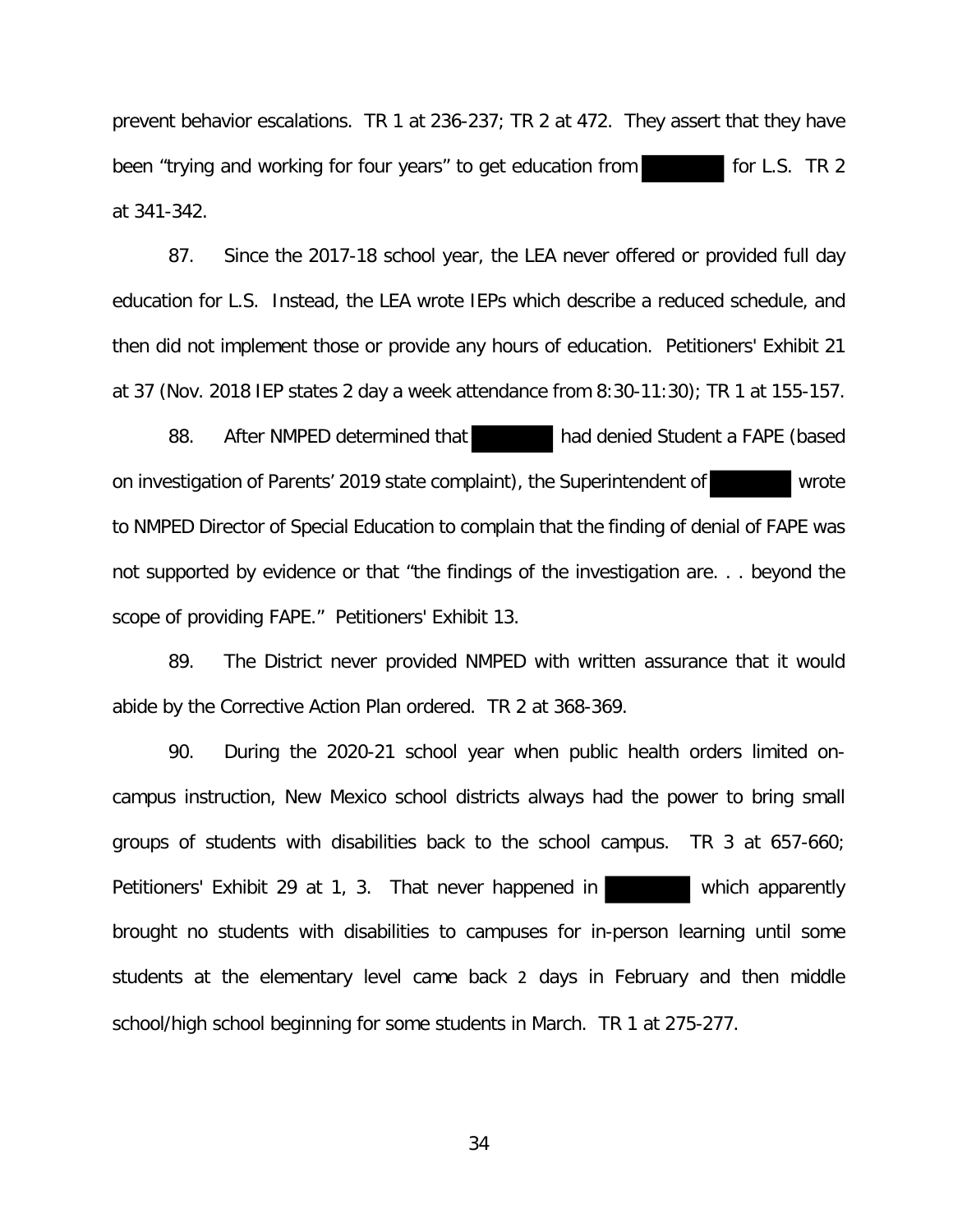prevent behavior escalations. TR 1 at 236-237; TR 2 at 472. They assert that they have been "trying and working for four years" to get education from for t.S. TR 2 at 341-342.

87. Since the 2017-18 school year, the LEA never offered or provided full day education for L.S. Instead, the LEA wrote IEPs which describe a reduced schedule, and then did not implement those or provide any hours of education. Petitioners' Exhibit 21 at 37 (Nov. 2018 IEP states 2 day a week attendance from 8:30-11:30); TR 1 at 155-157.

88. After NMPED determined that had denied Student a FAPE (based on investigation of Parents' 2019 state complaint), the Superintendent of wrote to NMPED Director of Special Education to complain that the finding of denial of FAPE was not supported by evidence or that "the findings of the investigation are. . . beyond the scope of providing FAPE." Petitioners' Exhibit 13.

89. The District never provided NMPED with written assurance that it would abide by the Corrective Action Plan ordered. TR 2 at 368-369.

90. During the 2020-21 school year when public health orders limited oncampus instruction, New Mexico school districts always had the power to bring small groups of students with disabilities back to the school campus. TR 3 at 657-660; Petitioners' Exhibit 29 at 1, 3. That never happened in which apparently brought no students with disabilities to campuses for in-person learning until some students at the elementary level came back 2 days in February and then middle school/high school beginning for some students in March. TR 1 at 275-277.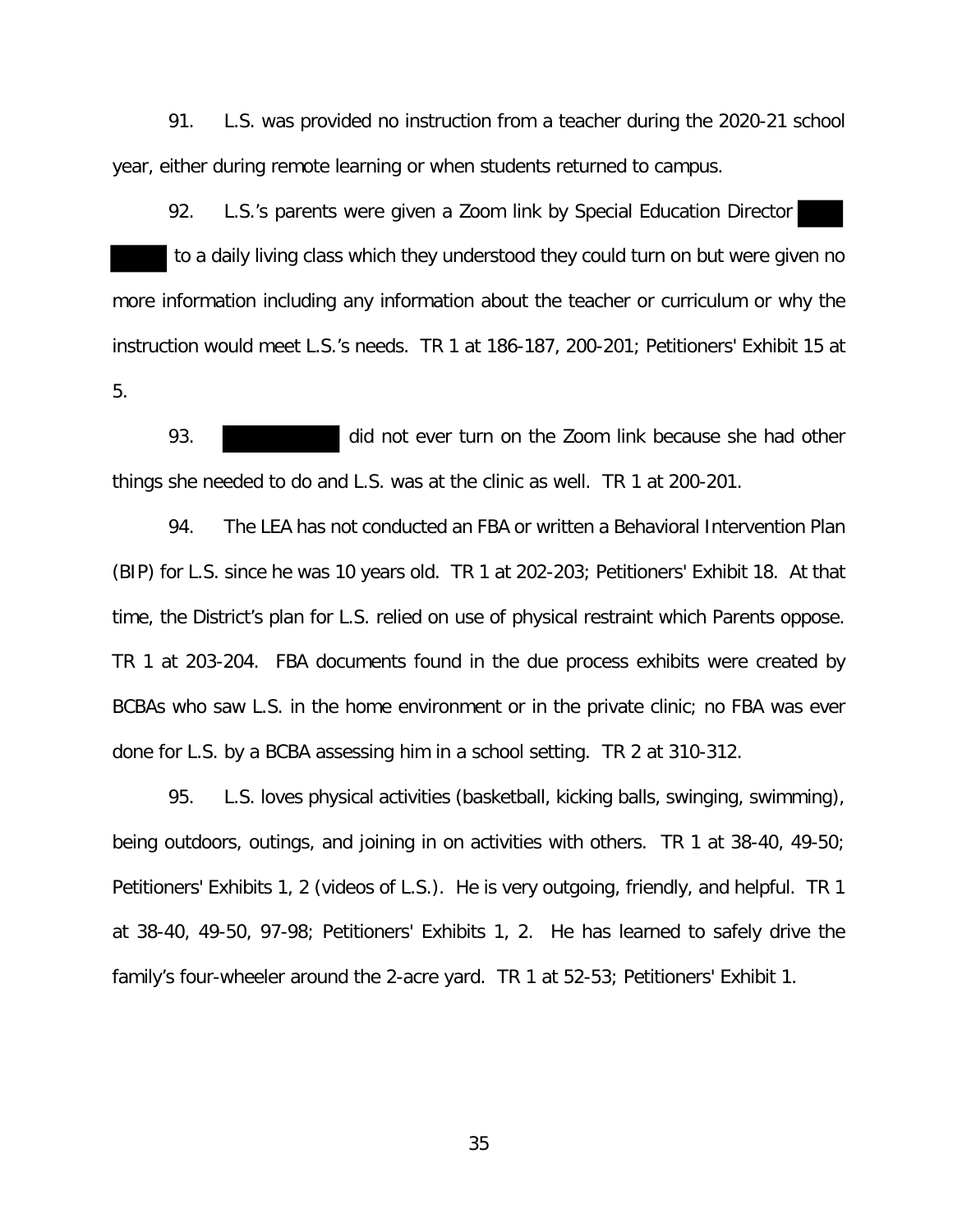91. L.S. was provided no instruction from a teacher during the 2020-21 school year, either during remote learning or when students returned to campus.

92. L.S.'s parents were given a Zoom link by Special Education Director to a daily living class which they understood they could turn on but were given no more information including any information about the teacher or curriculum or why the instruction would meet L.S.'s needs. TR 1 at 186-187, 200-201; Petitioners' Exhibit 15 at 5.

93. did not ever turn on the Zoom link because she had other things she needed to do and L.S. was at the clinic as well. TR 1 at 200-201.

94. The LEA has not conducted an FBA or written a Behavioral Intervention Plan (BIP) for L.S. since he was 10 years old. TR 1 at 202-203; Petitioners' Exhibit 18. At that time, the District's plan for L.S. relied on use of physical restraint which Parents oppose. TR 1 at 203-204. FBA documents found in the due process exhibits were created by BCBAs who saw L.S. in the home environment or in the private clinic; no FBA was ever done for L.S. by a BCBA assessing him in a school setting. TR 2 at 310-312.

95. L.S. loves physical activities (basketball, kicking balls, swinging, swimming), being outdoors, outings, and joining in on activities with others. TR 1 at 38-40, 49-50; Petitioners' Exhibits 1, 2 (videos of L.S.). He is very outgoing, friendly, and helpful. TR 1 at 38-40, 49-50, 97-98; Petitioners' Exhibits 1, 2. He has learned to safely drive the family's four-wheeler around the 2-acre yard. TR 1 at 52-53; Petitioners' Exhibit 1.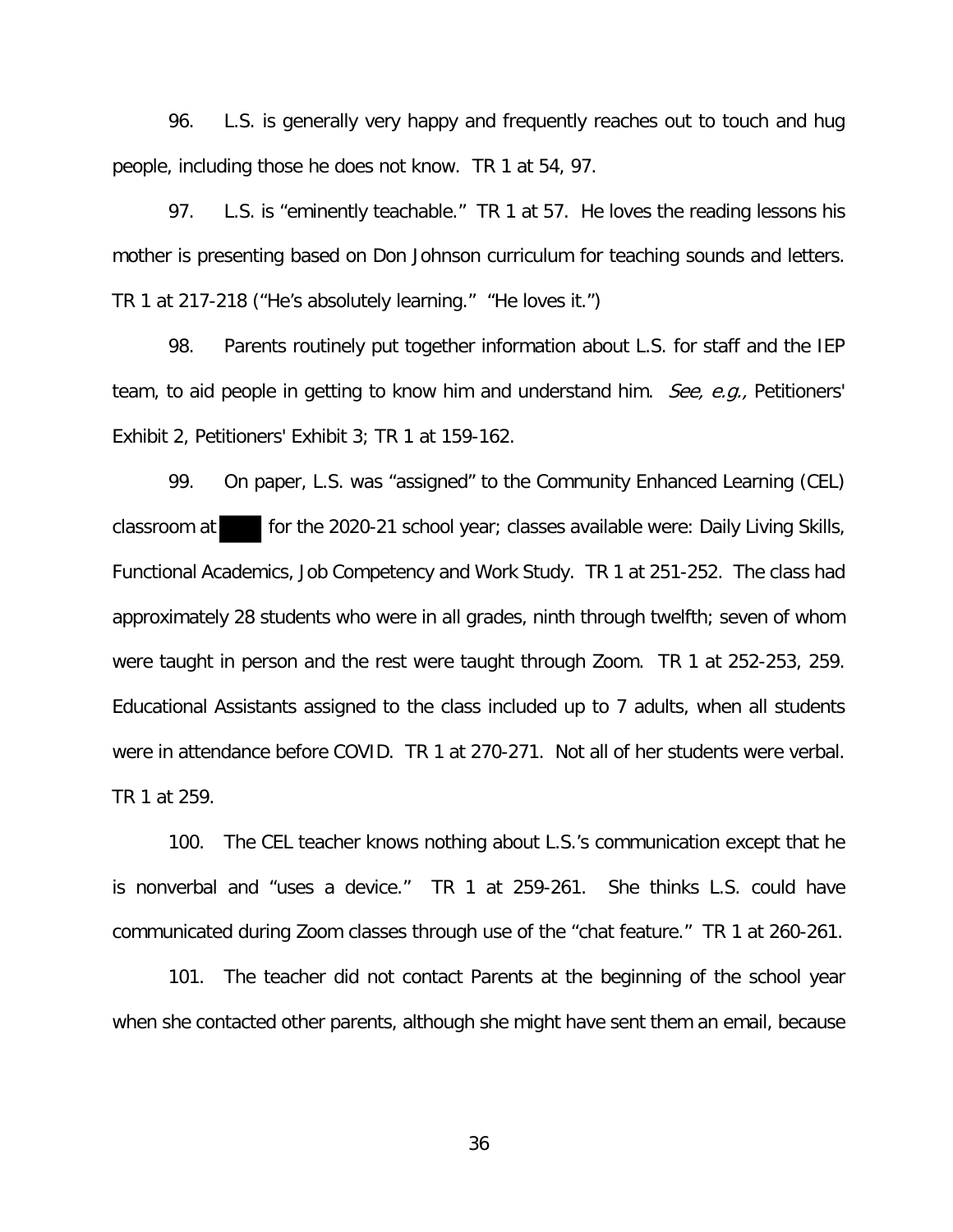96. L.S. is generally very happy and frequently reaches out to touch and hug people, including those he does not know. TR 1 at 54, 97.

97. L.S. is "eminently teachable." TR 1 at 57. He loves the reading lessons his mother is presenting based on Don Johnson curriculum for teaching sounds and letters. TR 1 at 217-218 ("He's absolutely learning." "He loves it.")

98. Parents routinely put together information about L.S. for staff and the IEP team, to aid people in getting to know him and understand him. See, e.g., Petitioners' Exhibit 2, Petitioners' Exhibit 3; TR 1 at 159-162.

99. On paper, L.S. was "assigned" to the Community Enhanced Learning (CEL) classroom at for the 2020-21 school year; classes available were: Daily Living Skills, Functional Academics, Job Competency and Work Study. TR 1 at 251-252. The class had approximately 28 students who were in all grades, ninth through twelfth; seven of whom were taught in person and the rest were taught through Zoom. TR 1 at 252-253, 259. Educational Assistants assigned to the class included up to 7 adults, when all students were in attendance before COVID. TR 1 at 270-271. Not all of her students were verbal. TR 1 at 259.

100. The CEL teacher knows nothing about L.S.'s communication except that he is nonverbal and "uses a device." TR 1 at 259-261. She thinks L.S. could have communicated during Zoom classes through use of the "chat feature." TR 1 at 260-261.

101. The teacher did not contact Parents at the beginning of the school year when she contacted other parents, although she might have sent them an email, because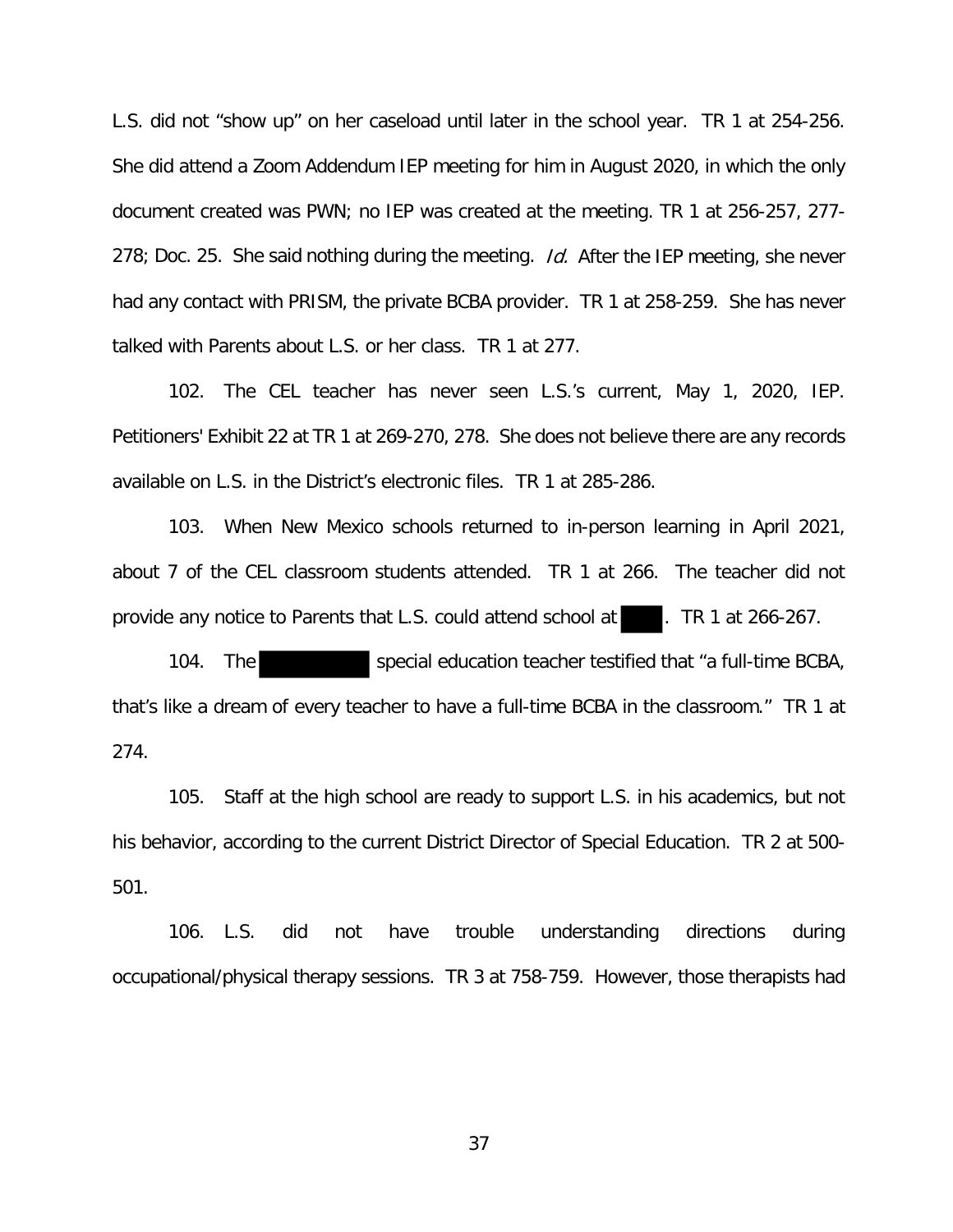L.S. did not "show up" on her caseload until later in the school year. TR 1 at 254-256. She did attend a Zoom Addendum IEP meeting for him in August 2020, in which the only document created was PWN; no IEP was created at the meeting. TR 1 at 256-257, 277- 278; Doc. 25. She said nothing during the meeting. Id. After the IEP meeting, she never had any contact with PRISM, the private BCBA provider. TR 1 at 258-259. She has never talked with Parents about L.S. or her class. TR 1 at 277.

102. The CEL teacher has never seen L.S.'s current, May 1, 2020, IEP. Petitioners' Exhibit 22 at TR 1 at 269-270, 278. She does not believe there are any records available on L.S. in the District's electronic files. TR 1 at 285-286.

103. When New Mexico schools returned to in-person learning in April 2021, about 7 of the CEL classroom students attended. TR 1 at 266. The teacher did not provide any notice to Parents that L.S. could attend school at . TR 1 at 266-267.

104. The special education teacher testified that "a full-time BCBA, that's like a dream of every teacher to have a full-time BCBA in the classroom." TR 1 at 274.

105. Staff at the high school are ready to support L.S. in his academics, but not his behavior, according to the current District Director of Special Education. TR 2 at 500- 501.

106. L.S. did not have trouble understanding directions during occupational/physical therapy sessions. TR 3 at 758-759. However, those therapists had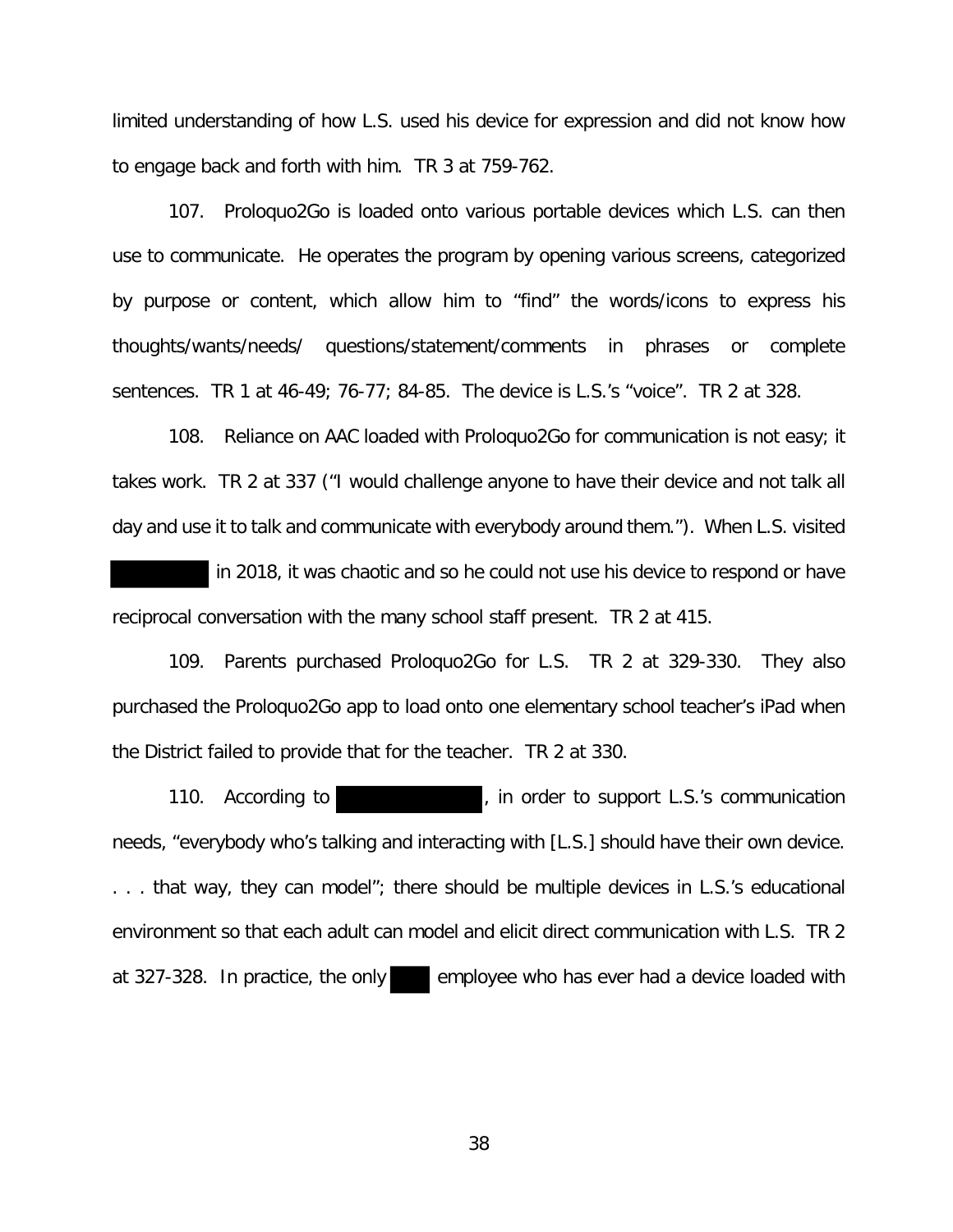limited understanding of how L.S. used his device for expression and did not know how to engage back and forth with him. TR 3 at 759-762.

107. Proloquo2Go is loaded onto various portable devices which L.S. can then use to communicate. He operates the program by opening various screens, categorized by purpose or content, which allow him to "find" the words/icons to express his thoughts/wants/needs/ questions/statement/comments in phrases or complete sentences. TR 1 at 46-49; 76-77; 84-85. The device is L.S.'s "voice". TR 2 at 328.

108. Reliance on AAC loaded with Proloquo2Go for communication is not easy; it takes work. TR 2 at 337 ("I would challenge anyone to have their device and not talk all day and use it to talk and communicate with everybody around them."). When L.S. visited

 in 2018, it was chaotic and so he could not use his device to respond or have reciprocal conversation with the many school staff present. TR 2 at 415.

109. Parents purchased Proloquo2Go for L.S. TR 2 at 329-330. They also purchased the Proloquo2Go app to load onto one elementary school teacher's iPad when the District failed to provide that for the teacher. TR 2 at 330.

110. According to **the support L.S.'s communication** needs, "everybody who's talking and interacting with [L.S.] should have their own device. . . . that way, they can model"; there should be multiple devices in L.S.'s educational environment so that each adult can model and elicit direct communication with L.S. TR 2 at 327-328. In practice, the only employee who has ever had a device loaded with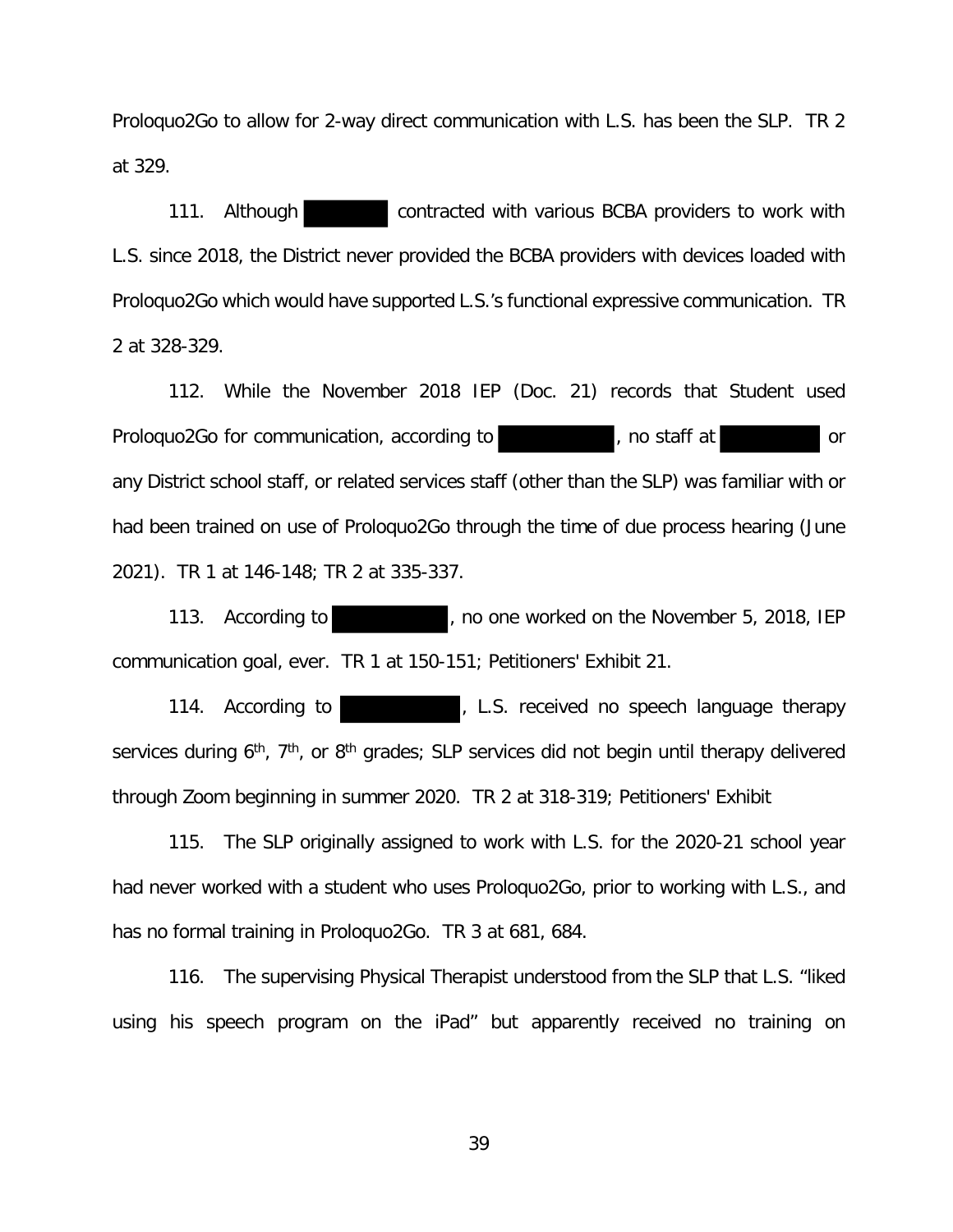Proloquo2Go to allow for 2-way direct communication with L.S. has been the SLP. TR 2 at 329.

111. Although contracted with various BCBA providers to work with L.S. since 2018, the District never provided the BCBA providers with devices loaded with Proloquo2Go which would have supported L.S.'s functional expressive communication. TR 2 at 328-329.

112. While the November 2018 IEP (Doc. 21) records that Student used Prologuo2Go for communication, according to provide the staff at the control or any District school staff, or related services staff (other than the SLP) was familiar with or had been trained on use of Proloquo2Go through the time of due process hearing (June 2021). TR 1 at 146-148; TR 2 at 335-337.

113. According to **the set of the November 5, 2018, IEP** communication goal, ever. TR 1 at 150-151; Petitioners' Exhibit 21.

114. According to **the summan endominator and in the set of the set of the set of the set of 114.** services during 6<sup>th</sup>, 7<sup>th</sup>, or 8<sup>th</sup> grades; SLP services did not begin until therapy delivered through Zoom beginning in summer 2020. TR 2 at 318-319; Petitioners' Exhibit

115. The SLP originally assigned to work with L.S. for the 2020-21 school year had never worked with a student who uses Proloquo2Go, prior to working with L.S., and has no formal training in Proloquo2Go. TR 3 at 681, 684.

116. The supervising Physical Therapist understood from the SLP that L.S. "liked using his speech program on the iPad" but apparently received no training on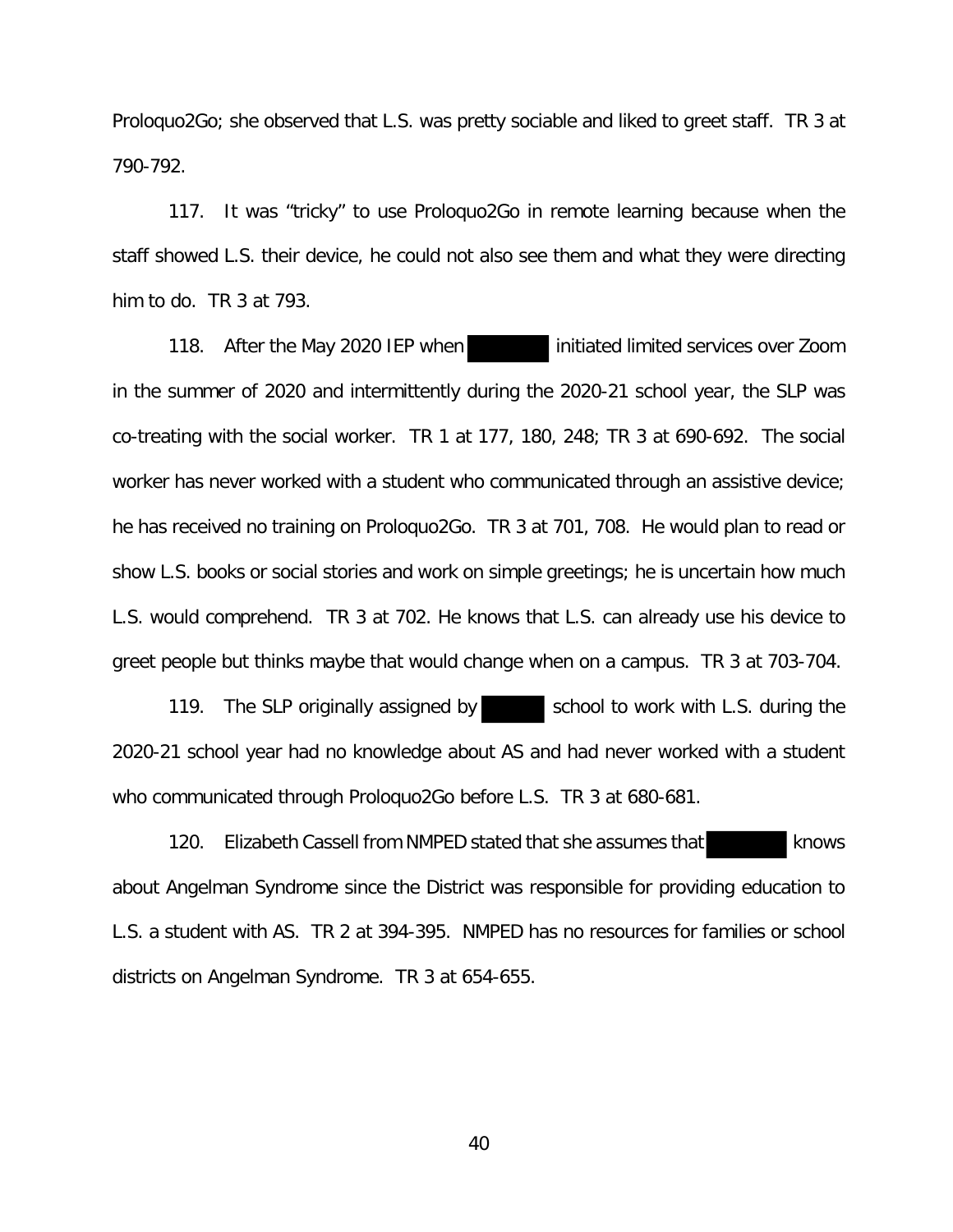Proloquo2Go; she observed that L.S. was pretty sociable and liked to greet staff. TR 3 at 790-792.

117. It was "tricky" to use Proloquo2Go in remote learning because when the staff showed L.S. their device, he could not also see them and what they were directing him to do. TR 3 at 793.

118. After the May 2020 IEP when initiated limited services over Zoom in the summer of 2020 and intermittently during the 2020-21 school year, the SLP was co-treating with the social worker. TR 1 at 177, 180, 248; TR 3 at 690-692. The social worker has never worked with a student who communicated through an assistive device; he has received no training on Proloquo2Go. TR 3 at 701, 708. He would plan to read or show L.S. books or social stories and work on simple greetings; he is uncertain how much L.S. would comprehend. TR 3 at 702. He knows that L.S. can already use his device to greet people but thinks maybe that would change when on a campus. TR 3 at 703-704.

119. The SLP originally assigned by school to work with L.S. during the 2020-21 school year had no knowledge about AS and had never worked with a student who communicated through Proloquo2Go before L.S. TR 3 at 680-681.

120. Elizabeth Cassell from NMPED stated that she assumes that knows about Angelman Syndrome since the District was responsible for providing education to L.S. a student with AS. TR 2 at 394-395. NMPED has no resources for families or school districts on Angelman Syndrome. TR 3 at 654-655.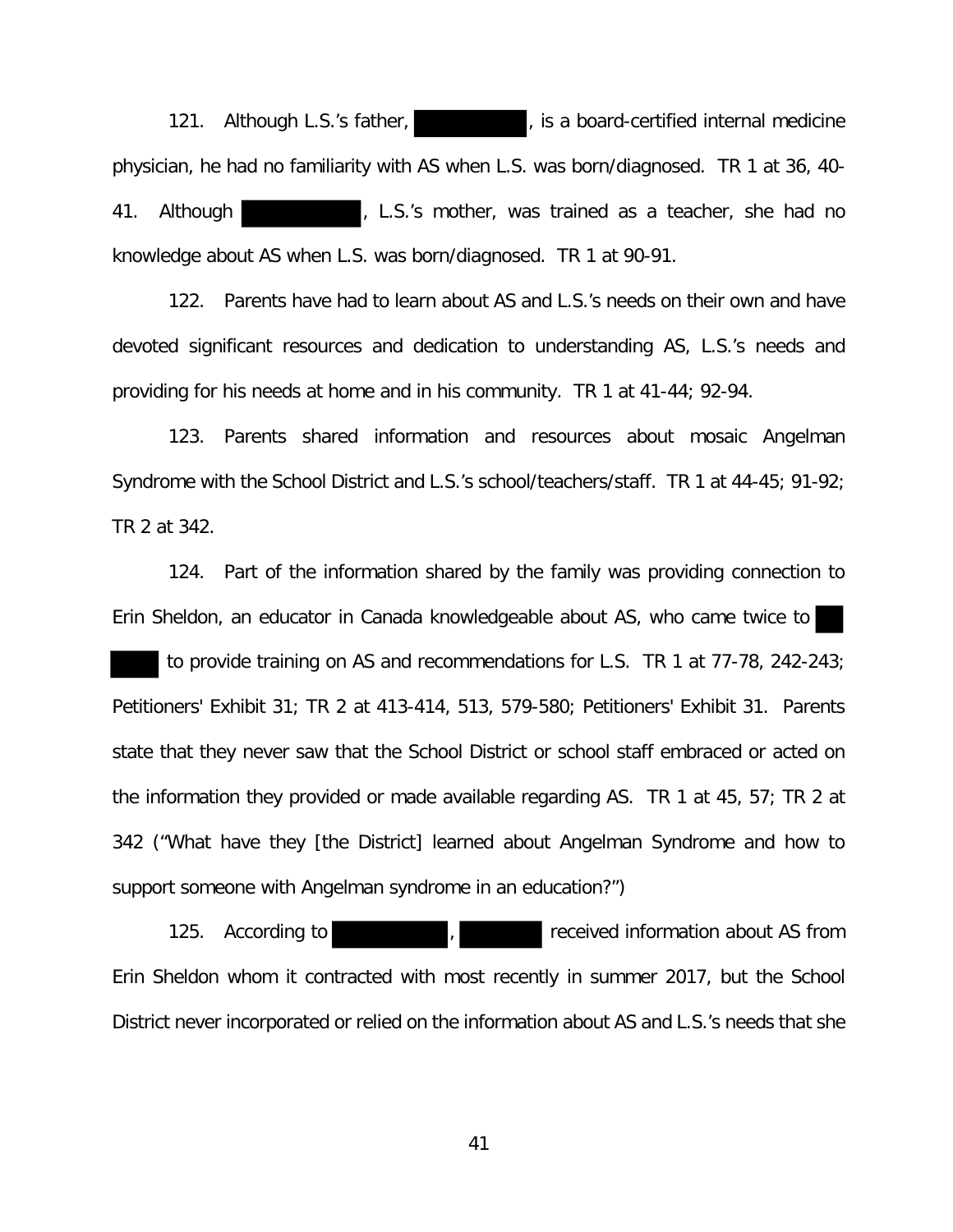121. Although L.S.'s father, **the summany state of the set of the set of the set of the set of the set of the set of the set of the set of the set of the set of the set of the set of the set of the set of the set of the se** physician, he had no familiarity with AS when L.S. was born/diagnosed. TR 1 at 36, 40- 41. Although , L.S.'s mother, was trained as a teacher, she had no knowledge about AS when L.S. was born/diagnosed. TR 1 at 90-91.

122. Parents have had to learn about AS and L.S.'s needs on their own and have devoted significant resources and dedication to understanding AS, L.S.'s needs and providing for his needs at home and in his community. TR 1 at 41-44; 92-94.

123. Parents shared information and resources about mosaic Angelman Syndrome with the School District and L.S.'s school/teachers/staff. TR 1 at 44-45; 91-92; TR 2 at 342.

124. Part of the information shared by the family was providing connection to Erin Sheldon, an educator in Canada knowledgeable about AS, who came twice to

 to provide training on AS and recommendations for L.S. TR 1 at 77-78, 242-243; Petitioners' Exhibit 31; TR 2 at 413-414, 513, 579-580; Petitioners' Exhibit 31. Parents state that they never saw that the School District or school staff embraced or acted on the information they provided or made available regarding AS. TR 1 at 45, 57; TR 2 at 342 ("What have they [the District] learned about Angelman Syndrome and how to support someone with Angelman syndrome in an education?")

125. According to **the contract of the contract of the contract of the contract of the contract of the contract of the contract of the contract of the contract of the contract of the contract of the contract of the contrac** Erin Sheldon whom it contracted with most recently in summer 2017, but the School District never incorporated or relied on the information about AS and L.S.'s needs that she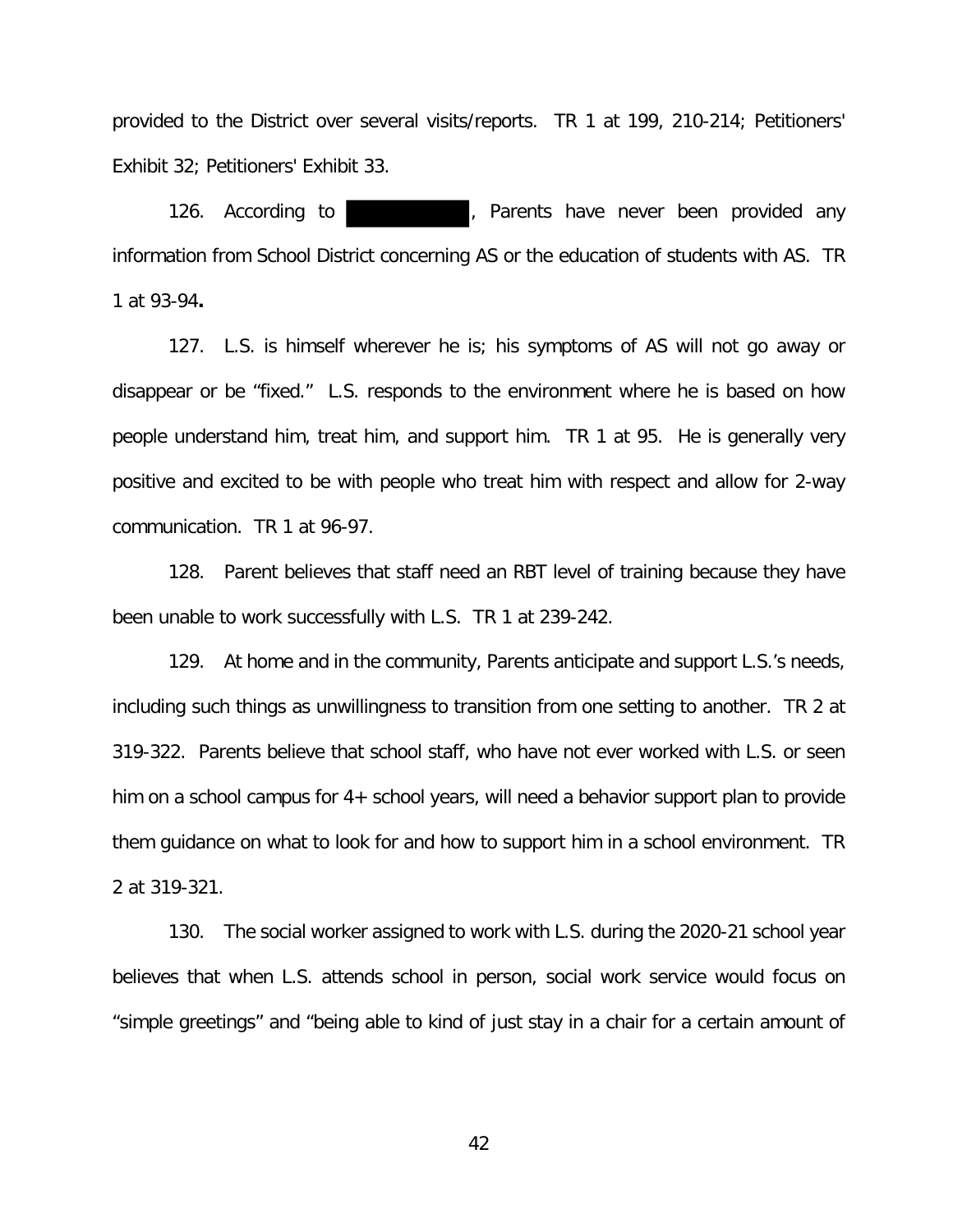provided to the District over several visits/reports. TR 1 at 199, 210-214; Petitioners' Exhibit 32; Petitioners' Exhibit 33.

126. According to **the summany of the set of the set of the set of the set of the set of the set of the set of the set of the set of the set of the set of the set of the set of the set of the set of the set of the set of t** information from School District concerning AS or the education of students with AS. TR 1 at 93-94**.** 

127. L.S. is himself wherever he is; his symptoms of AS will not go away or disappear or be "fixed." L.S. responds to the environment where he is based on how people understand him, treat him, and support him. TR 1 at 95. He is generally very positive and excited to be with people who treat him with respect and allow for 2-way communication. TR 1 at 96-97.

128. Parent believes that staff need an RBT level of training because they have been unable to work successfully with L.S. TR 1 at 239-242.

129. At home and in the community, Parents anticipate and support L.S.'s needs, including such things as unwillingness to transition from one setting to another. TR 2 at 319-322. Parents believe that school staff, who have not ever worked with L.S. or seen him on a school campus for 4+ school years, will need a behavior support plan to provide them guidance on what to look for and how to support him in a school environment. TR 2 at 319-321.

130. The social worker assigned to work with L.S. during the 2020-21 school year believes that when L.S. attends school in person, social work service would focus on "simple greetings" and "being able to kind of just stay in a chair for a certain amount of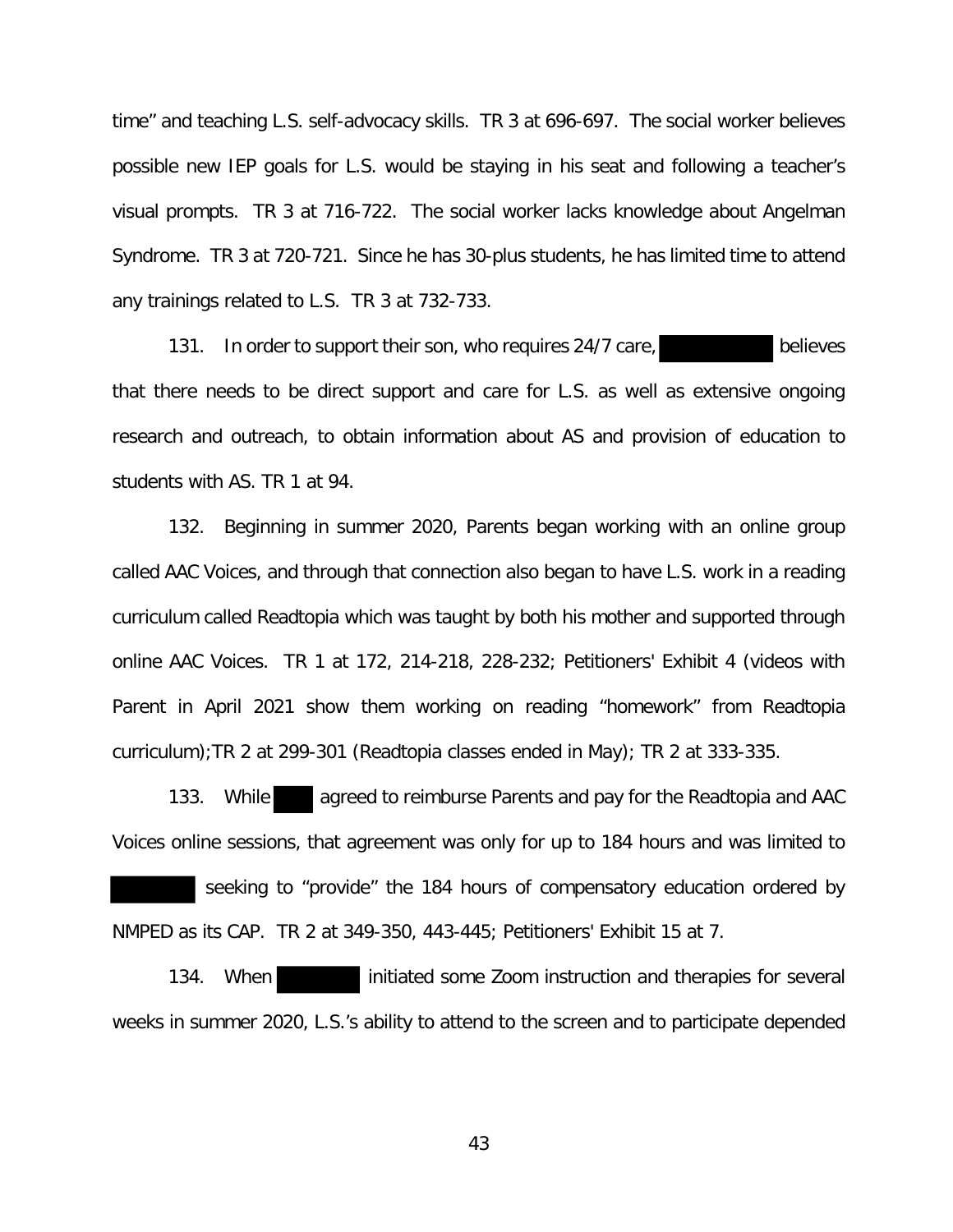time" and teaching L.S. self-advocacy skills. TR 3 at 696-697. The social worker believes possible new IEP goals for L.S. would be staying in his seat and following a teacher's visual prompts. TR 3 at 716-722. The social worker lacks knowledge about Angelman Syndrome. TR 3 at 720-721. Since he has 30-plus students, he has limited time to attend any trainings related to L.S. TR 3 at 732-733.

131. In order to support their son, who requires 24/7 care, but believes that there needs to be direct support and care for L.S. as well as extensive ongoing research and outreach, to obtain information about AS and provision of education to students with AS. TR 1 at 94.

132. Beginning in summer 2020, Parents began working with an online group called AAC Voices, and through that connection also began to have L.S. work in a reading curriculum called Readtopia which was taught by both his mother and supported through online AAC Voices. TR 1 at 172, 214-218, 228-232; Petitioners' Exhibit 4 (videos with Parent in April 2021 show them working on reading "homework" from Readtopia curriculum);TR 2 at 299-301 (Readtopia classes ended in May); TR 2 at 333-335.

133. While agreed to reimburse Parents and pay for the Readtopia and AAC Voices online sessions, that agreement was only for up to 184 hours and was limited to seeking to "provide" the 184 hours of compensatory education ordered by NMPED as its CAP. TR 2 at 349-350, 443-445; Petitioners' Exhibit 15 at 7.

134. When initiated some Zoom instruction and therapies for several weeks in summer 2020, L.S.'s ability to attend to the screen and to participate depended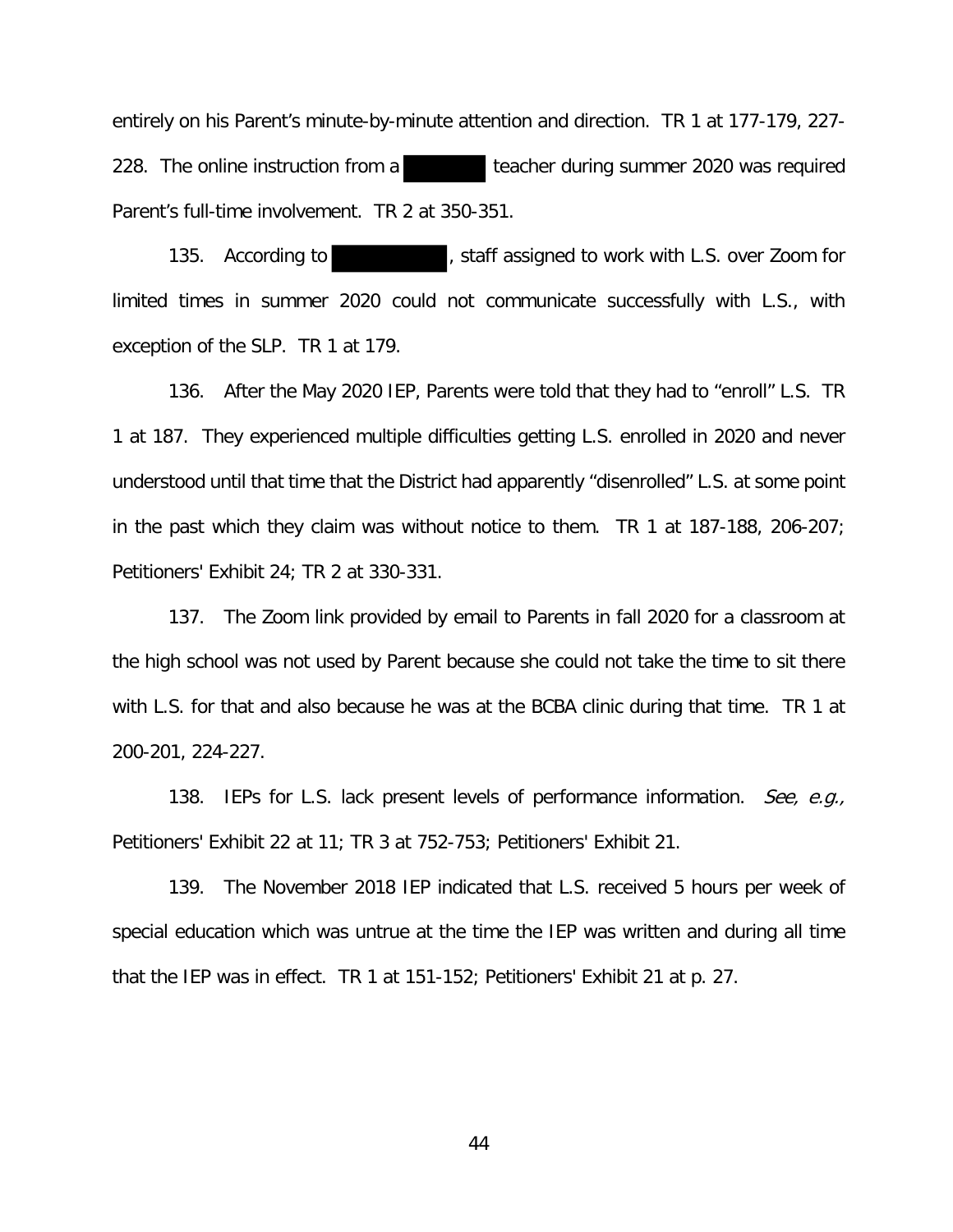entirely on his Parent's minute-by-minute attention and direction. TR 1 at 177-179, 227- 228. The online instruction from a teacher during summer 2020 was required Parent's full-time involvement. TR 2 at 350-351.

135. According to **the set of the statust**, staff assigned to work with L.S. over Zoom for limited times in summer 2020 could not communicate successfully with L.S., with exception of the SLP. TR 1 at 179.

136. After the May 2020 IEP, Parents were told that they had to "enroll" L.S. TR 1 at 187. They experienced multiple difficulties getting L.S. enrolled in 2020 and never understood until that time that the District had apparently "disenrolled" L.S. at some point in the past which they claim was without notice to them. TR 1 at 187-188, 206-207; Petitioners' Exhibit 24; TR 2 at 330-331.

137. The Zoom link provided by email to Parents in fall 2020 for a classroom at the high school was not used by Parent because she could not take the time to sit there with L.S. for that and also because he was at the BCBA clinic during that time. TR 1 at 200-201, 224-227.

138. IEPs for L.S. lack present levels of performance information. See, e.g., Petitioners' Exhibit 22 at 11; TR 3 at 752-753; Petitioners' Exhibit 21.

139. The November 2018 IEP indicated that L.S. received 5 hours per week of special education which was untrue at the time the IEP was written and during all time that the IEP was in effect. TR 1 at 151-152; Petitioners' Exhibit 21 at p. 27.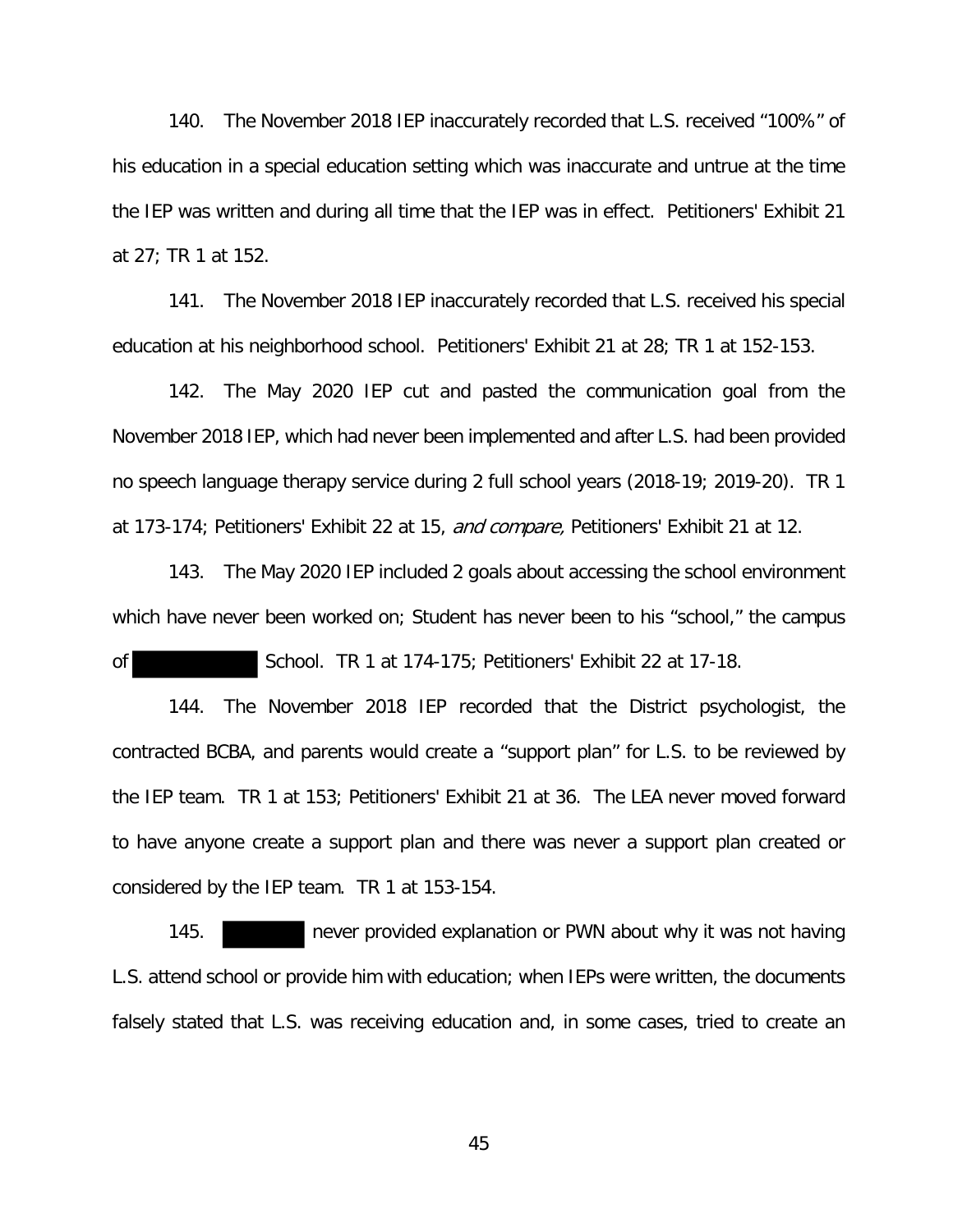140. The November 2018 IEP inaccurately recorded that L.S. received "100%" of his education in a special education setting which was inaccurate and untrue at the time the IEP was written and during all time that the IEP was in effect. Petitioners' Exhibit 21 at 27; TR 1 at 152.

141. The November 2018 IEP inaccurately recorded that L.S. received his special education at his neighborhood school. Petitioners' Exhibit 21 at 28; TR 1 at 152-153.

142. The May 2020 IEP cut and pasted the communication goal from the November 2018 IEP, which had never been implemented and after L.S. had been provided no speech language therapy service during 2 full school years (2018-19; 2019-20). TR 1 at 173-174; Petitioners' Exhibit 22 at 15, and compare, Petitioners' Exhibit 21 at 12.

143. The May 2020 IEP included 2 goals about accessing the school environment which have never been worked on; Student has never been to his "school," the campus

of School. TR 1 at 174-175; Petitioners' Exhibit 22 at 17-18.

144. The November 2018 IEP recorded that the District psychologist, the contracted BCBA, and parents would create a "support plan" for L.S. to be reviewed by the IEP team. TR 1 at 153; Petitioners' Exhibit 21 at 36. The LEA never moved forward to have anyone create a support plan and there was never a support plan created or considered by the IEP team. TR 1 at 153-154.

145. never provided explanation or PWN about why it was not having L.S. attend school or provide him with education; when IEPs were written, the documents falsely stated that L.S. was receiving education and, in some cases, tried to create an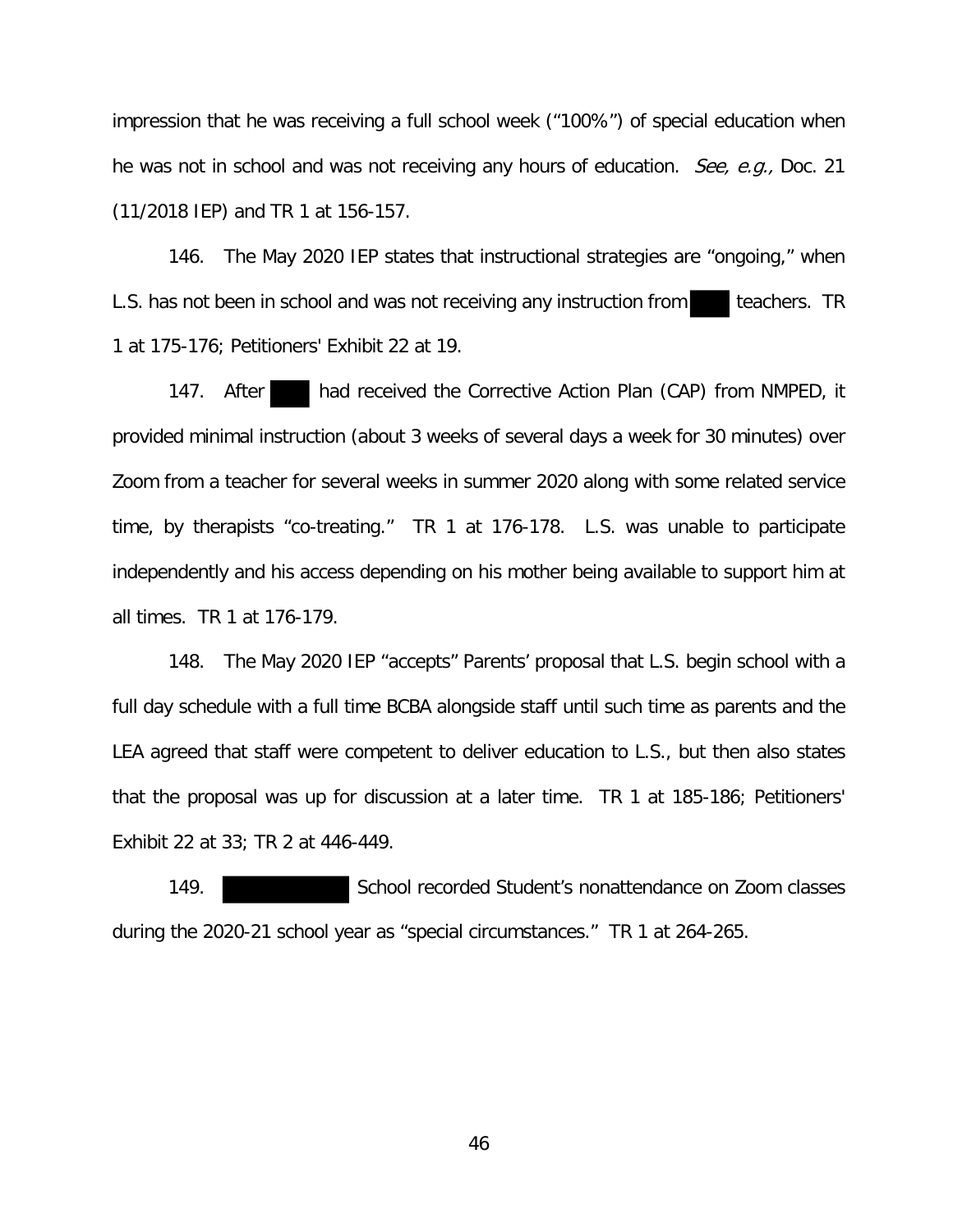impression that he was receiving a full school week ("100%") of special education when he was not in school and was not receiving any hours of education. See, e.g., Doc. 21 (11/2018 IEP) and TR 1 at 156-157.

146. The May 2020 IEP states that instructional strategies are "ongoing," when L.S. has not been in school and was not receiving any instruction from teachers. TR 1 at 175-176; Petitioners' Exhibit 22 at 19.

147. After had received the Corrective Action Plan (CAP) from NMPED, it provided minimal instruction (about 3 weeks of several days a week for 30 minutes) over Zoom from a teacher for several weeks in summer 2020 along with some related service time, by therapists "co-treating." TR 1 at 176-178. L.S. was unable to participate independently and his access depending on his mother being available to support him at all times. TR 1 at 176-179.

148. The May 2020 IEP "accepts" Parents' proposal that L.S. begin school with a full day schedule with a full time BCBA alongside staff until such time as parents and the LEA agreed that staff were competent to deliver education to L.S., but then also states that the proposal was up for discussion at a later time. TR 1 at 185-186; Petitioners' Exhibit 22 at 33; TR 2 at 446-449.

149. School recorded Student's nonattendance on Zoom classes during the 2020-21 school year as "special circumstances." TR 1 at 264-265.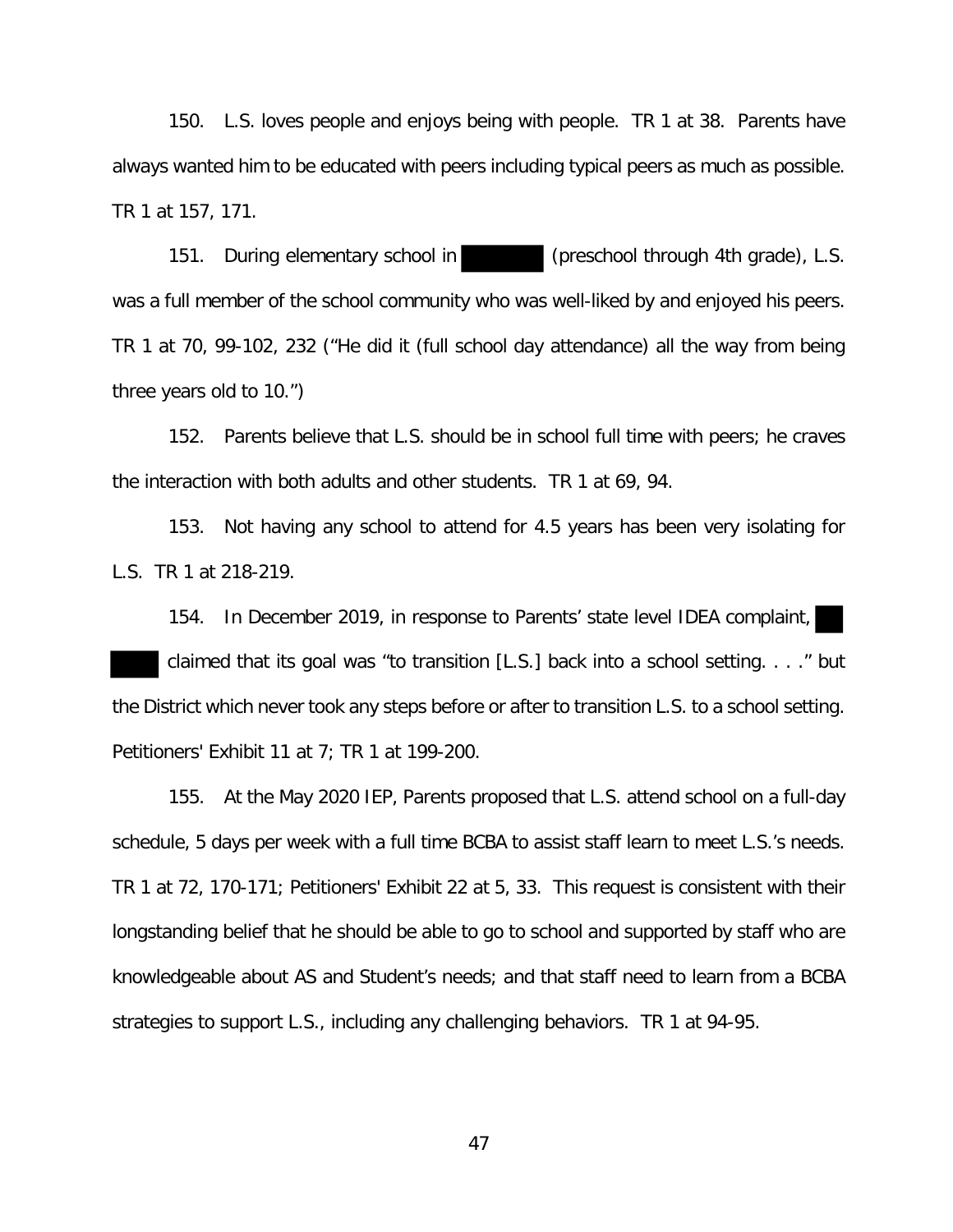150. L.S. loves people and enjoys being with people. TR 1 at 38. Parents have always wanted him to be educated with peers including typical peers as much as possible. TR 1 at 157, 171.

151. During elementary school in (preschool through 4th grade), L.S. was a full member of the school community who was well-liked by and enjoyed his peers. TR 1 at 70, 99-102, 232 ("He did it (full school day attendance) all the way from being three years old to 10.")

152. Parents believe that L.S. should be in school full time with peers; he craves the interaction with both adults and other students. TR 1 at 69, 94.

153. Not having any school to attend for 4.5 years has been very isolating for L.S. TR 1 at 218-219.

154. In December 2019, in response to Parents' state level IDEA complaint, claimed that its goal was "to transition [L.S.] back into a school setting. . . ." but the District which never took any steps before or after to transition L.S. to a school setting. Petitioners' Exhibit 11 at 7; TR 1 at 199-200.

155. At the May 2020 IEP, Parents proposed that L.S. attend school on a full-day schedule, 5 days per week with a full time BCBA to assist staff learn to meet L.S.'s needs. TR 1 at 72, 170-171; Petitioners' Exhibit 22 at 5, 33. This request is consistent with their longstanding belief that he should be able to go to school and supported by staff who are knowledgeable about AS and Student's needs; and that staff need to learn from a BCBA strategies to support L.S., including any challenging behaviors. TR 1 at 94-95.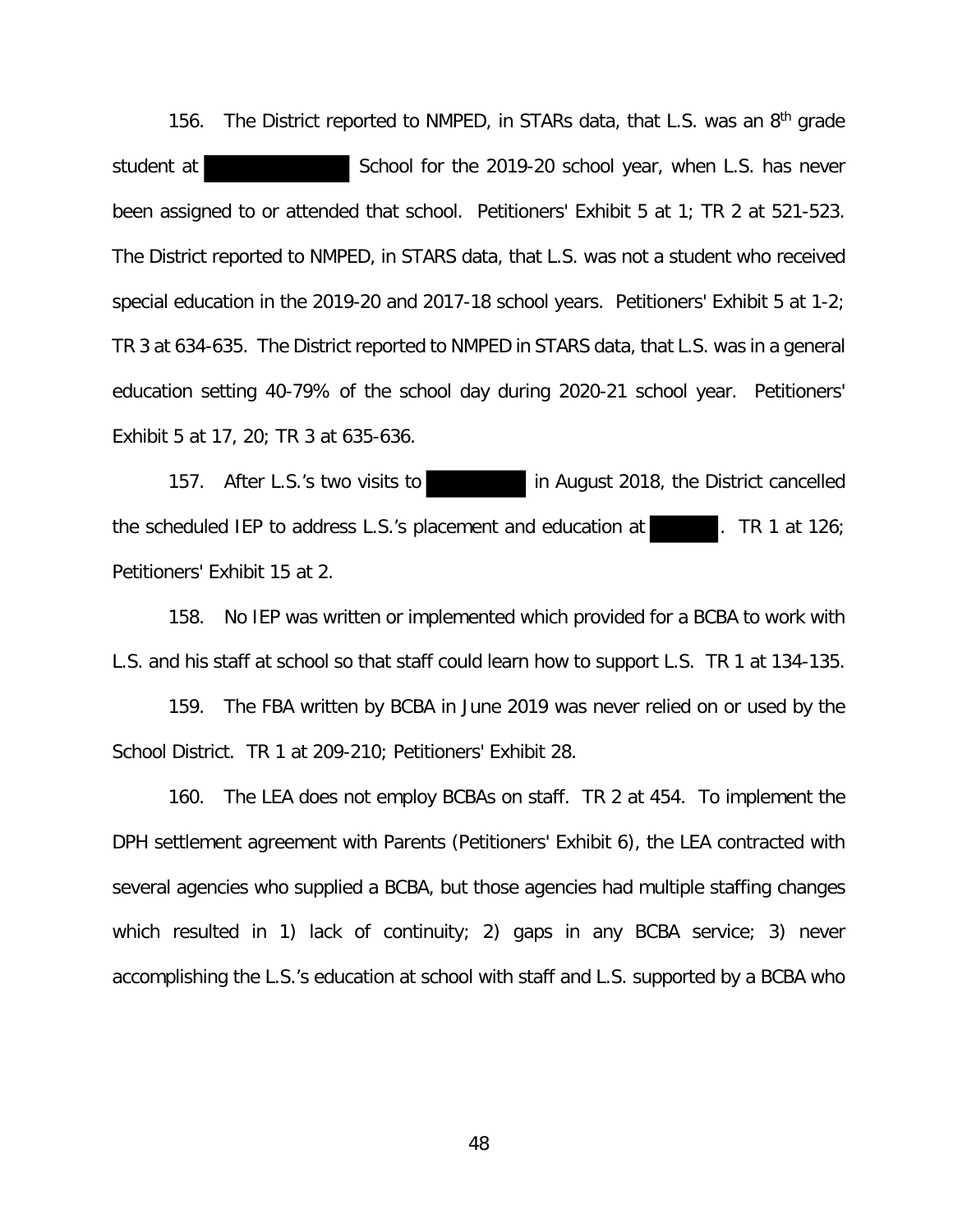156. The District reported to NMPED, in STARs data, that L.S. was an 8<sup>th</sup> grade student at School for the 2019-20 school year, when L.S. has never been assigned to or attended that school. Petitioners' Exhibit 5 at 1; TR 2 at 521-523. The District reported to NMPED, in STARS data, that L.S. was not a student who received special education in the 2019-20 and 2017-18 school years. Petitioners' Exhibit 5 at 1-2; TR 3 at 634-635. The District reported to NMPED in STARS data, that L.S. was in a general education setting 40-79% of the school day during 2020-21 school year. Petitioners' Exhibit 5 at 17, 20; TR 3 at 635-636.

157. After L.S.'s two visits to in August 2018, the District cancelled the scheduled IEP to address L.S.'s placement and education at  $\blacksquare$ . TR 1 at 126; Petitioners' Exhibit 15 at 2.

158. No IEP was written or implemented which provided for a BCBA to work with L.S. and his staff at school so that staff could learn how to support L.S. TR 1 at 134-135.

159. The FBA written by BCBA in June 2019 was never relied on or used by the School District. TR 1 at 209-210; Petitioners' Exhibit 28.

160. The LEA does not employ BCBAs on staff. TR 2 at 454. To implement the DPH settlement agreement with Parents (Petitioners' Exhibit 6), the LEA contracted with several agencies who supplied a BCBA, but those agencies had multiple staffing changes which resulted in 1) lack of continuity; 2) gaps in any BCBA service; 3) never accomplishing the L.S.'s education at school with staff and L.S. supported by a BCBA who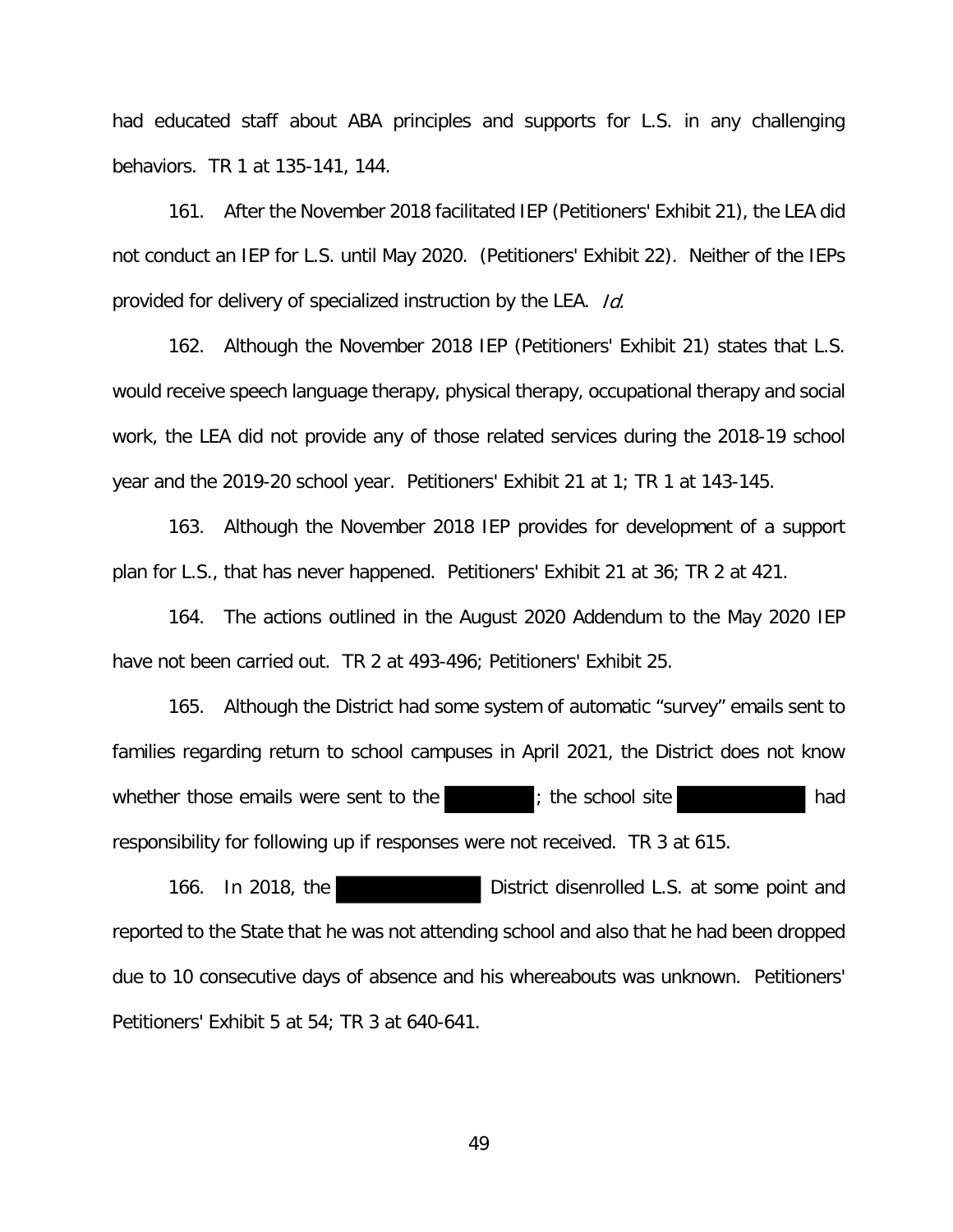had educated staff about ABA principles and supports for L.S. in any challenging behaviors. TR 1 at 135-141, 144.

161. After the November 2018 facilitated IEP (Petitioners' Exhibit 21), the LEA did not conduct an IEP for L.S. until May 2020. (Petitioners' Exhibit 22). Neither of the IEPs provided for delivery of specialized instruction by the LEA. Id.

162. Although the November 2018 IEP (Petitioners' Exhibit 21) states that L.S. would receive speech language therapy, physical therapy, occupational therapy and social work, the LEA did not provide any of those related services during the 2018-19 school year and the 2019-20 school year. Petitioners' Exhibit 21 at 1; TR 1 at 143-145.

163. Although the November 2018 IEP provides for development of a support plan for L.S., that has never happened. Petitioners' Exhibit 21 at 36; TR 2 at 421.

164. The actions outlined in the August 2020 Addendum to the May 2020 IEP have not been carried out. TR 2 at 493-496; Petitioners' Exhibit 25.

165. Although the District had some system of automatic "survey" emails sent to families regarding return to school campuses in April 2021, the District does not know whether those emails were sent to the state is the school site responsibility for following up if responses were not received. TR 3 at 615.

166. In 2018, the District disenrolled L.S. at some point and reported to the State that he was not attending school and also that he had been dropped due to 10 consecutive days of absence and his whereabouts was unknown. Petitioners' Petitioners' Exhibit 5 at 54; TR 3 at 640-641.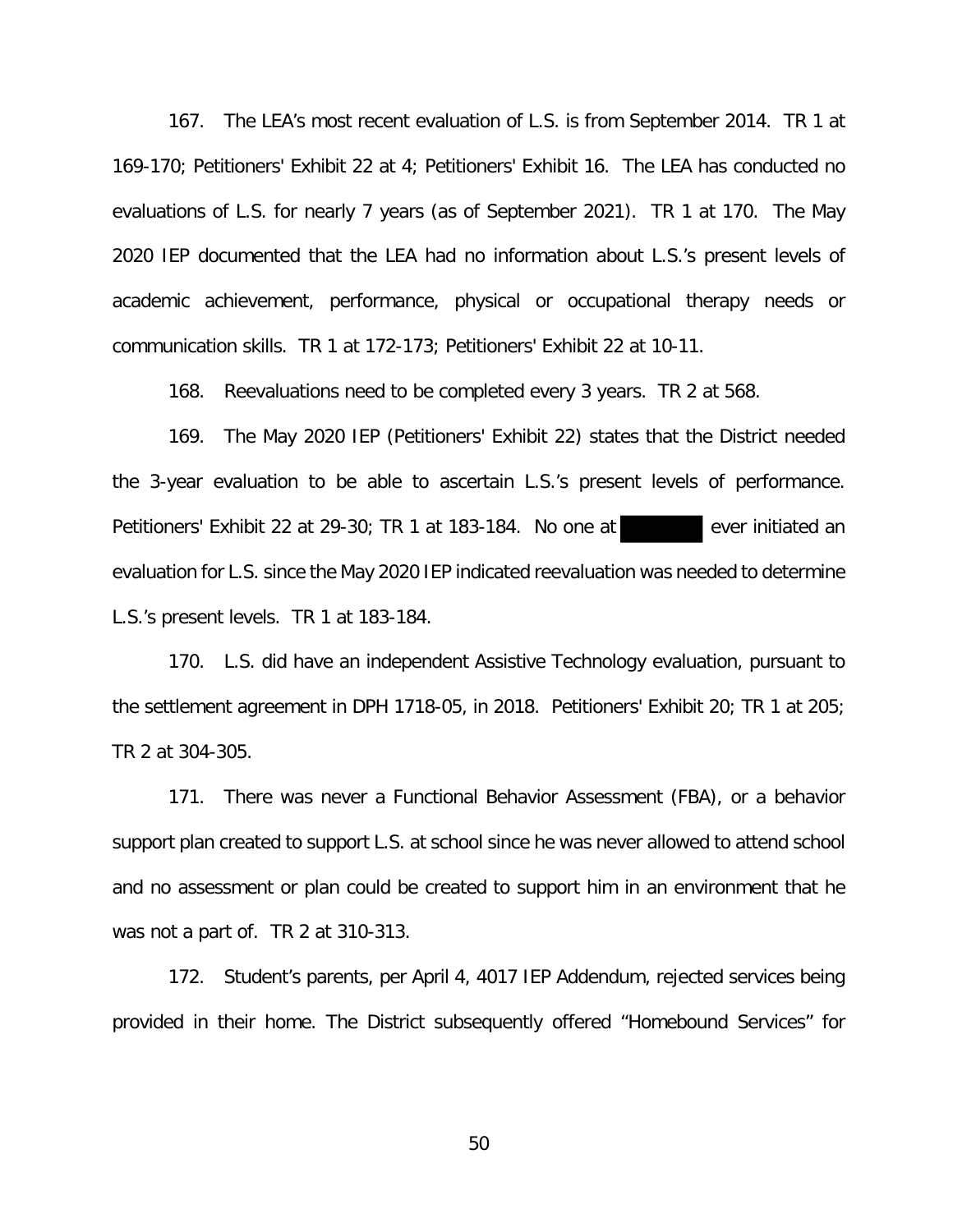167. The LEA's most recent evaluation of L.S. is from September 2014. TR 1 at 169-170; Petitioners' Exhibit 22 at 4; Petitioners' Exhibit 16. The LEA has conducted no evaluations of L.S. for nearly 7 years (as of September 2021). TR 1 at 170. The May 2020 IEP documented that the LEA had no information about L.S.'s present levels of academic achievement, performance, physical or occupational therapy needs or communication skills. TR 1 at 172-173; Petitioners' Exhibit 22 at 10-11.

168. Reevaluations need to be completed every 3 years. TR 2 at 568.

169. The May 2020 IEP (Petitioners' Exhibit 22) states that the District needed the 3-year evaluation to be able to ascertain L.S.'s present levels of performance. Petitioners' Exhibit 22 at 29-30; TR 1 at 183-184. No one at ever initiated an evaluation for L.S. since the May 2020 IEP indicated reevaluation was needed to determine L.S.'s present levels. TR 1 at 183-184.

170. L.S. did have an independent Assistive Technology evaluation, pursuant to the settlement agreement in DPH 1718-05, in 2018. Petitioners' Exhibit 20; TR 1 at 205; TR 2 at 304-305.

171. There was never a Functional Behavior Assessment (FBA), or a behavior support plan created to support L.S. at school since he was never allowed to attend school and no assessment or plan could be created to support him in an environment that he was not a part of. TR 2 at 310-313.

172. Student's parents, per April 4, 4017 IEP Addendum, rejected services being provided in their home. The District subsequently offered "Homebound Services" for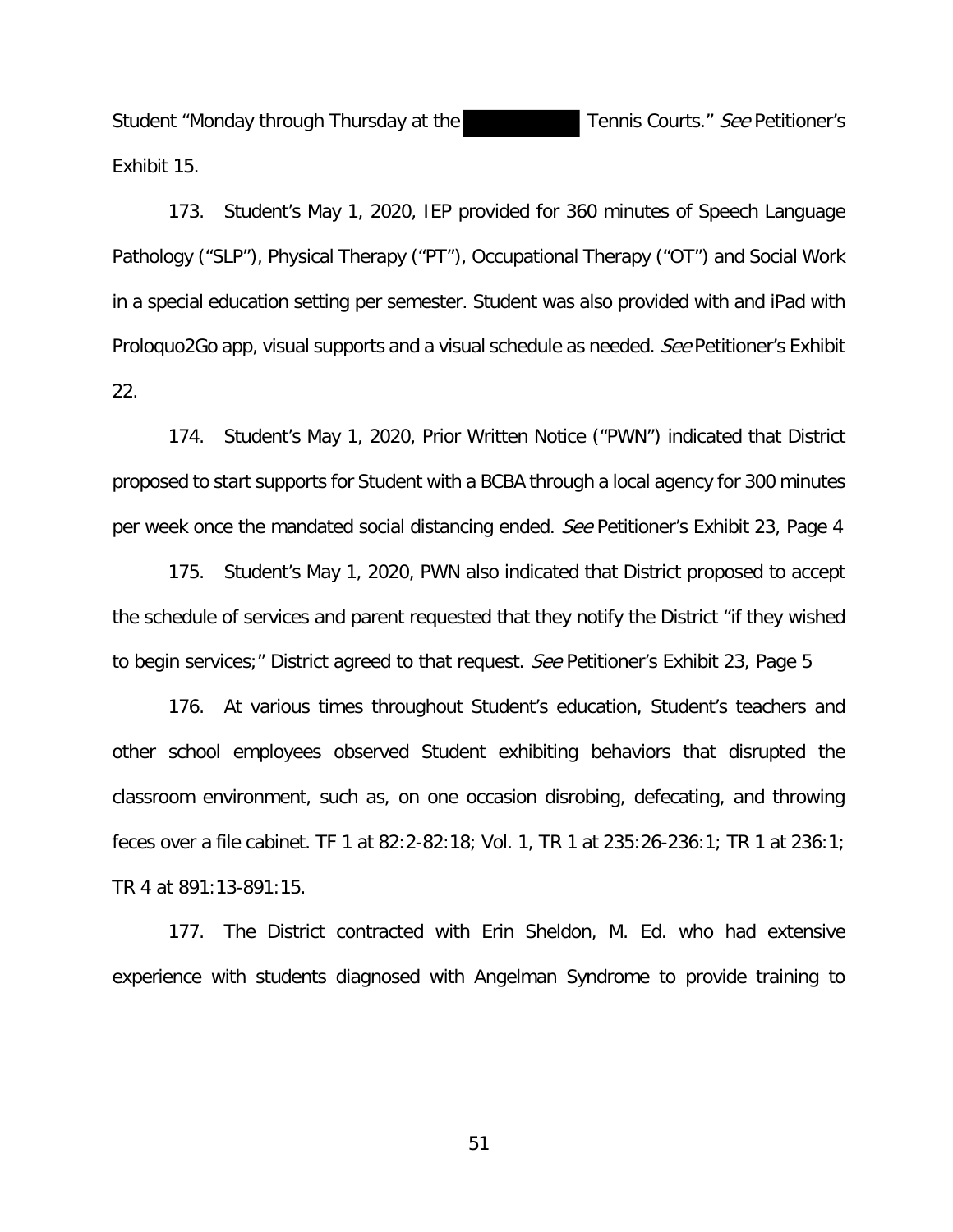Student "Monday through Thursday at the Tennis Courts." See Petitioner's Exhibit 15.

173. Student's May 1, 2020, IEP provided for 360 minutes of Speech Language Pathology ("SLP"), Physical Therapy ("PT"), Occupational Therapy ("OT") and Social Work in a special education setting per semester. Student was also provided with and iPad with Proloquo2Go app, visual supports and a visual schedule as needed. See Petitioner's Exhibit 22.

174. Student's May 1, 2020, Prior Written Notice ("PWN") indicated that District proposed to start supports for Student with a BCBA through a local agency for 300 minutes per week once the mandated social distancing ended. See Petitioner's Exhibit 23, Page 4

175. Student's May 1, 2020, PWN also indicated that District proposed to accept the schedule of services and parent requested that they notify the District "if they wished to begin services;" District agreed to that request. See Petitioner's Exhibit 23, Page 5

176. At various times throughout Student's education, Student's teachers and other school employees observed Student exhibiting behaviors that disrupted the classroom environment, such as, on one occasion disrobing, defecating, and throwing feces over a file cabinet. TF 1 at 82:2-82:18; Vol. 1, TR 1 at 235:26-236:1; TR 1 at 236:1; TR 4 at 891:13-891:15.

177. The District contracted with Erin Sheldon, M. Ed. who had extensive experience with students diagnosed with Angelman Syndrome to provide training to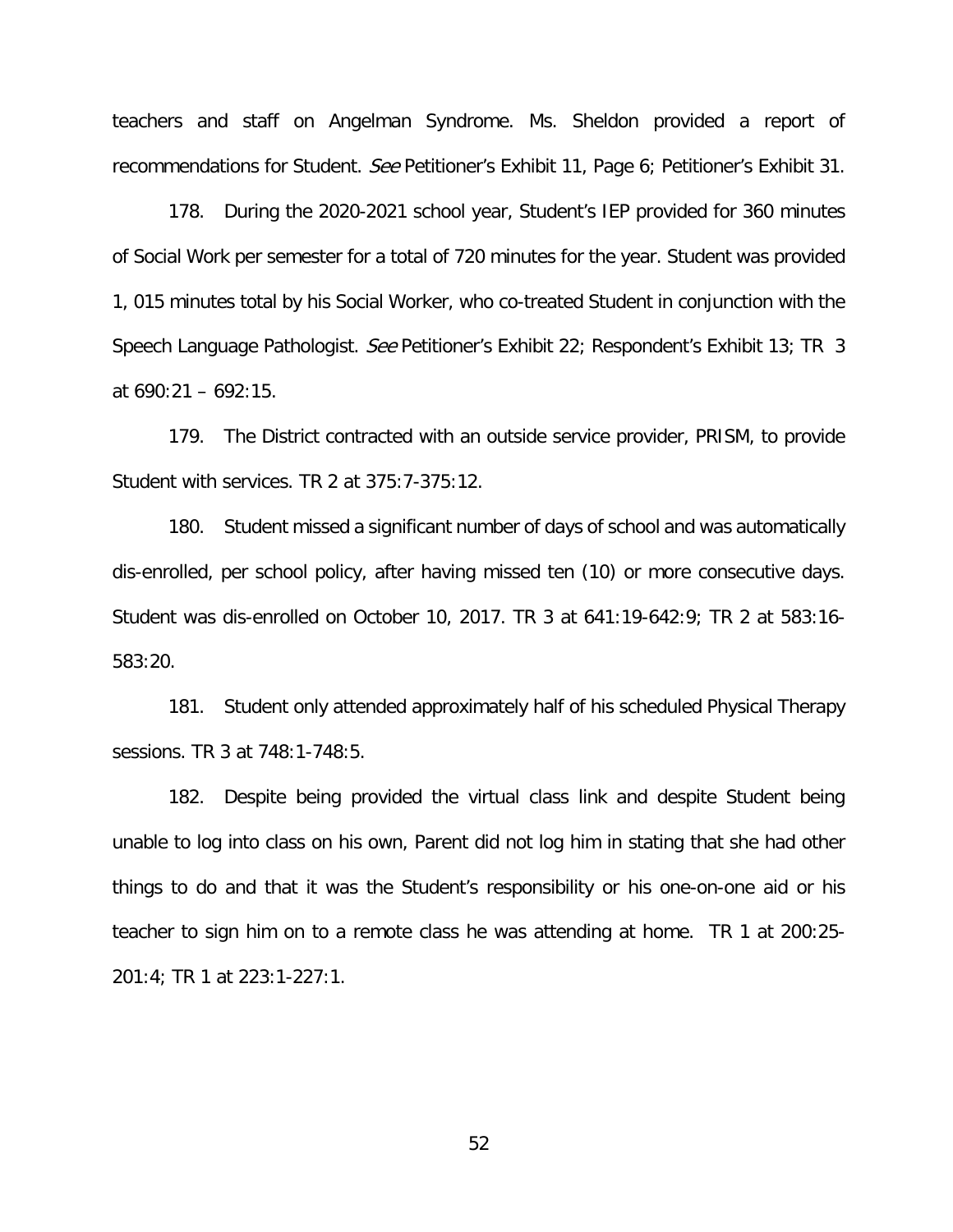teachers and staff on Angelman Syndrome. Ms. Sheldon provided a report of recommendations for Student. See Petitioner's Exhibit 11, Page 6; Petitioner's Exhibit 31.

178. During the 2020-2021 school year, Student's IEP provided for 360 minutes of Social Work per semester for a total of 720 minutes for the year. Student was provided 1, 015 minutes total by his Social Worker, who co-treated Student in conjunction with the Speech Language Pathologist. See Petitioner's Exhibit 22; Respondent's Exhibit 13; TR 3 at 690:21 – 692:15.

179. The District contracted with an outside service provider, PRISM, to provide Student with services. TR 2 at 375:7-375:12.

180. Student missed a significant number of days of school and was automatically dis-enrolled, per school policy, after having missed ten (10) or more consecutive days. Student was dis-enrolled on October 10, 2017. TR 3 at 641:19-642:9; TR 2 at 583:16- 583:20.

181. Student only attended approximately half of his scheduled Physical Therapy sessions. TR 3 at 748:1-748:5.

182. Despite being provided the virtual class link and despite Student being unable to log into class on his own, Parent did not log him in stating that she had other things to do and that it was the Student's responsibility or his one-on-one aid or his teacher to sign him on to a remote class he was attending at home. TR 1 at 200:25- 201:4; TR 1 at 223:1-227:1.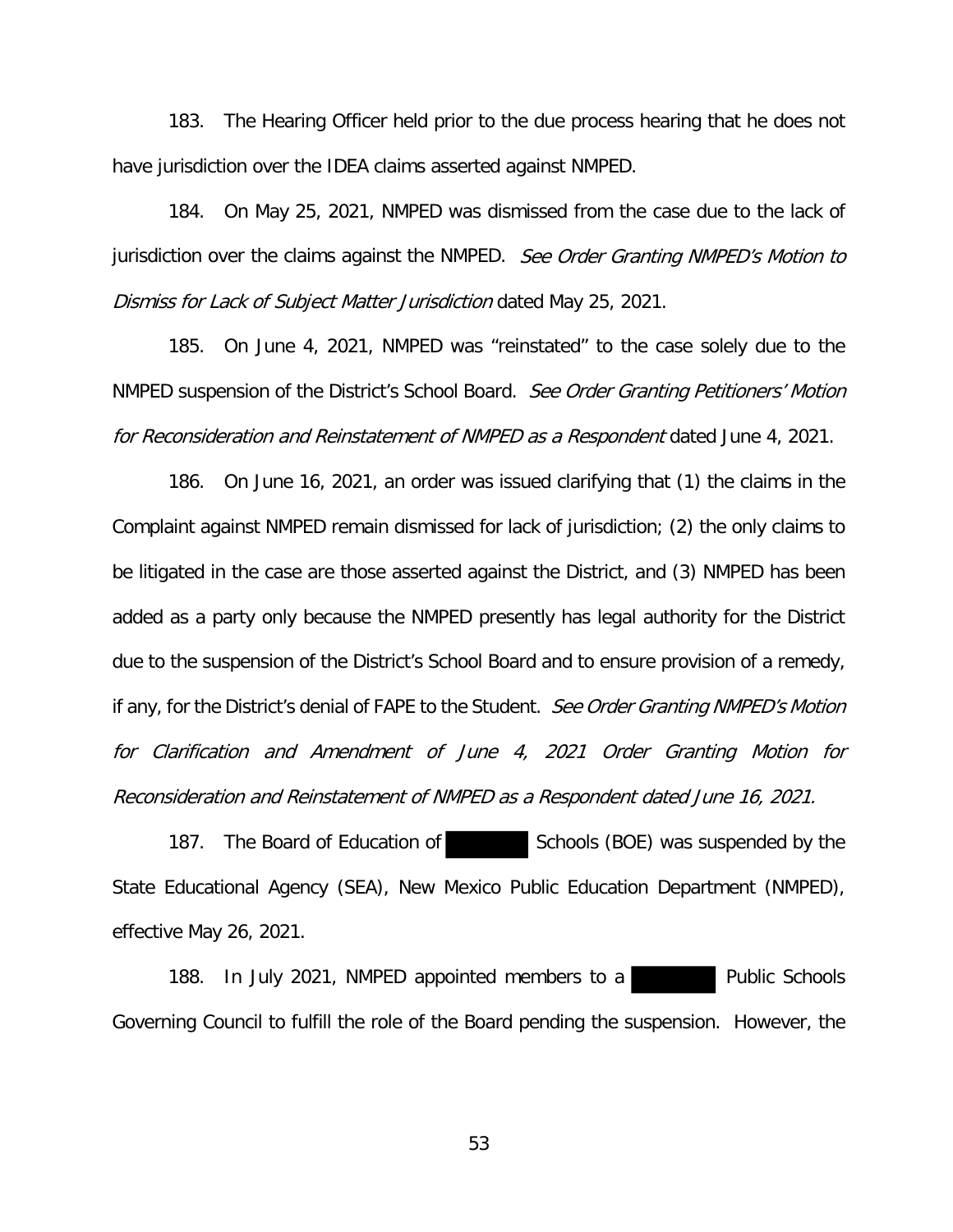183. The Hearing Officer held prior to the due process hearing that he does not have jurisdiction over the IDEA claims asserted against NMPED.

184. On May 25, 2021, NMPED was dismissed from the case due to the lack of jurisdiction over the claims against the NMPED. See Order Granting NMPED's Motion to Dismiss for Lack of Subject Matter Jurisdiction dated May 25, 2021.

185. On June 4, 2021, NMPED was "reinstated" to the case solely due to the NMPED suspension of the District's School Board. See Order Granting Petitioners' Motion for Reconsideration and Reinstatement of NMPED as a Respondent dated June 4, 2021.

186. On June 16, 2021, an order was issued clarifying that (1) the claims in the Complaint against NMPED remain dismissed for lack of jurisdiction; (2) the only claims to be litigated in the case are those asserted against the District, and (3) NMPED has been added as a party only because the NMPED presently has legal authority for the District due to the suspension of the District's School Board and to ensure provision of a remedy, if any, for the District's denial of FAPE to the Student. See Order Granting NMPED's Motion for Clarification and Amendment of June 4, 2021 Order Granting Motion for Reconsideration and Reinstatement of NMPED as a Respondent dated June 16, 2021.

187. The Board of Education of Schools (BOE) was suspended by the State Educational Agency (SEA), New Mexico Public Education Department (NMPED), effective May 26, 2021.

188. In July 2021, NMPED appointed members to a Governing Council to fulfill the role of the Board pending the suspension. However, the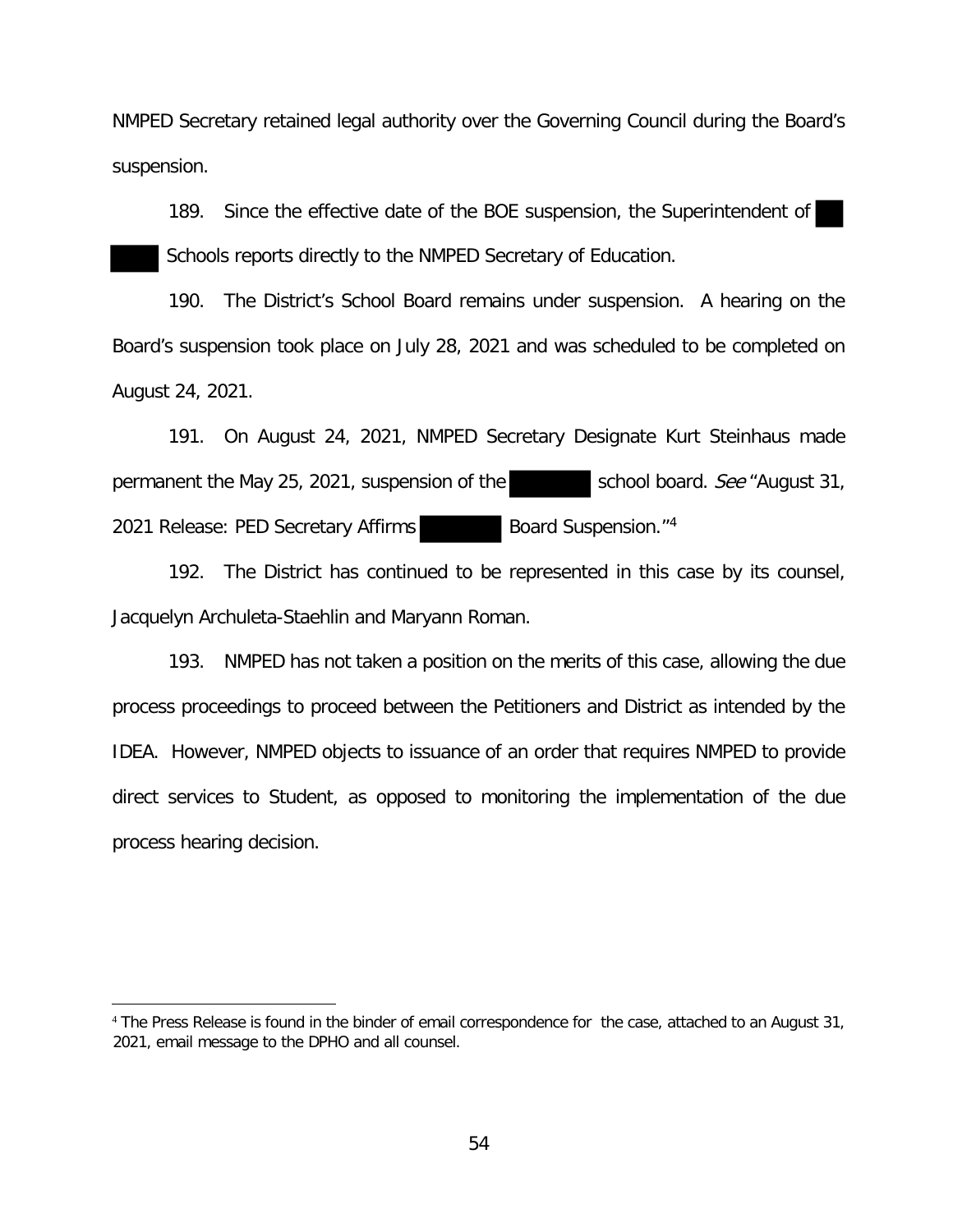NMPED Secretary retained legal authority over the Governing Council during the Board's suspension.

189. Since the effective date of the BOE suspension, the Superintendent of Schools reports directly to the NMPED Secretary of Education.

190. The District's School Board remains under suspension. A hearing on the Board's suspension took place on July 28, 2021 and was scheduled to be completed on August 24, 2021.

191. On August 24, 2021, NMPED Secretary Designate Kurt Steinhaus made permanent the May 25, 2021, suspension of the school board. See "August 31, 2021 Release: PED Secretary Affirms Board Suspension."<sup>4</sup>

192. The District has continued to be represented in this case by its counsel, Jacquelyn Archuleta-Staehlin and Maryann Roman.

193. NMPED has not taken a position on the merits of this case, allowing the due process proceedings to proceed between the Petitioners and District as intended by the IDEA. However, NMPED objects to issuance of an order that requires NMPED to provide direct services to Student, as opposed to monitoring the implementation of the due process hearing decision.

<sup>4</sup> The Press Release is found in the binder of email correspondence for the case, attached to an August 31, 2021, email message to the DPHO and all counsel.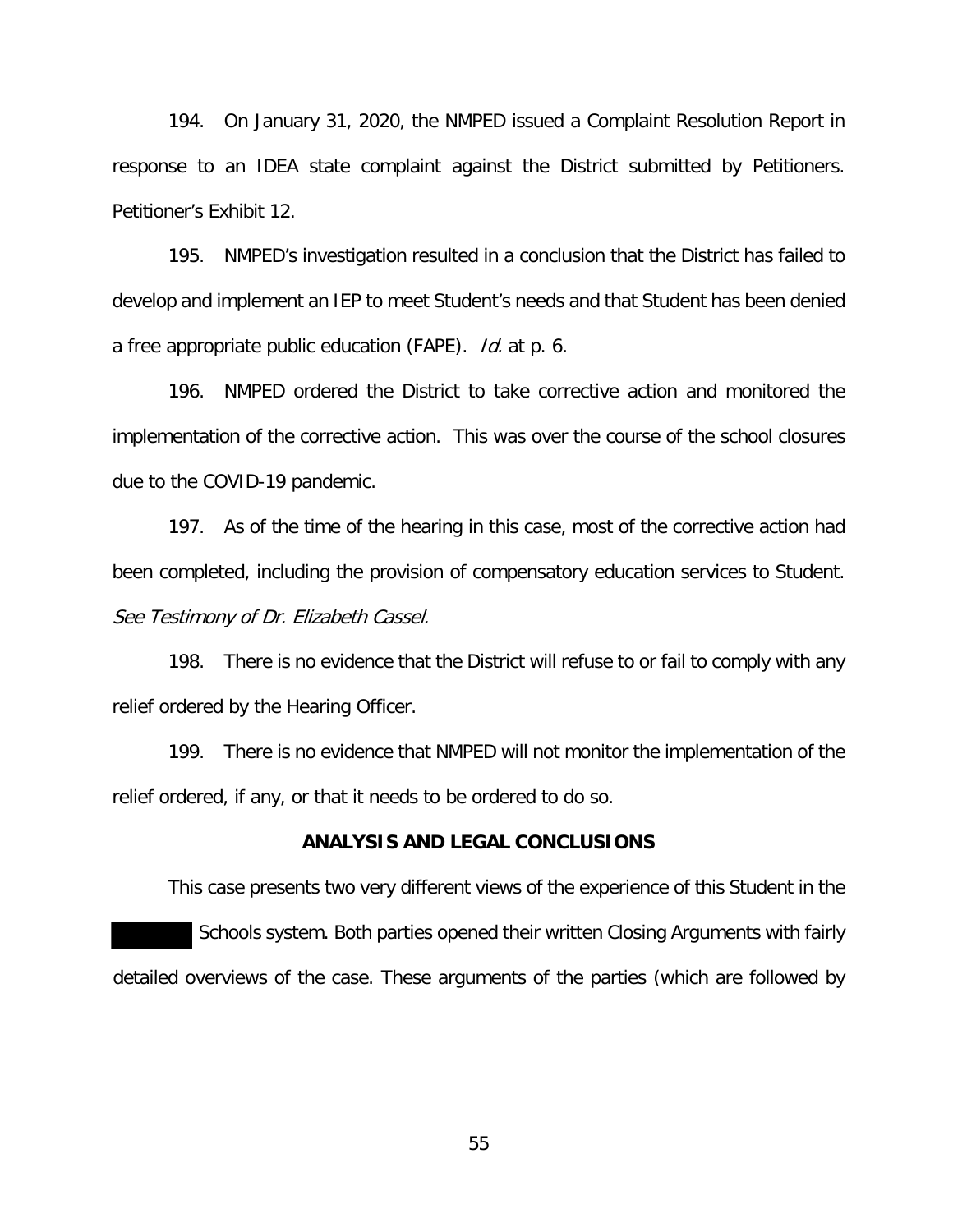194. On January 31, 2020, the NMPED issued a Complaint Resolution Report in response to an IDEA state complaint against the District submitted by Petitioners. Petitioner's Exhibit 12.

195. NMPED's investigation resulted in a conclusion that the District has failed to develop and implement an IEP to meet Student's needs and that Student has been denied a free appropriate public education (FAPE). Id. at p. 6.

196. NMPED ordered the District to take corrective action and monitored the implementation of the corrective action. This was over the course of the school closures due to the COVID-19 pandemic.

197. As of the time of the hearing in this case, most of the corrective action had been completed, including the provision of compensatory education services to Student. See Testimony of Dr. Elizabeth Cassel.

198. There is no evidence that the District will refuse to or fail to comply with any relief ordered by the Hearing Officer.

199. There is no evidence that NMPED will not monitor the implementation of the relief ordered, if any, or that it needs to be ordered to do so.

# **ANALYSIS AND LEGAL CONCLUSIONS**

This case presents two very different views of the experience of this Student in the Schools system. Both parties opened their written Closing Arguments with fairly detailed overviews of the case. These arguments of the parties (which are followed by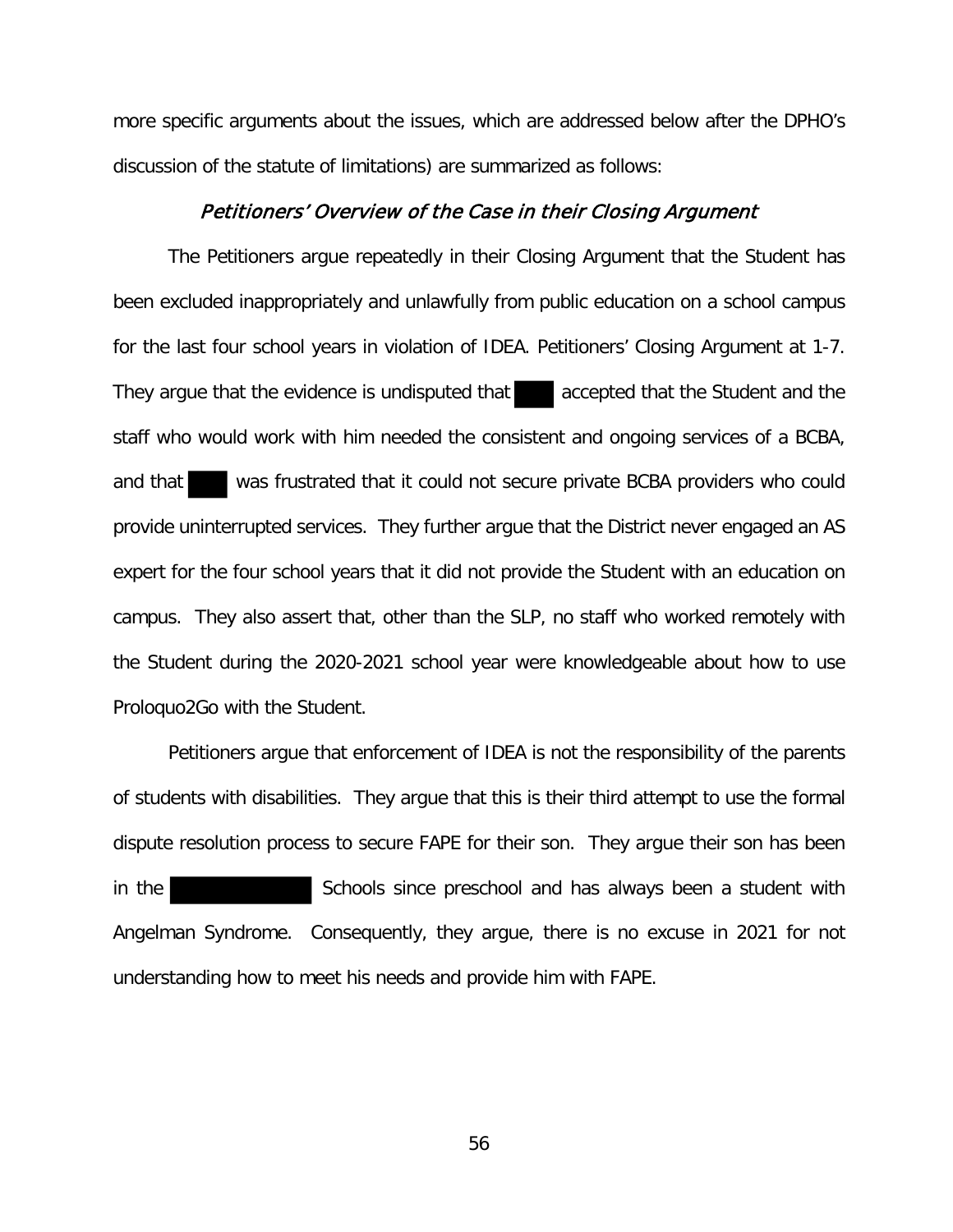more specific arguments about the issues, which are addressed below after the DPHO's discussion of the statute of limitations) are summarized as follows:

#### Petitioners' Overview of the Case in their Closing Argument

The Petitioners argue repeatedly in their Closing Argument that the Student has been excluded inappropriately and unlawfully from public education on a school campus for the last four school years in violation of IDEA. Petitioners' Closing Argument at 1-7. They argue that the evidence is undisputed that accepted that the Student and the staff who would work with him needed the consistent and ongoing services of a BCBA, and that was frustrated that it could not secure private BCBA providers who could provide uninterrupted services. They further argue that the District never engaged an AS expert for the four school years that it did not provide the Student with an education on campus. They also assert that, other than the SLP, no staff who worked remotely with the Student during the 2020-2021 school year were knowledgeable about how to use Proloquo2Go with the Student.

Petitioners argue that enforcement of IDEA is not the responsibility of the parents of students with disabilities. They argue that this is their third attempt to use the formal dispute resolution process to secure FAPE for their son. They argue their son has been in the state of Schools since preschool and has always been a student with Angelman Syndrome. Consequently, they argue, there is no excuse in 2021 for not understanding how to meet his needs and provide him with FAPE.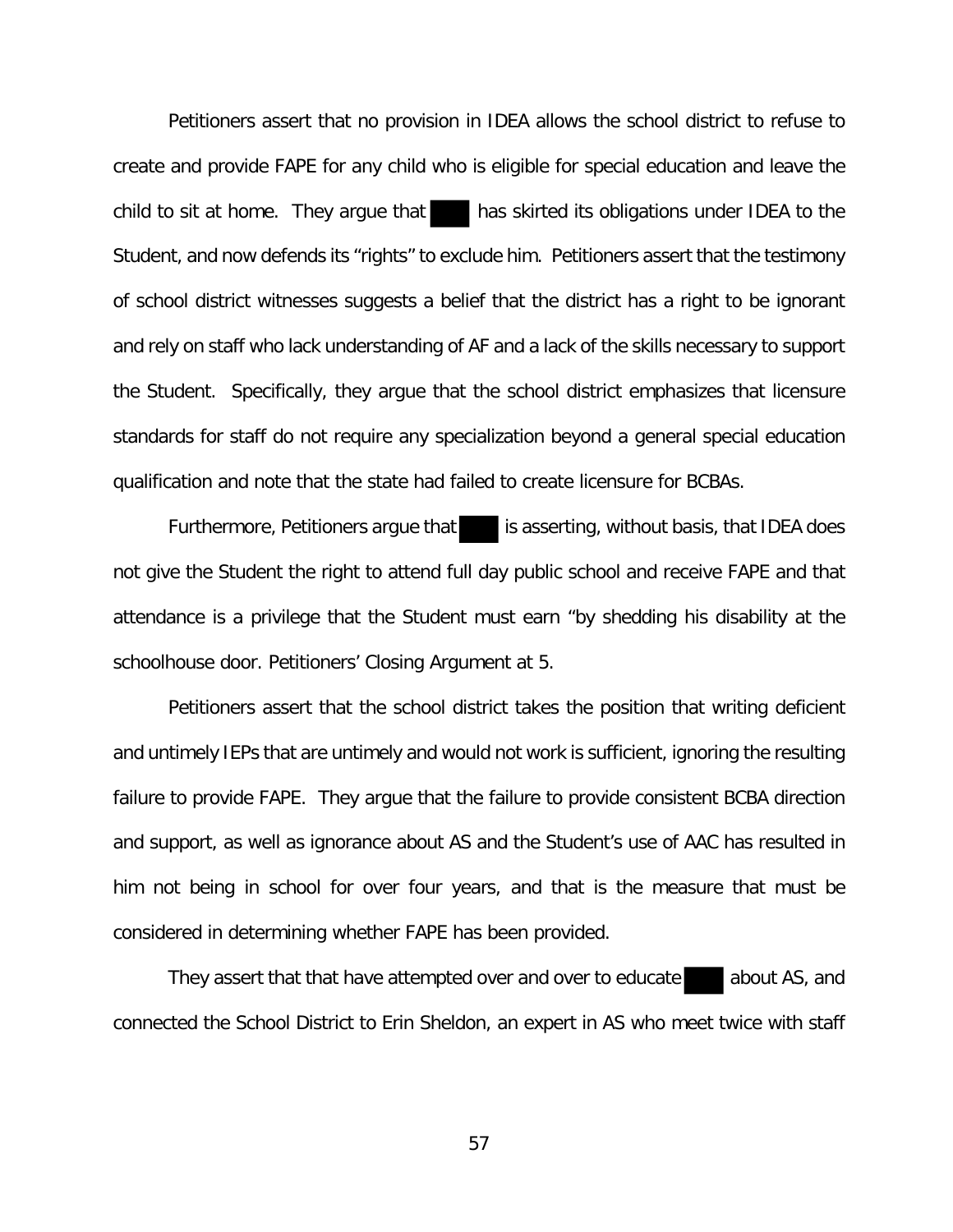Petitioners assert that no provision in IDEA allows the school district to refuse to create and provide FAPE for any child who is eligible for special education and leave the child to sit at home. They argue that has skirted its obligations under IDEA to the Student, and now defends its "rights" to exclude him. Petitioners assert that the testimony of school district witnesses suggests a belief that the district has a right to be ignorant and rely on staff who lack understanding of AF and a lack of the skills necessary to support the Student. Specifically, they argue that the school district emphasizes that licensure standards for staff do not require any specialization beyond a general special education qualification and note that the state had failed to create licensure for BCBAs.

Furthermore, Petitioners argue that is asserting, without basis, that IDEA does not give the Student the right to attend full day public school and receive FAPE and that attendance is a privilege that the Student must earn "by shedding his disability at the schoolhouse door. Petitioners' Closing Argument at 5.

Petitioners assert that the school district takes the position that writing deficient and untimely IEPs that are untimely and would not work is sufficient, ignoring the resulting failure to provide FAPE. They argue that the failure to provide consistent BCBA direction and support, as well as ignorance about AS and the Student's use of AAC has resulted in him not being in school for over four years, and that is the measure that must be considered in determining whether FAPE has been provided.

They assert that that have attempted over and over to educate about AS, and connected the School District to Erin Sheldon, an expert in AS who meet twice with staff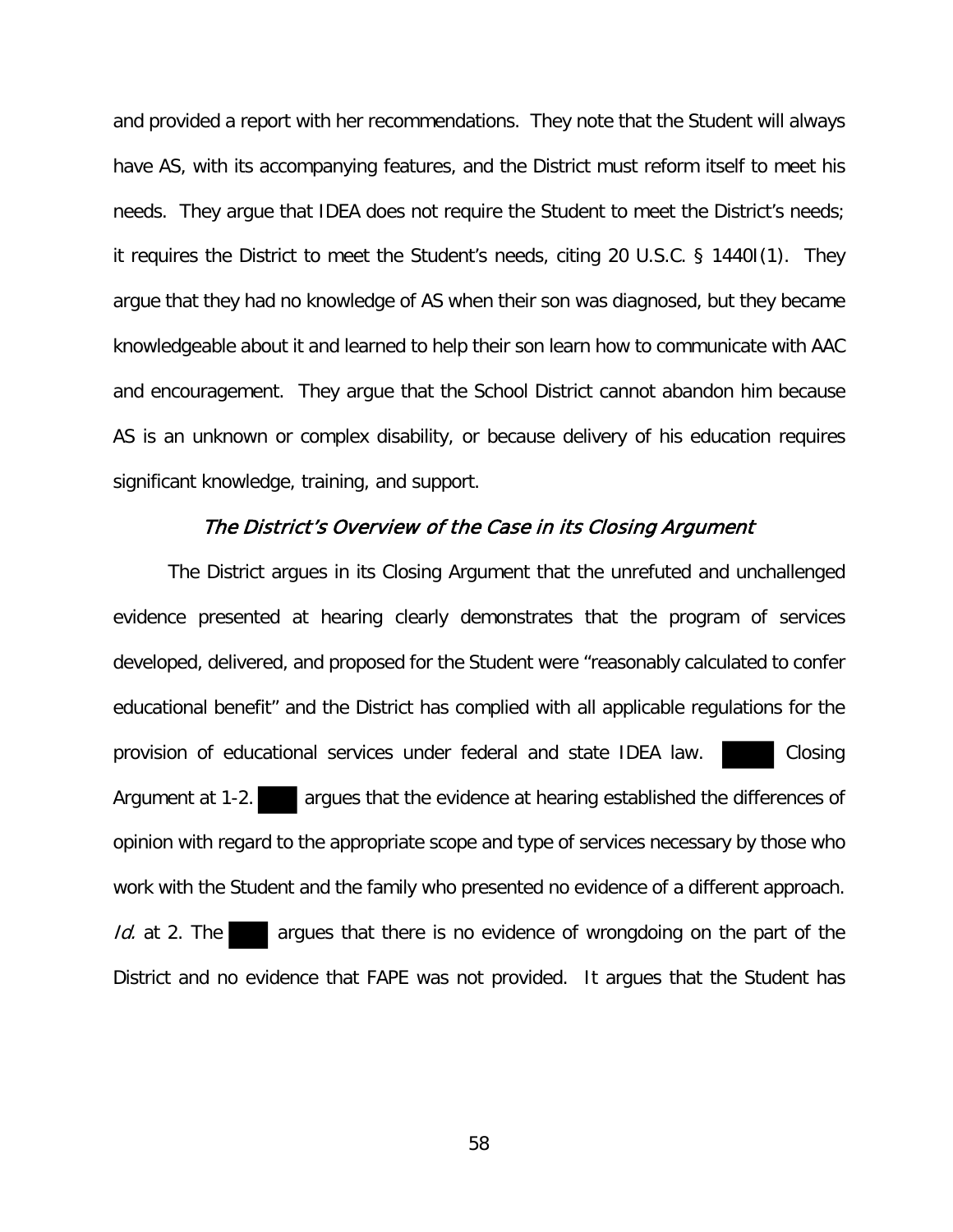and provided a report with her recommendations. They note that the Student will always have AS, with its accompanying features, and the District must reform itself to meet his needs. They argue that IDEA does not require the Student to meet the District's needs; it requires the District to meet the Student's needs, citing 20 U.S.C. § 1440I(1). They argue that they had no knowledge of AS when their son was diagnosed, but they became knowledgeable about it and learned to help their son learn how to communicate with AAC and encouragement. They argue that the School District cannot abandon him because AS is an unknown or complex disability, or because delivery of his education requires significant knowledge, training, and support.

### The District's Overview of the Case in its Closing Argument

The District argues in its Closing Argument that the unrefuted and unchallenged evidence presented at hearing clearly demonstrates that the program of services developed, delivered, and proposed for the Student were "reasonably calculated to confer educational benefit" and the District has complied with all applicable regulations for the provision of educational services under federal and state IDEA law. Closing Argument at 1-2. **argues that the evidence at hearing established the differences of** opinion with regard to the appropriate scope and type of services necessary by those who work with the Student and the family who presented no evidence of a different approach. Id. at 2. The argues that there is no evidence of wrongdoing on the part of the District and no evidence that FAPE was not provided. It argues that the Student has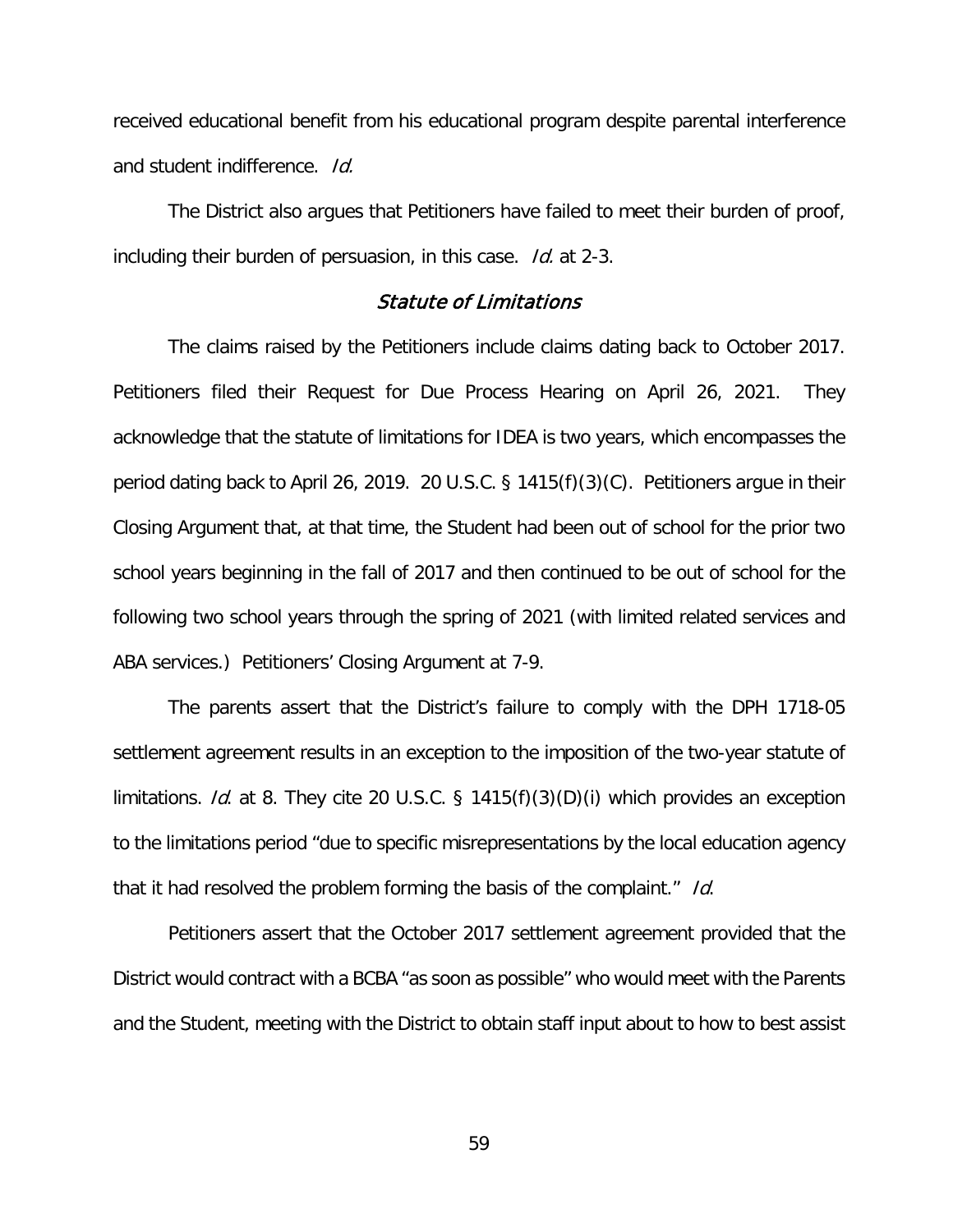received educational benefit from his educational program despite parental interference and student indifference. Id.

 The District also argues that Petitioners have failed to meet their burden of proof, including their burden of persuasion, in this case. Id. at 2-3.

# Statute of Limitations

The claims raised by the Petitioners include claims dating back to October 2017. Petitioners filed their Request for Due Process Hearing on April 26, 2021. They acknowledge that the statute of limitations for IDEA is two years, which encompasses the period dating back to April 26, 2019. 20 U.S.C. § 1415(f)(3)(C). Petitioners argue in their Closing Argument that, at that time, the Student had been out of school for the prior two school years beginning in the fall of 2017 and then continued to be out of school for the following two school years through the spring of 2021 (with limited related services and ABA services.) Petitioners' Closing Argument at 7-9.

The parents assert that the District's failure to comply with the DPH 1718-05 settlement agreement results in an exception to the imposition of the two-year statute of limitations. *Id.* at 8. They cite 20 U.S.C. § 1415 $(f)(3)(D)(i)$  which provides an exception to the limitations period "due to specific misrepresentations by the local education agency that it had resolved the problem forming the basis of the complaint." Id.

Petitioners assert that the October 2017 settlement agreement provided that the District would contract with a BCBA "as soon as possible" who would meet with the Parents and the Student, meeting with the District to obtain staff input about to how to best assist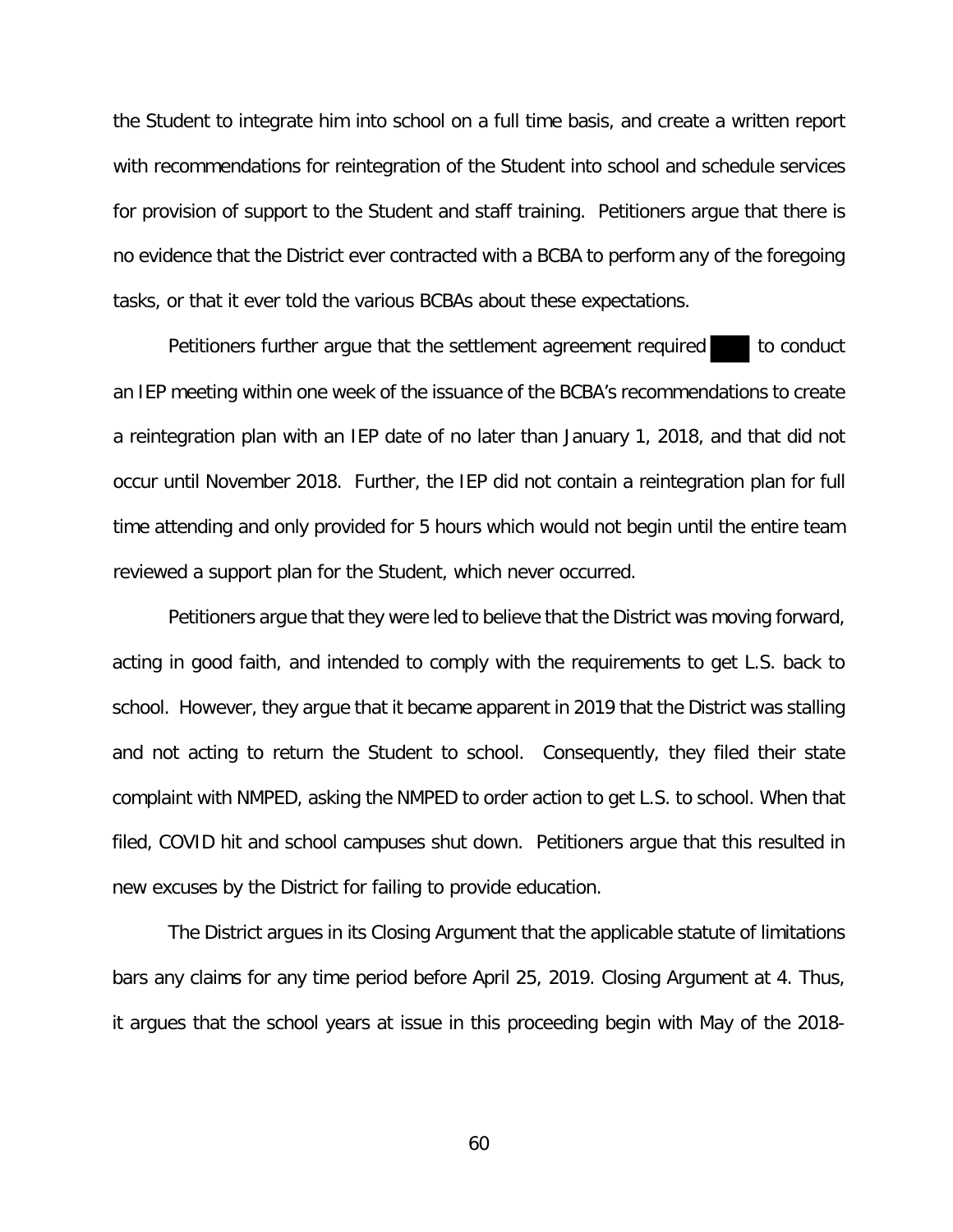the Student to integrate him into school on a full time basis, and create a written report with recommendations for reintegration of the Student into school and schedule services for provision of support to the Student and staff training. Petitioners argue that there is no evidence that the District ever contracted with a BCBA to perform any of the foregoing tasks, or that it ever told the various BCBAs about these expectations.

Petitioners further argue that the settlement agreement required to conduct an IEP meeting within one week of the issuance of the BCBA's recommendations to create a reintegration plan with an IEP date of no later than January 1, 2018, and that did not occur until November 2018. Further, the IEP did not contain a reintegration plan for full time attending and only provided for 5 hours which would not begin until the entire team reviewed a support plan for the Student, which never occurred.

Petitioners argue that they were led to believe that the District was moving forward, acting in good faith, and intended to comply with the requirements to get L.S. back to school. However, they argue that it became apparent in 2019 that the District was stalling and not acting to return the Student to school. Consequently, they filed their state complaint with NMPED, asking the NMPED to order action to get L.S. to school. When that filed, COVID hit and school campuses shut down. Petitioners argue that this resulted in new excuses by the District for failing to provide education.

The District argues in its Closing Argument that the applicable statute of limitations bars any claims for any time period before April 25, 2019. Closing Argument at 4. Thus, it argues that the school years at issue in this proceeding begin with May of the 2018-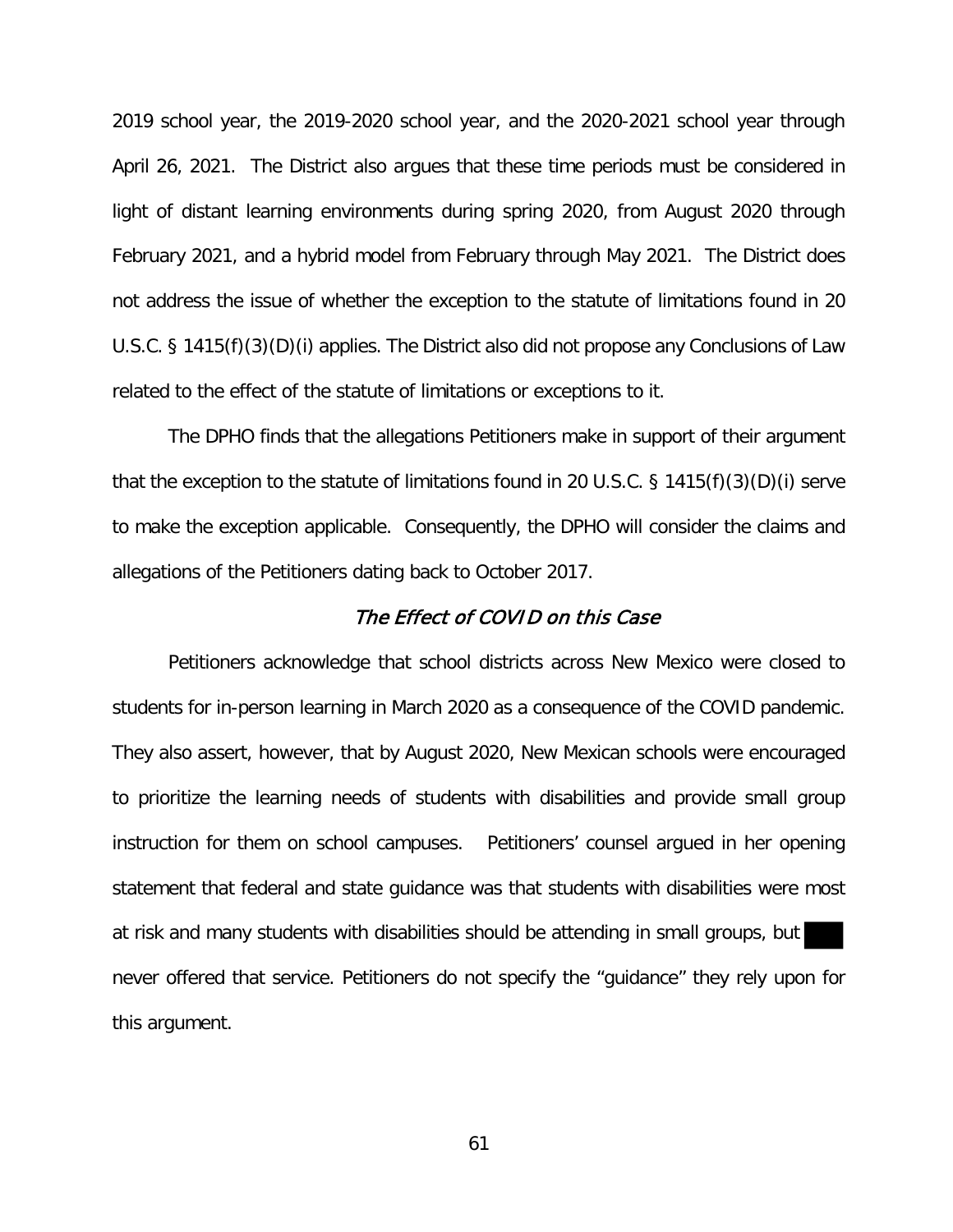2019 school year, the 2019-2020 school year, and the 2020-2021 school year through April 26, 2021. The District also argues that these time periods must be considered in light of distant learning environments during spring 2020, from August 2020 through February 2021, and a hybrid model from February through May 2021. The District does not address the issue of whether the exception to the statute of limitations found in 20 U.S.C. § 1415(f)(3)(D)(i) applies. The District also did not propose any Conclusions of Law related to the effect of the statute of limitations or exceptions to it.

The DPHO finds that the allegations Petitioners make in support of their argument that the exception to the statute of limitations found in 20 U.S.C. § 1415(f)(3)(D)(i) serve to make the exception applicable. Consequently, the DPHO will consider the claims and allegations of the Petitioners dating back to October 2017.

#### The Effect of COVID on this Case

Petitioners acknowledge that school districts across New Mexico were closed to students for in-person learning in March 2020 as a consequence of the COVID pandemic. They also assert, however, that by August 2020, New Mexican schools were encouraged to prioritize the learning needs of students with disabilities and provide small group instruction for them on school campuses. Petitioners' counsel argued in her opening statement that federal and state guidance was that students with disabilities were most at risk and many students with disabilities should be attending in small groups, but never offered that service. Petitioners do not specify the "guidance" they rely upon for this argument.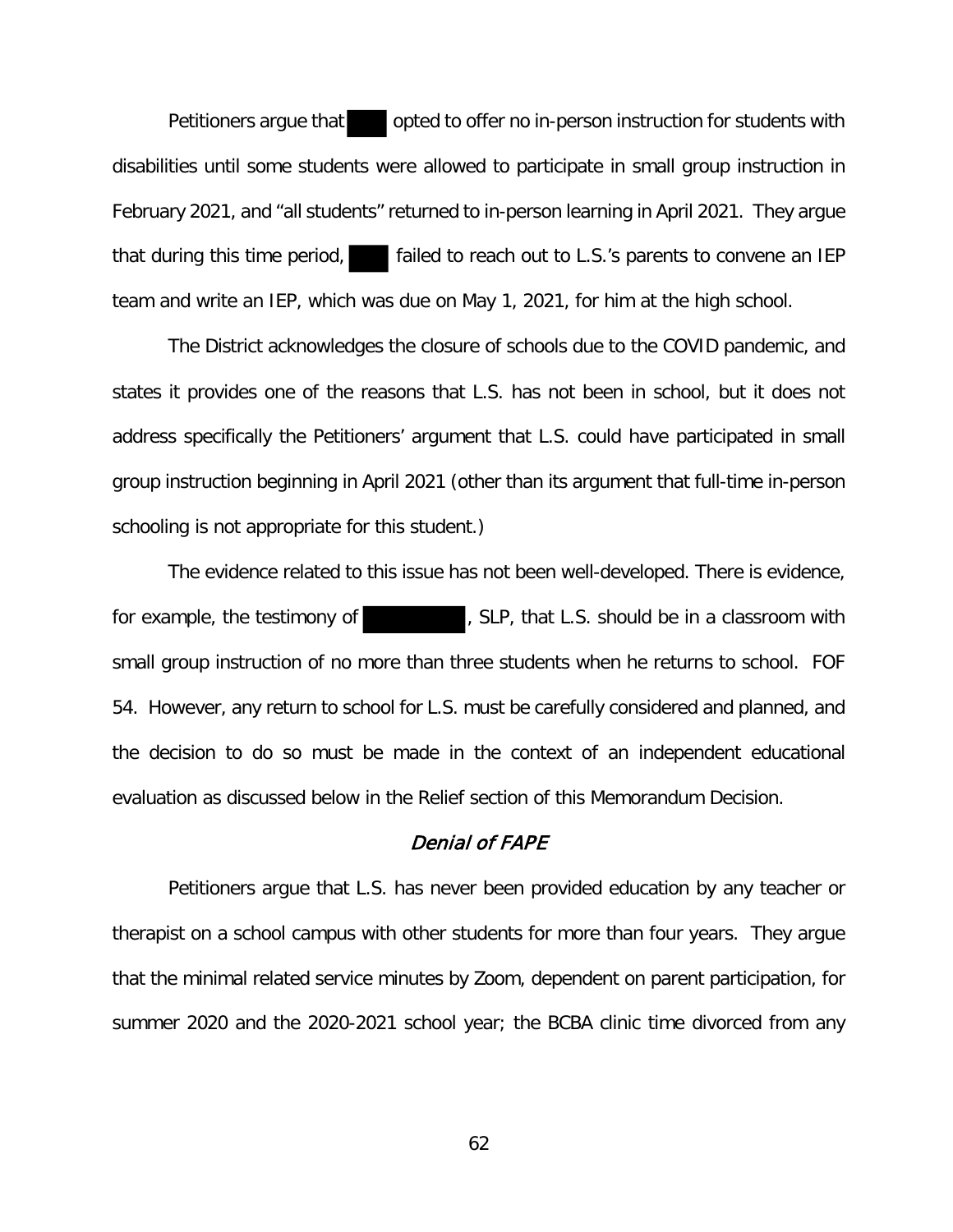Petitioners argue that opted to offer no in-person instruction for students with disabilities until some students were allowed to participate in small group instruction in February 2021, and "all students" returned to in-person learning in April 2021. They argue that during this time period,  $\Box$  failed to reach out to L.S.'s parents to convene an IEP team and write an IEP, which was due on May 1, 2021, for him at the high school.

The District acknowledges the closure of schools due to the COVID pandemic, and states it provides one of the reasons that L.S. has not been in school, but it does not address specifically the Petitioners' argument that L.S. could have participated in small group instruction beginning in April 2021 (other than its argument that full-time in-person schooling is not appropriate for this student.)

The evidence related to this issue has not been well-developed. There is evidence, for example, the testimony of  $\blacksquare$ , SLP, that L.S. should be in a classroom with small group instruction of no more than three students when he returns to school. FOF 54. However, any return to school for L.S. must be carefully considered and planned, and the decision to do so must be made in the context of an independent educational evaluation as discussed below in the Relief section of this Memorandum Decision.

# Denial of FAPE

Petitioners argue that L.S. has never been provided education by any teacher or therapist on a school campus with other students for more than four years. They argue that the minimal related service minutes by Zoom, dependent on parent participation, for summer 2020 and the 2020-2021 school year; the BCBA clinic time divorced from any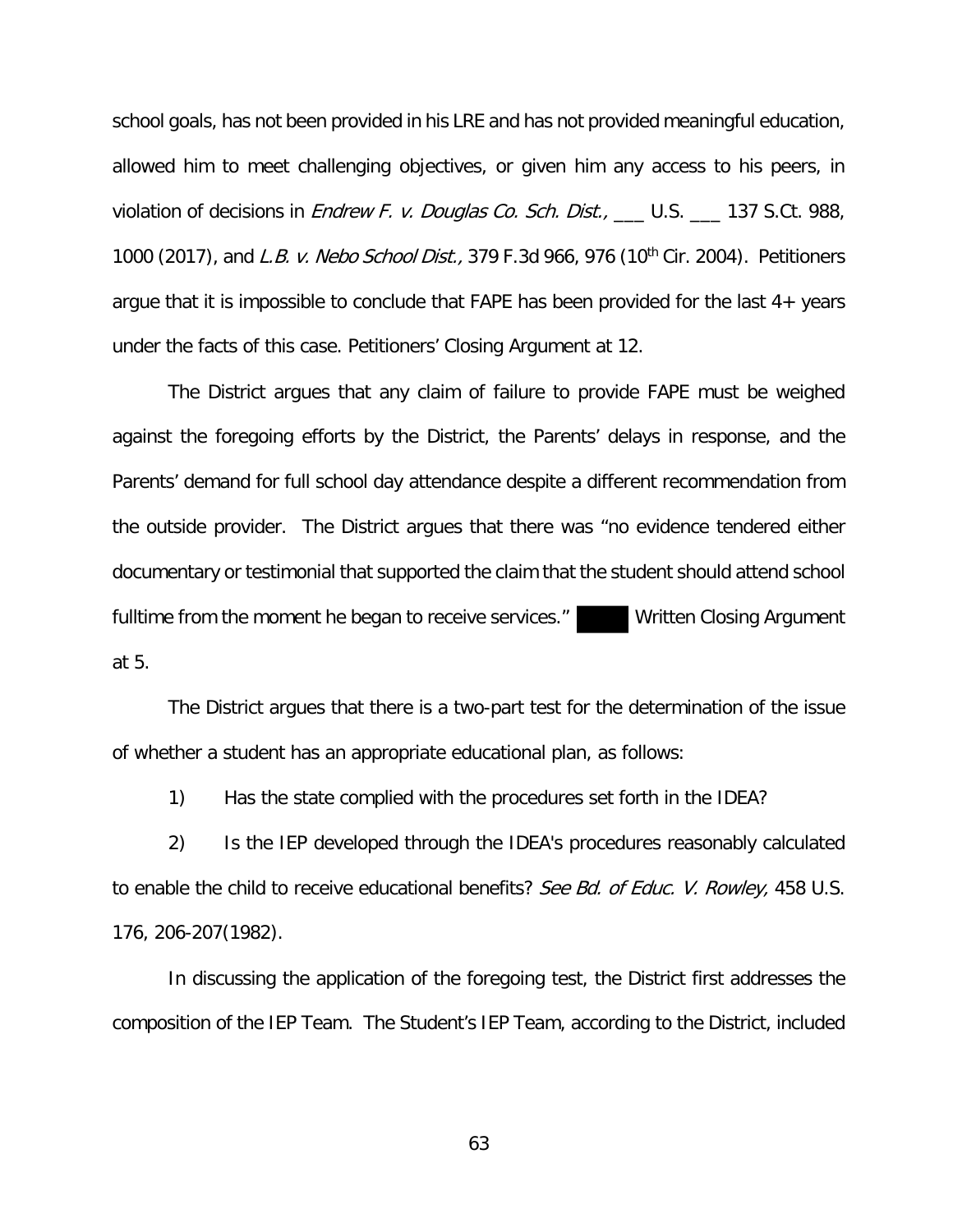school goals, has not been provided in his LRE and has not provided meaningful education, allowed him to meet challenging objectives, or given him any access to his peers, in violation of decisions in *Endrew F. v. Douglas Co. Sch. Dist.*, \_\_\_ U.S. \_\_\_ 137 S.Ct. 988, 1000 (2017), and L.B. v. Nebo School Dist., 379 F.3d 966, 976 (10<sup>th</sup> Cir. 2004). Petitioners argue that it is impossible to conclude that FAPE has been provided for the last 4+ years under the facts of this case. Petitioners' Closing Argument at 12.

The District argues that any claim of failure to provide FAPE must be weighed against the foregoing efforts by the District, the Parents' delays in response, and the Parents' demand for full school day attendance despite a different recommendation from the outside provider. The District argues that there was "no evidence tendered either documentary or testimonial that supported the claim that the student should attend school fulltime from the moment he began to receive services." Written Closing Argument at 5.

The District argues that there is a two-part test for the determination of the issue of whether a student has an appropriate educational plan, as follows:

1) Has the state complied with the procedures set forth in the IDEA?

2) Is the IEP developed through the IDEA's procedures reasonably calculated to enable the child to receive educational benefits? See Bd. of Educ. V. Rowley, 458 U.S. 176, 206-207(1982).

In discussing the application of the foregoing test, the District first addresses the composition of the IEP Team. The Student's IEP Team, according to the District, included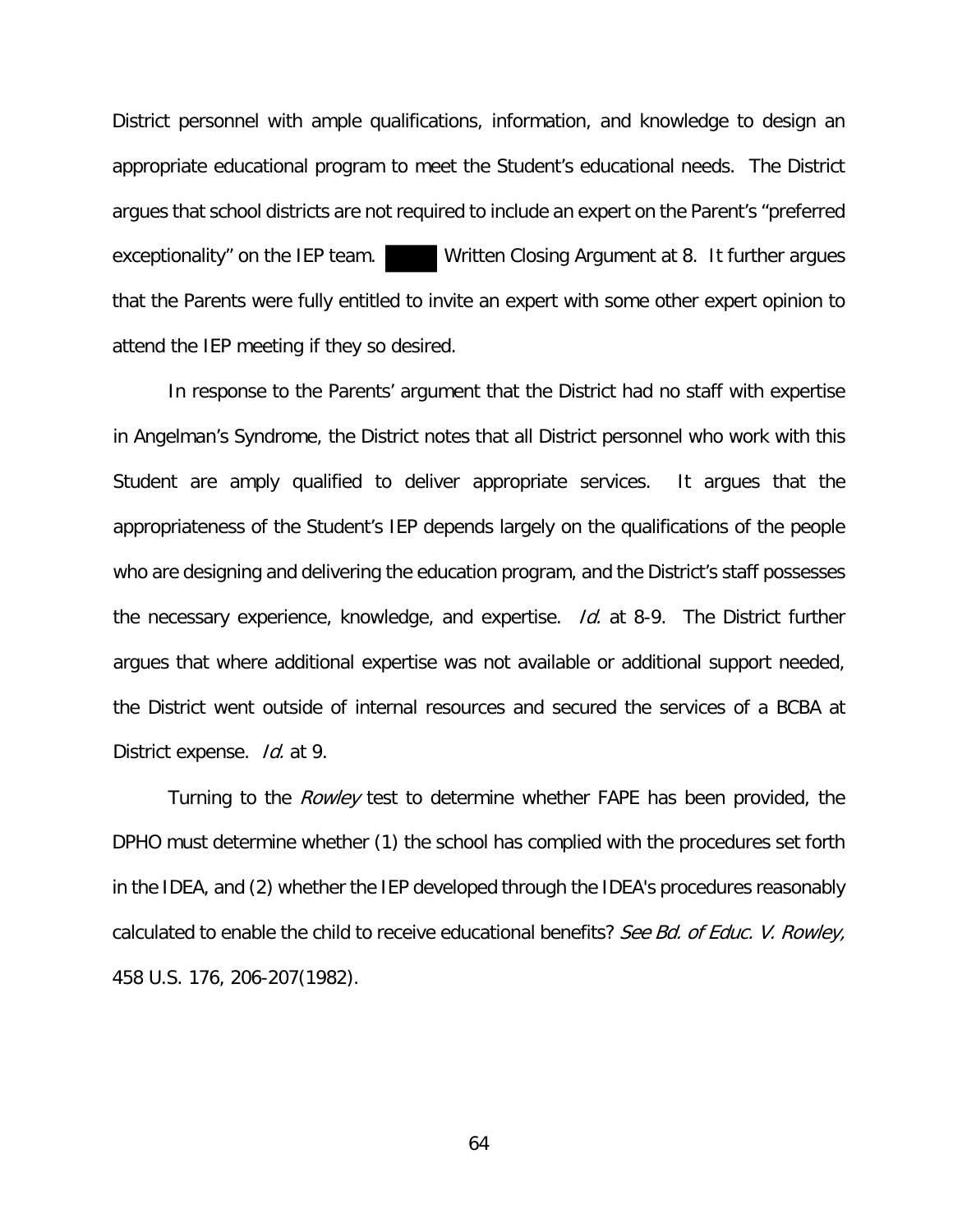District personnel with ample qualifications, information, and knowledge to design an appropriate educational program to meet the Student's educational needs. The District argues that school districts are not required to include an expert on the Parent's "preferred exceptionality" on the IEP team. Written Closing Argument at 8. It further argues that the Parents were fully entitled to invite an expert with some other expert opinion to attend the IEP meeting if they so desired.

In response to the Parents' argument that the District had no staff with expertise in Angelman's Syndrome, the District notes that all District personnel who work with this Student are amply qualified to deliver appropriate services. It argues that the appropriateness of the Student's IEP depends largely on the qualifications of the people who are designing and delivering the education program, and the District's staff possesses the necessary experience, knowledge, and expertise. Id. at 8-9. The District further argues that where additional expertise was not available or additional support needed, the District went outside of internal resources and secured the services of a BCBA at District expense. Id. at 9.

Turning to the *Rowley* test to determine whether FAPE has been provided, the DPHO must determine whether (1) the school has complied with the procedures set forth in the IDEA, and (2) whether the IEP developed through the IDEA's procedures reasonably calculated to enable the child to receive educational benefits? See Bd. of Educ. V. Rowley, 458 U.S. 176, 206-207(1982).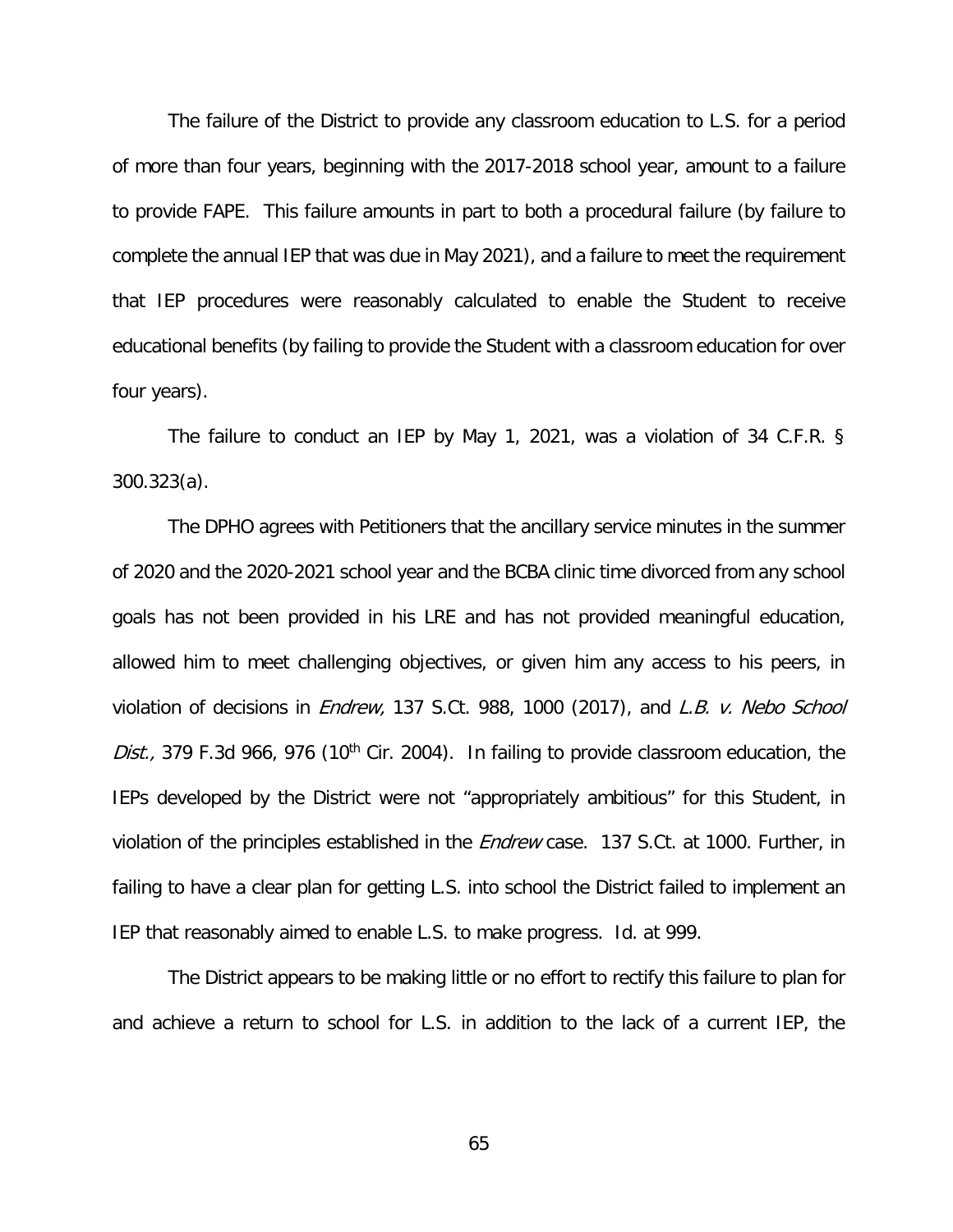The failure of the District to provide any classroom education to L.S. for a period of more than four years, beginning with the 2017-2018 school year, amount to a failure to provide FAPE. This failure amounts in part to both a procedural failure (by failure to complete the annual IEP that was due in May 2021), and a failure to meet the requirement that IEP procedures were reasonably calculated to enable the Student to receive educational benefits (by failing to provide the Student with a classroom education for over four years).

The failure to conduct an IEP by May 1, 2021, was a violation of 34 C.F.R. § 300.323(a).

The DPHO agrees with Petitioners that the ancillary service minutes in the summer of 2020 and the 2020-2021 school year and the BCBA clinic time divorced from any school goals has not been provided in his LRE and has not provided meaningful education, allowed him to meet challenging objectives, or given him any access to his peers, in violation of decisions in *Endrew*, 137 S.Ct. 988, 1000 (2017), and L.B. v. Nebo School Dist., 379 F.3d 966, 976 (10<sup>th</sup> Cir. 2004). In failing to provide classroom education, the IEPs developed by the District were not "appropriately ambitious" for this Student, in violation of the principles established in the *Endrew* case. 137 S.Ct. at 1000. Further, in failing to have a clear plan for getting L.S. into school the District failed to implement an IEP that reasonably aimed to enable L.S. to make progress. Id. at 999.

The District appears to be making little or no effort to rectify this failure to plan for and achieve a return to school for L.S. in addition to the lack of a current IEP, the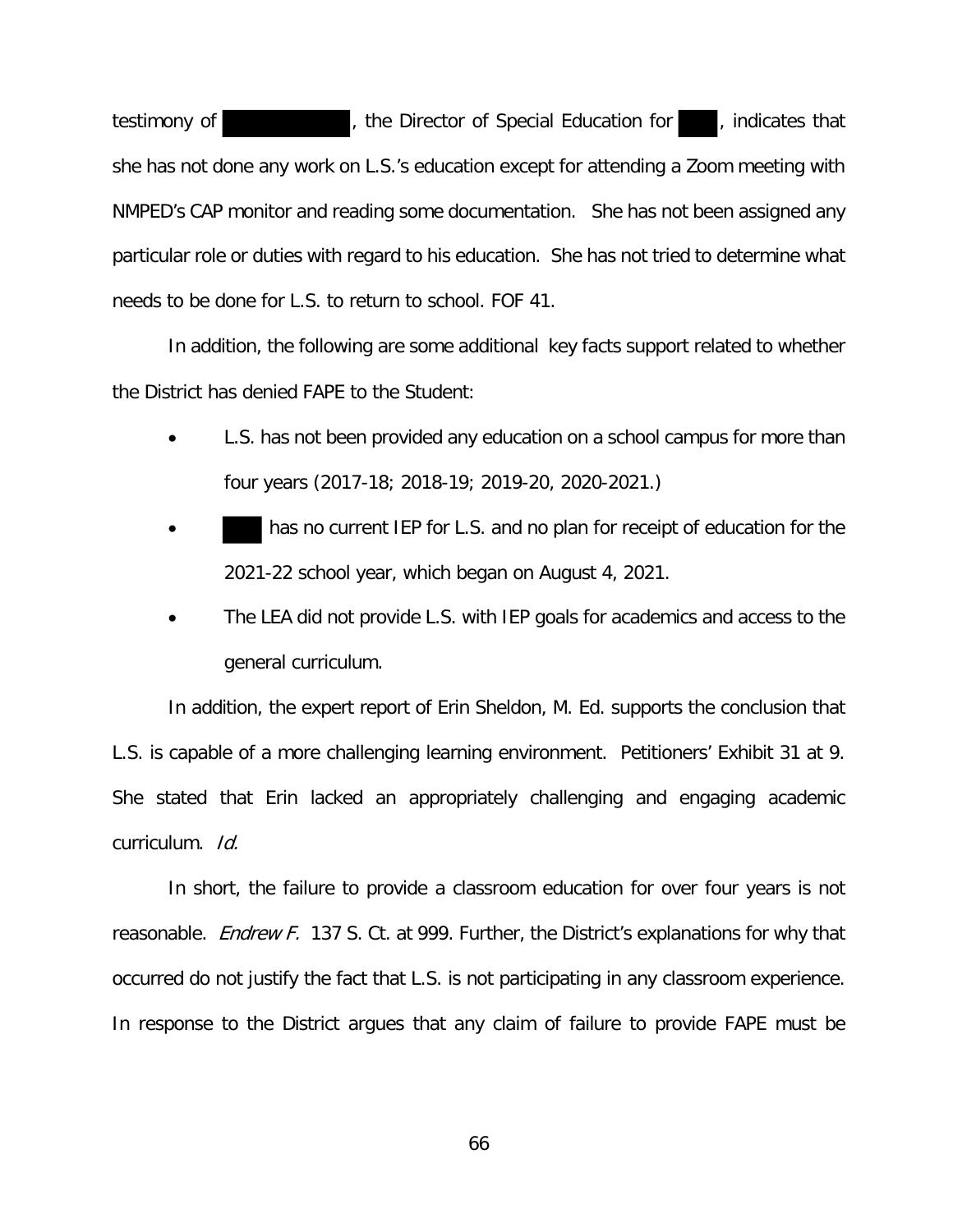testimony of **the Contract of Special Education for the indicates that** she has not done any work on L.S.'s education except for attending a Zoom meeting with NMPED's CAP monitor and reading some documentation. She has not been assigned any particular role or duties with regard to his education. She has not tried to determine what needs to be done for L.S. to return to school. FOF 41.

In addition, the following are some additional key facts support related to whether the District has denied FAPE to the Student:

- L.S. has not been provided any education on a school campus for more than four years (2017-18; 2018-19; 2019-20, 2020-2021.)
- has no current IEP for L.S. and no plan for receipt of education for the 2021-22 school year, which began on August 4, 2021.
- The LEA did not provide L.S. with IEP goals for academics and access to the general curriculum.

In addition, the expert report of Erin Sheldon, M. Ed. supports the conclusion that L.S. is capable of a more challenging learning environment. Petitioners' Exhibit 31 at 9. She stated that Erin lacked an appropriately challenging and engaging academic curriculum. Id.

In short, the failure to provide a classroom education for over four years is not reasonable. *Endrew F.* 137 S. Ct. at 999. Further, the District's explanations for why that occurred do not justify the fact that L.S. is not participating in any classroom experience. In response to the District argues that any claim of failure to provide FAPE must be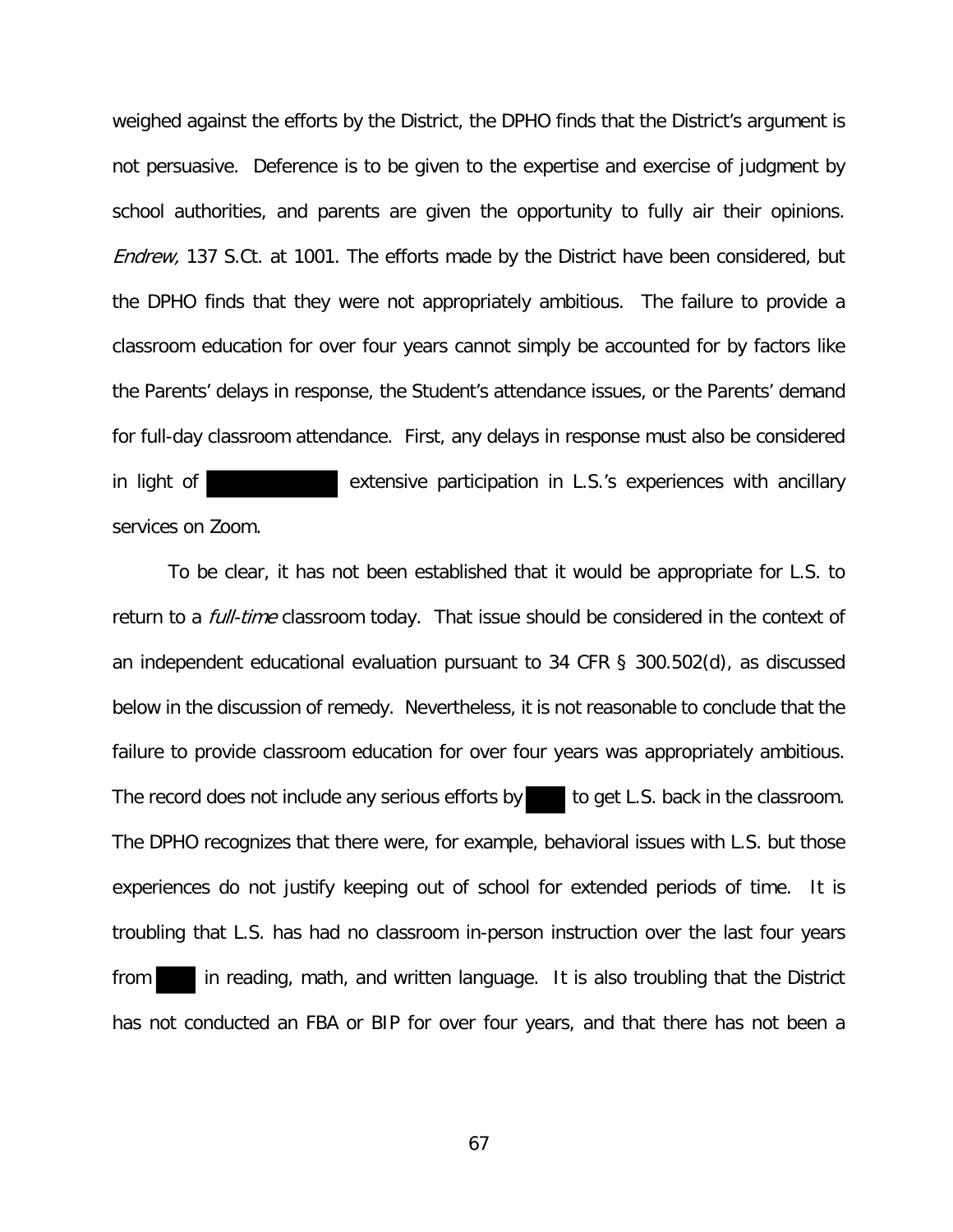weighed against the efforts by the District, the DPHO finds that the District's argument is not persuasive. Deference is to be given to the expertise and exercise of judgment by school authorities, and parents are given the opportunity to fully air their opinions. Endrew, 137 S.Ct. at 1001. The efforts made by the District have been considered, but the DPHO finds that they were not appropriately ambitious. The failure to provide a classroom education for over four years cannot simply be accounted for by factors like the Parents' delays in response, the Student's attendance issues, or the Parents' demand for full-day classroom attendance. First, any delays in response must also be considered in light of **extensive participation in L.S.'s experiences with ancillary** services on Zoom.

To be clear, it has not been established that it would be appropriate for L.S. to return to a *full-time* classroom today. That issue should be considered in the context of an independent educational evaluation pursuant to 34 CFR § 300.502(d), as discussed below in the discussion of remedy. Nevertheless, it is not reasonable to conclude that the failure to provide classroom education for over four years was appropriately ambitious. The record does not include any serious efforts by the get L.S. back in the classroom. The DPHO recognizes that there were, for example, behavioral issues with L.S. but those experiences do not justify keeping out of school for extended periods of time. It is troubling that L.S. has had no classroom in-person instruction over the last four years from in reading, math, and written language. It is also troubling that the District has not conducted an FBA or BIP for over four years, and that there has not been a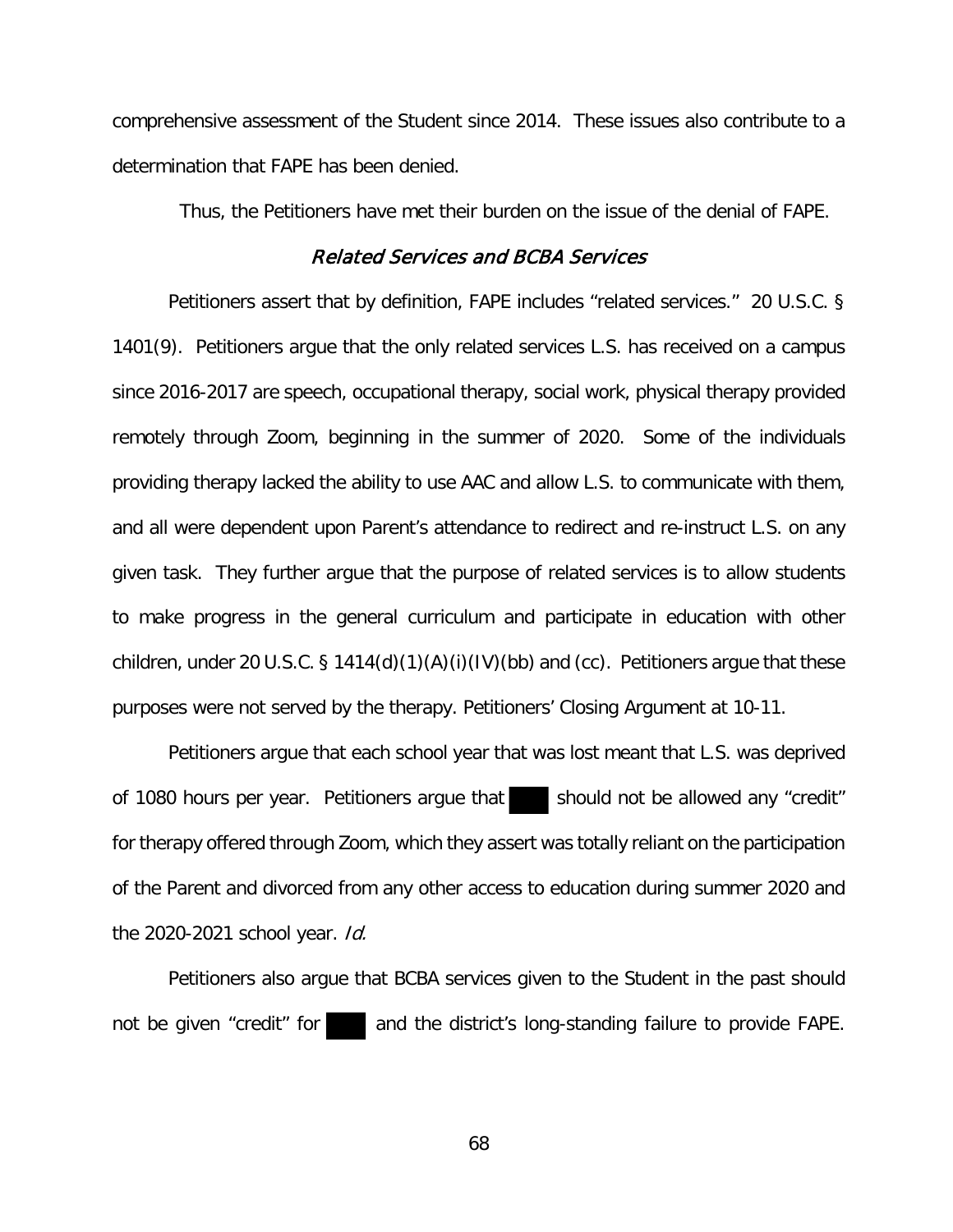comprehensive assessment of the Student since 2014. These issues also contribute to a determination that FAPE has been denied.

Thus, the Petitioners have met their burden on the issue of the denial of FAPE.

### Related Services and BCBA Services

Petitioners assert that by definition, FAPE includes "related services." 20 U.S.C. § 1401(9). Petitioners argue that the only related services L.S. has received on a campus since 2016-2017 are speech, occupational therapy, social work, physical therapy provided remotely through Zoom, beginning in the summer of 2020. Some of the individuals providing therapy lacked the ability to use AAC and allow L.S. to communicate with them, and all were dependent upon Parent's attendance to redirect and re-instruct L.S. on any given task. They further argue that the purpose of related services is to allow students to make progress in the general curriculum and participate in education with other children, under 20 U.S.C. § 1414(d)(1)(A)(i)(IV)(bb) and (cc). Petitioners argue that these purposes were not served by the therapy. Petitioners' Closing Argument at 10-11.

Petitioners argue that each school year that was lost meant that L.S. was deprived of 1080 hours per year. Petitioners argue that should not be allowed any "credit" for therapy offered through Zoom, which they assert was totally reliant on the participation of the Parent and divorced from any other access to education during summer 2020 and the 2020-2021 school year. *Id.* 

Petitioners also argue that BCBA services given to the Student in the past should not be given "credit" for and the district's long-standing failure to provide FAPE.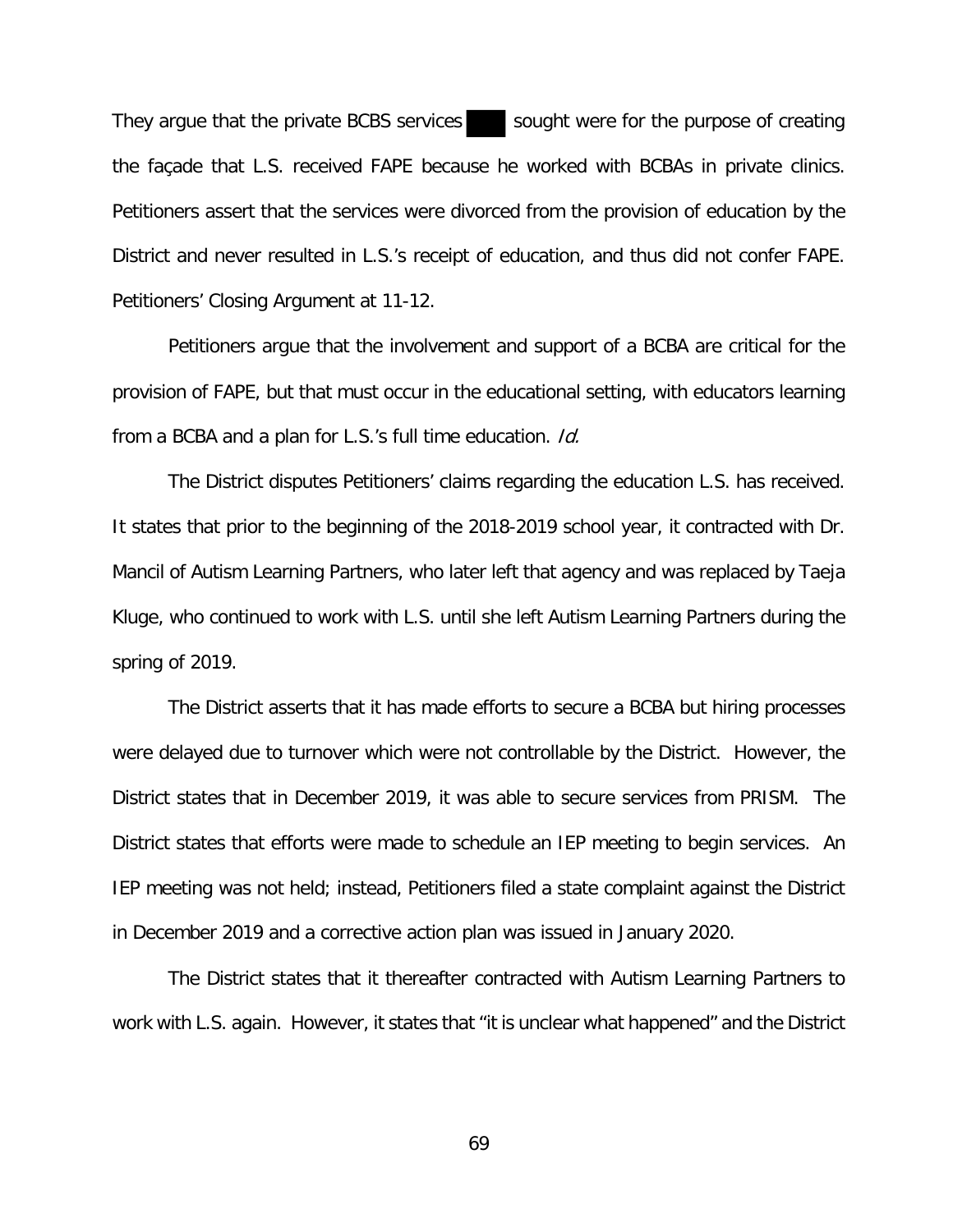They argue that the private BCBS services sought were for the purpose of creating the façade that L.S. received FAPE because he worked with BCBAs in private clinics. Petitioners assert that the services were divorced from the provision of education by the District and never resulted in L.S.'s receipt of education, and thus did not confer FAPE. Petitioners' Closing Argument at 11-12.

Petitioners argue that the involvement and support of a BCBA are critical for the provision of FAPE, but that must occur in the educational setting, with educators learning from a BCBA and a plan for L.S.'s full time education. Id.

The District disputes Petitioners' claims regarding the education L.S. has received. It states that prior to the beginning of the 2018-2019 school year, it contracted with Dr. Mancil of Autism Learning Partners, who later left that agency and was replaced by Taeja Kluge, who continued to work with L.S. until she left Autism Learning Partners during the spring of 2019.

The District asserts that it has made efforts to secure a BCBA but hiring processes were delayed due to turnover which were not controllable by the District. However, the District states that in December 2019, it was able to secure services from PRISM. The District states that efforts were made to schedule an IEP meeting to begin services. An IEP meeting was not held; instead, Petitioners filed a state complaint against the District in December 2019 and a corrective action plan was issued in January 2020.

The District states that it thereafter contracted with Autism Learning Partners to work with L.S. again. However, it states that "it is unclear what happened" and the District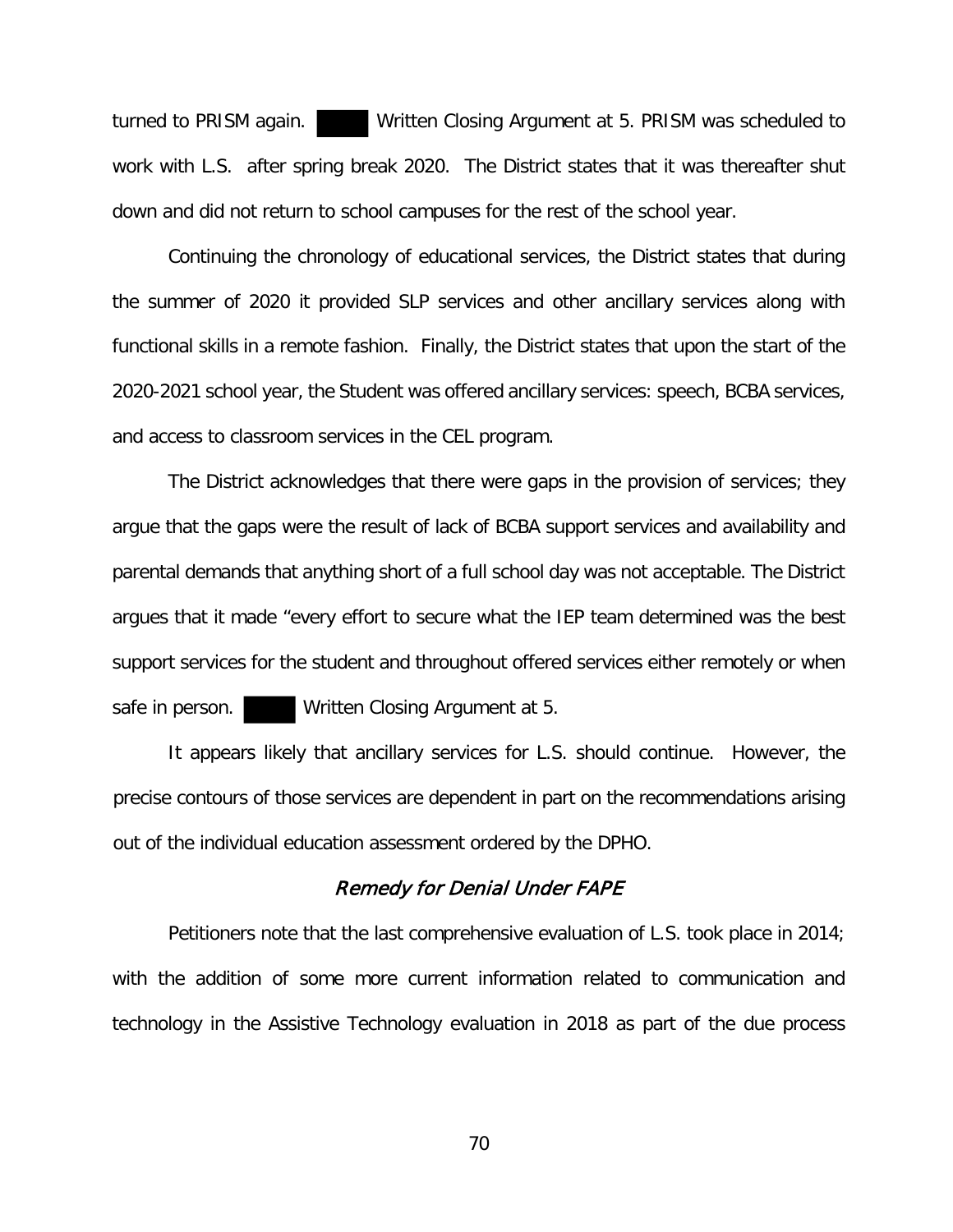turned to PRISM again. Written Closing Argument at 5. PRISM was scheduled to work with L.S. after spring break 2020. The District states that it was thereafter shut down and did not return to school campuses for the rest of the school year.

Continuing the chronology of educational services, the District states that during the summer of 2020 it provided SLP services and other ancillary services along with functional skills in a remote fashion. Finally, the District states that upon the start of the 2020-2021 school year, the Student was offered ancillary services: speech, BCBA services, and access to classroom services in the CEL program.

The District acknowledges that there were gaps in the provision of services; they argue that the gaps were the result of lack of BCBA support services and availability and parental demands that anything short of a full school day was not acceptable. The District argues that it made "every effort to secure what the IEP team determined was the best support services for the student and throughout offered services either remotely or when safe in person. Written Closing Argument at 5.

It appears likely that ancillary services for L.S. should continue. However, the precise contours of those services are dependent in part on the recommendations arising out of the individual education assessment ordered by the DPHO.

# Remedy for Denial Under FAPE

Petitioners note that the last comprehensive evaluation of L.S. took place in 2014; with the addition of some more current information related to communication and technology in the Assistive Technology evaluation in 2018 as part of the due process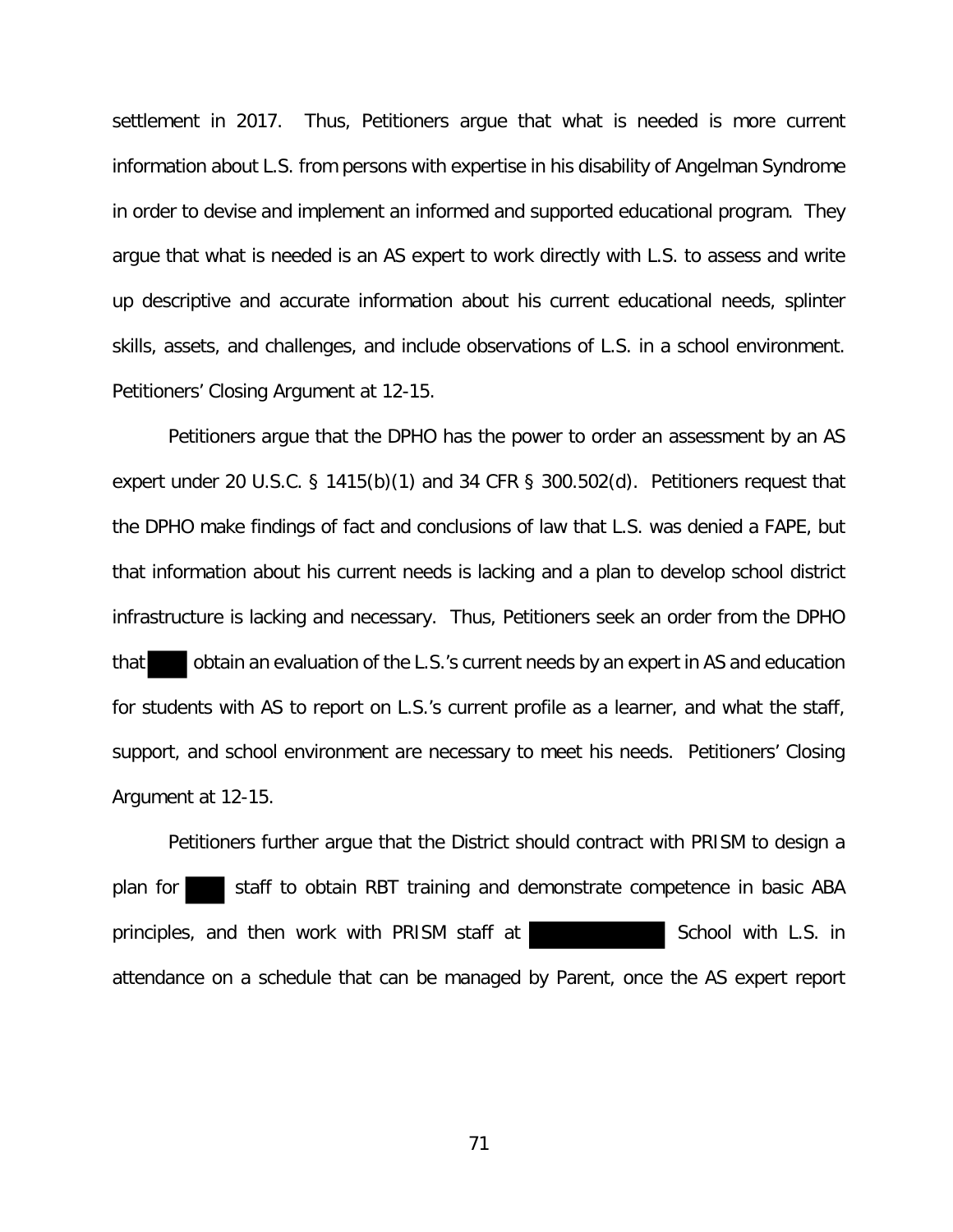settlement in 2017. Thus, Petitioners argue that what is needed is more current information about L.S. from persons with expertise in his disability of Angelman Syndrome in order to devise and implement an informed and supported educational program. They argue that what is needed is an AS expert to work directly with L.S. to assess and write up descriptive and accurate information about his current educational needs, splinter skills, assets, and challenges, and include observations of L.S. in a school environment. Petitioners' Closing Argument at 12-15.

Petitioners argue that the DPHO has the power to order an assessment by an AS expert under 20 U.S.C. § 1415(b)(1) and 34 CFR § 300.502(d). Petitioners request that the DPHO make findings of fact and conclusions of law that L.S. was denied a FAPE, but that information about his current needs is lacking and a plan to develop school district infrastructure is lacking and necessary. Thus, Petitioners seek an order from the DPHO that obtain an evaluation of the L.S.'s current needs by an expert in AS and education for students with AS to report on L.S.'s current profile as a learner, and what the staff, support, and school environment are necessary to meet his needs. Petitioners' Closing Argument at 12-15.

Petitioners further argue that the District should contract with PRISM to design a plan for staff to obtain RBT training and demonstrate competence in basic ABA principles, and then work with PRISM staff at The School with L.S. in attendance on a schedule that can be managed by Parent, once the AS expert report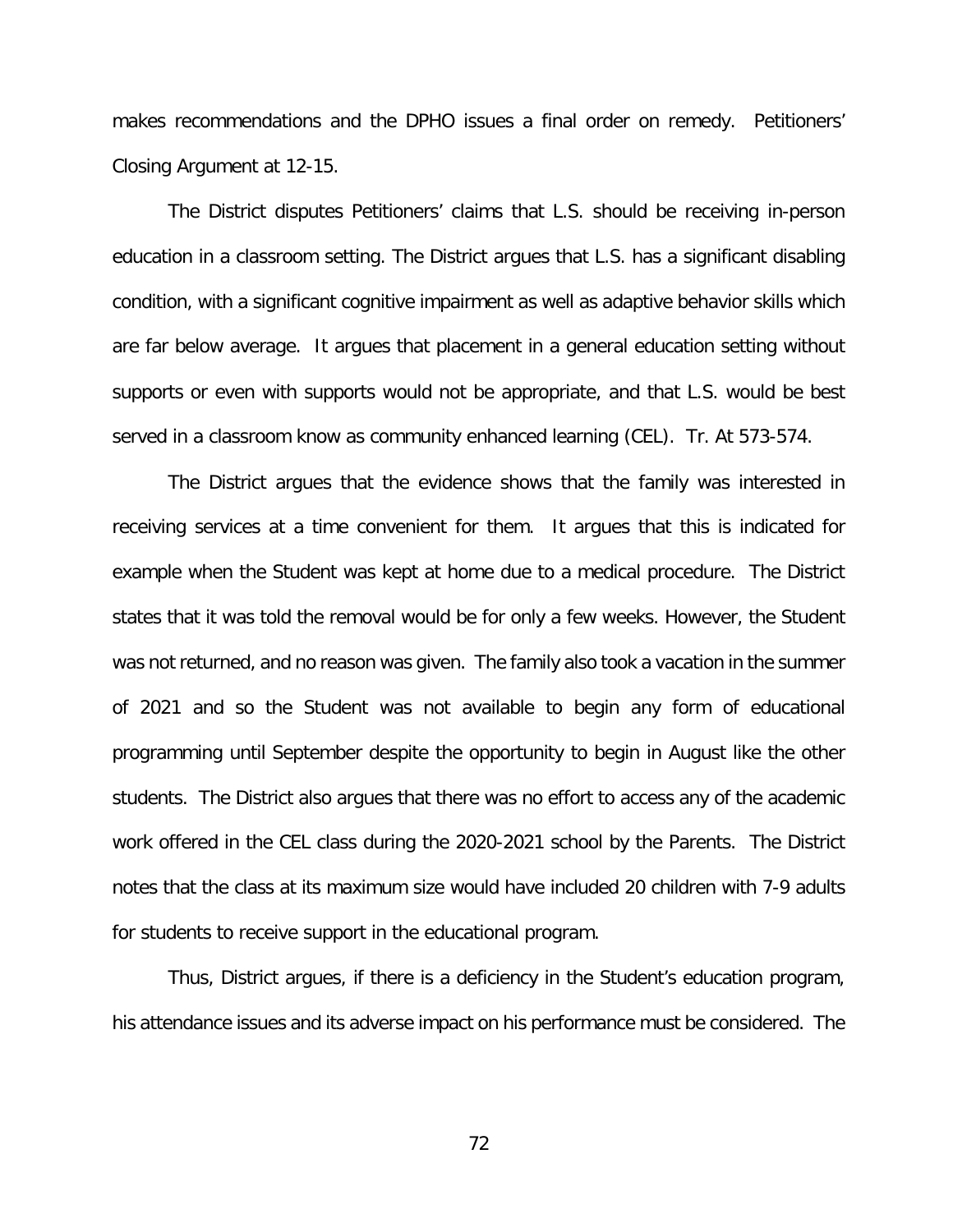makes recommendations and the DPHO issues a final order on remedy. Petitioners' Closing Argument at 12-15.

The District disputes Petitioners' claims that L.S. should be receiving in-person education in a classroom setting. The District argues that L.S. has a significant disabling condition, with a significant cognitive impairment as well as adaptive behavior skills which are far below average. It argues that placement in a general education setting without supports or even with supports would not be appropriate, and that L.S. would be best served in a classroom know as community enhanced learning (CEL). Tr. At 573-574.

The District argues that the evidence shows that the family was interested in receiving services at a time convenient for them. It argues that this is indicated for example when the Student was kept at home due to a medical procedure. The District states that it was told the removal would be for only a few weeks. However, the Student was not returned, and no reason was given. The family also took a vacation in the summer of 2021 and so the Student was not available to begin any form of educational programming until September despite the opportunity to begin in August like the other students. The District also argues that there was no effort to access any of the academic work offered in the CEL class during the 2020-2021 school by the Parents. The District notes that the class at its maximum size would have included 20 children with 7-9 adults for students to receive support in the educational program.

Thus, District argues, if there is a deficiency in the Student's education program, his attendance issues and its adverse impact on his performance must be considered. The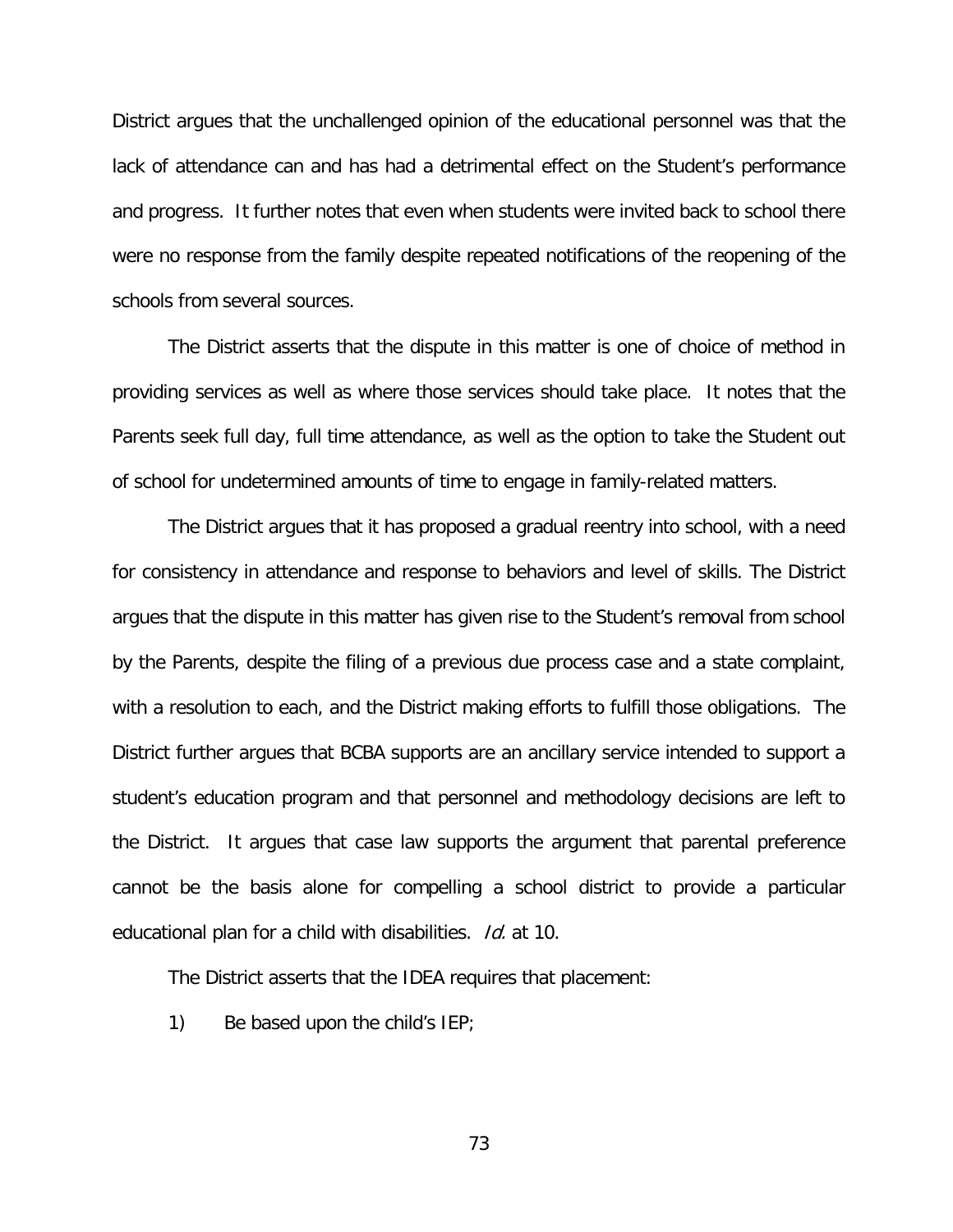District argues that the unchallenged opinion of the educational personnel was that the lack of attendance can and has had a detrimental effect on the Student's performance and progress. It further notes that even when students were invited back to school there were no response from the family despite repeated notifications of the reopening of the schools from several sources.

The District asserts that the dispute in this matter is one of choice of method in providing services as well as where those services should take place. It notes that the Parents seek full day, full time attendance, as well as the option to take the Student out of school for undetermined amounts of time to engage in family-related matters.

The District argues that it has proposed a gradual reentry into school, with a need for consistency in attendance and response to behaviors and level of skills. The District argues that the dispute in this matter has given rise to the Student's removal from school by the Parents, despite the filing of a previous due process case and a state complaint, with a resolution to each, and the District making efforts to fulfill those obligations. The District further argues that BCBA supports are an ancillary service intended to support a student's education program and that personnel and methodology decisions are left to the District. It argues that case law supports the argument that parental preference cannot be the basis alone for compelling a school district to provide a particular educational plan for a child with disabilities. Id. at 10.

The District asserts that the IDEA requires that placement:

1) Be based upon the child's IEP;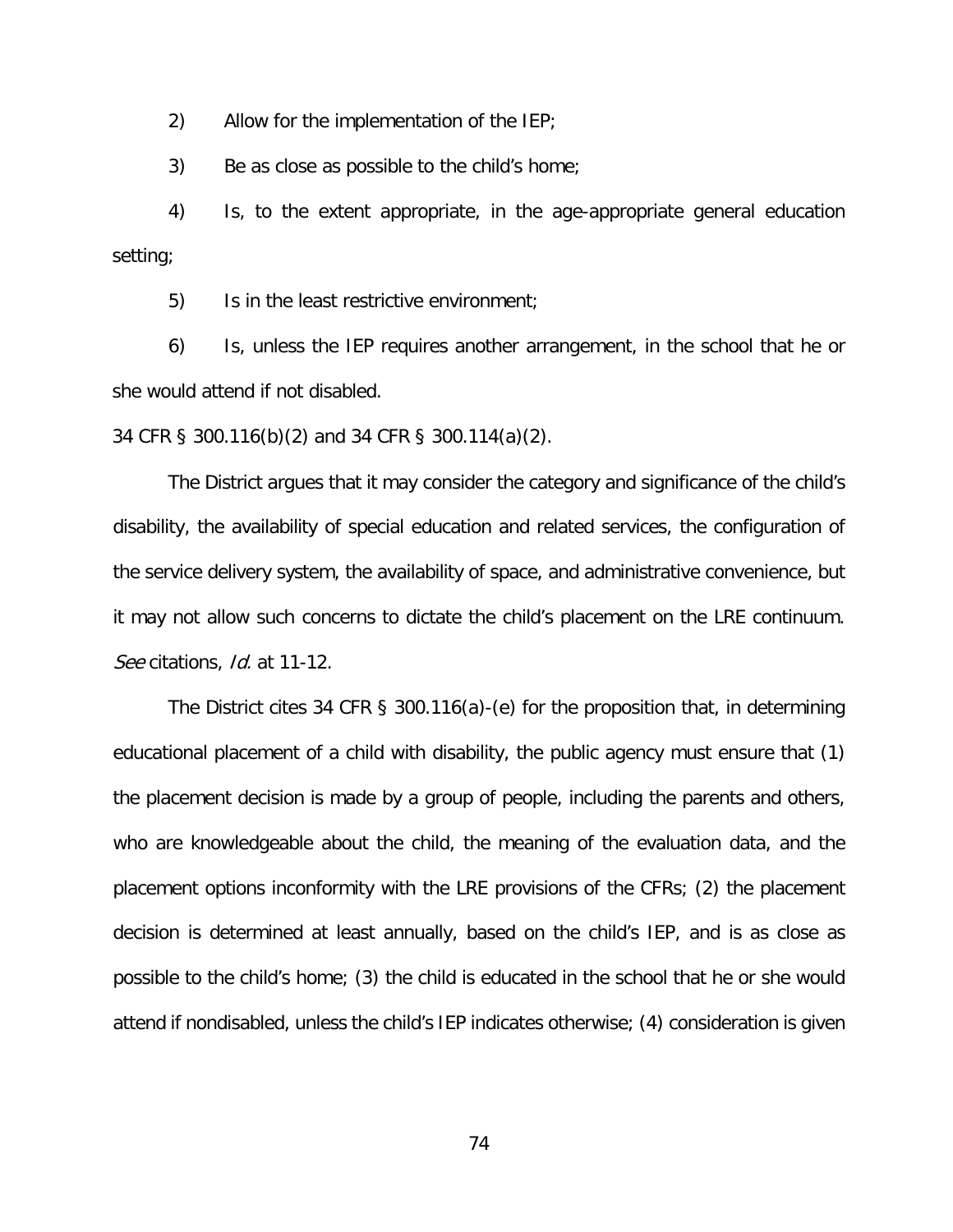2) Allow for the implementation of the IEP;

3) Be as close as possible to the child's home;

4) Is, to the extent appropriate, in the age-appropriate general education setting;

5) Is in the least restrictive environment;

6) Is, unless the IEP requires another arrangement, in the school that he or she would attend if not disabled.

34 CFR § 300.116(b)(2) and 34 CFR § 300.114(a)(2).

The District argues that it may consider the category and significance of the child's disability, the availability of special education and related services, the configuration of the service delivery system, the availability of space, and administrative convenience, but it may not allow such concerns to dictate the child's placement on the LRE continuum. See citations, *Id.* at 11-12.

The District cites 34 CFR § 300.116(a)-(e) for the proposition that, in determining educational placement of a child with disability, the public agency must ensure that (1) the placement decision is made by a group of people, including the parents and others, who are knowledgeable about the child, the meaning of the evaluation data, and the placement options inconformity with the LRE provisions of the CFRs; (2) the placement decision is determined at least annually, based on the child's IEP, and is as close as possible to the child's home; (3) the child is educated in the school that he or she would attend if nondisabled, unless the child's IEP indicates otherwise; (4) consideration is given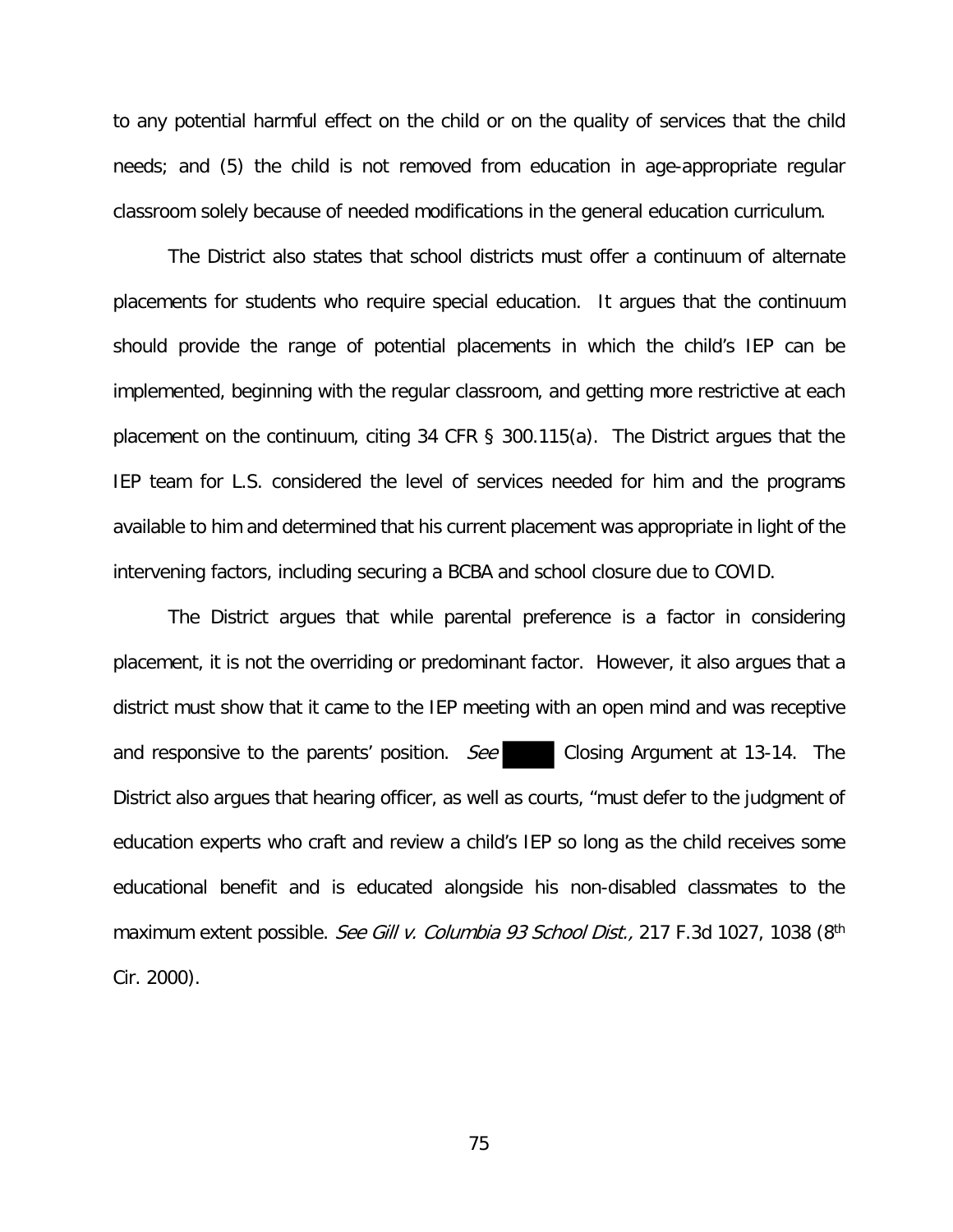to any potential harmful effect on the child or on the quality of services that the child needs; and (5) the child is not removed from education in age-appropriate regular classroom solely because of needed modifications in the general education curriculum.

The District also states that school districts must offer a continuum of alternate placements for students who require special education. It argues that the continuum should provide the range of potential placements in which the child's IEP can be implemented, beginning with the regular classroom, and getting more restrictive at each placement on the continuum, citing 34 CFR § 300.115(a). The District argues that the IEP team for L.S. considered the level of services needed for him and the programs available to him and determined that his current placement was appropriate in light of the intervening factors, including securing a BCBA and school closure due to COVID.

The District argues that while parental preference is a factor in considering placement, it is not the overriding or predominant factor. However, it also argues that a district must show that it came to the IEP meeting with an open mind and was receptive and responsive to the parents' position. See Closing Argument at 13-14. The District also argues that hearing officer, as well as courts, "must defer to the judgment of education experts who craft and review a child's IEP so long as the child receives some educational benefit and is educated alongside his non-disabled classmates to the maximum extent possible. See Gill v. Columbia 93 School Dist., 217 F.3d 1027, 1038 (8<sup>th</sup> Cir. 2000).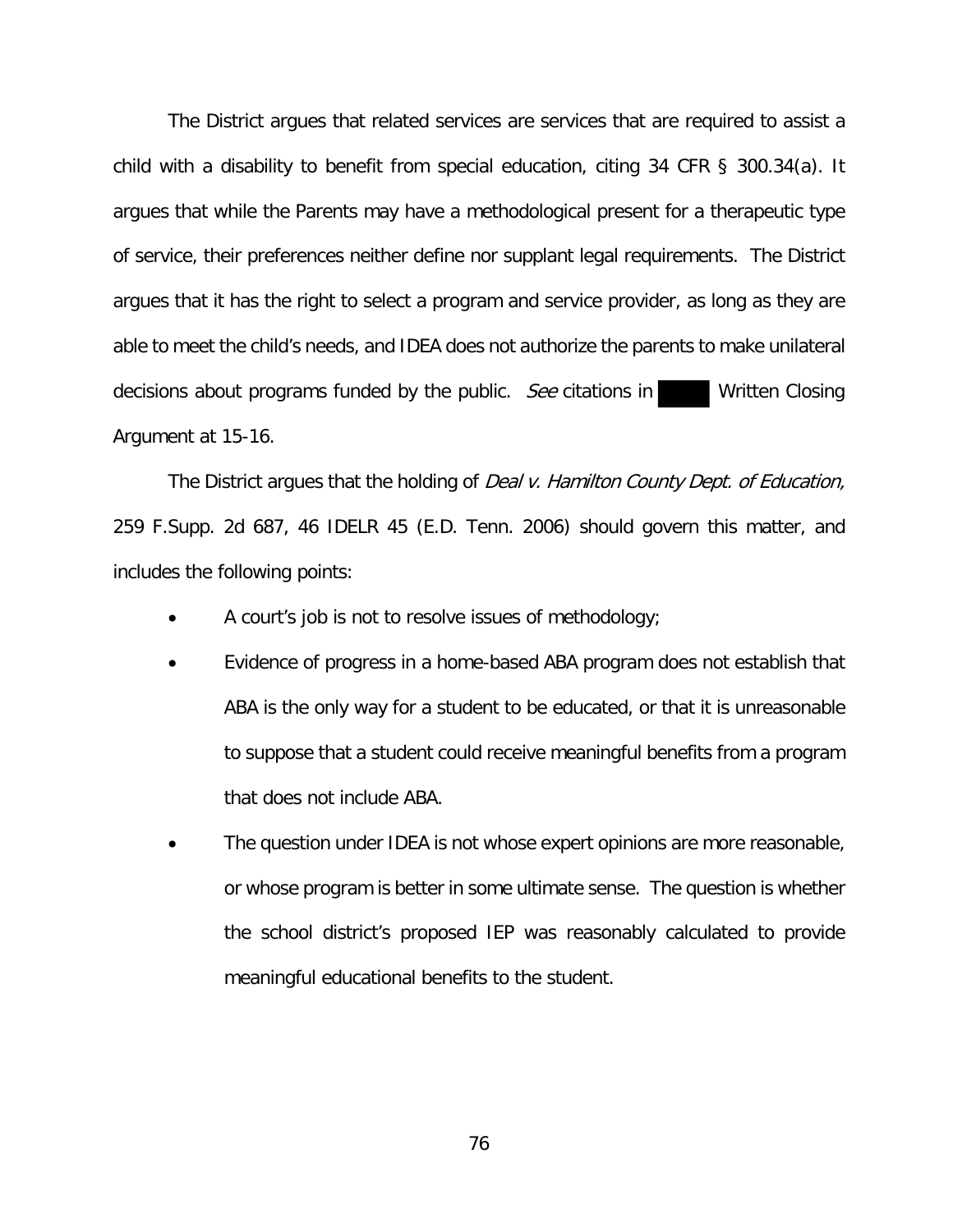The District argues that related services are services that are required to assist a child with a disability to benefit from special education, citing 34 CFR § 300.34(a). It argues that while the Parents may have a methodological present for a therapeutic type of service, their preferences neither define nor supplant legal requirements. The District argues that it has the right to select a program and service provider, as long as they are able to meet the child's needs, and IDEA does not authorize the parents to make unilateral decisions about programs funded by the public. See citations in Written Closing Argument at 15-16.

The District argues that the holding of *Deal v. Hamilton County Dept. of Education*, 259 F.Supp. 2d 687, 46 IDELR 45 (E.D. Tenn. 2006) should govern this matter, and includes the following points:

- A court's job is not to resolve issues of methodology;
- Evidence of progress in a home-based ABA program does not establish that ABA is the only way for a student to be educated, or that it is unreasonable to suppose that a student could receive meaningful benefits from a program that does not include ABA.
- The question under IDEA is not whose expert opinions are more reasonable, or whose program is better in some ultimate sense. The question is whether the school district's proposed IEP was reasonably calculated to provide meaningful educational benefits to the student.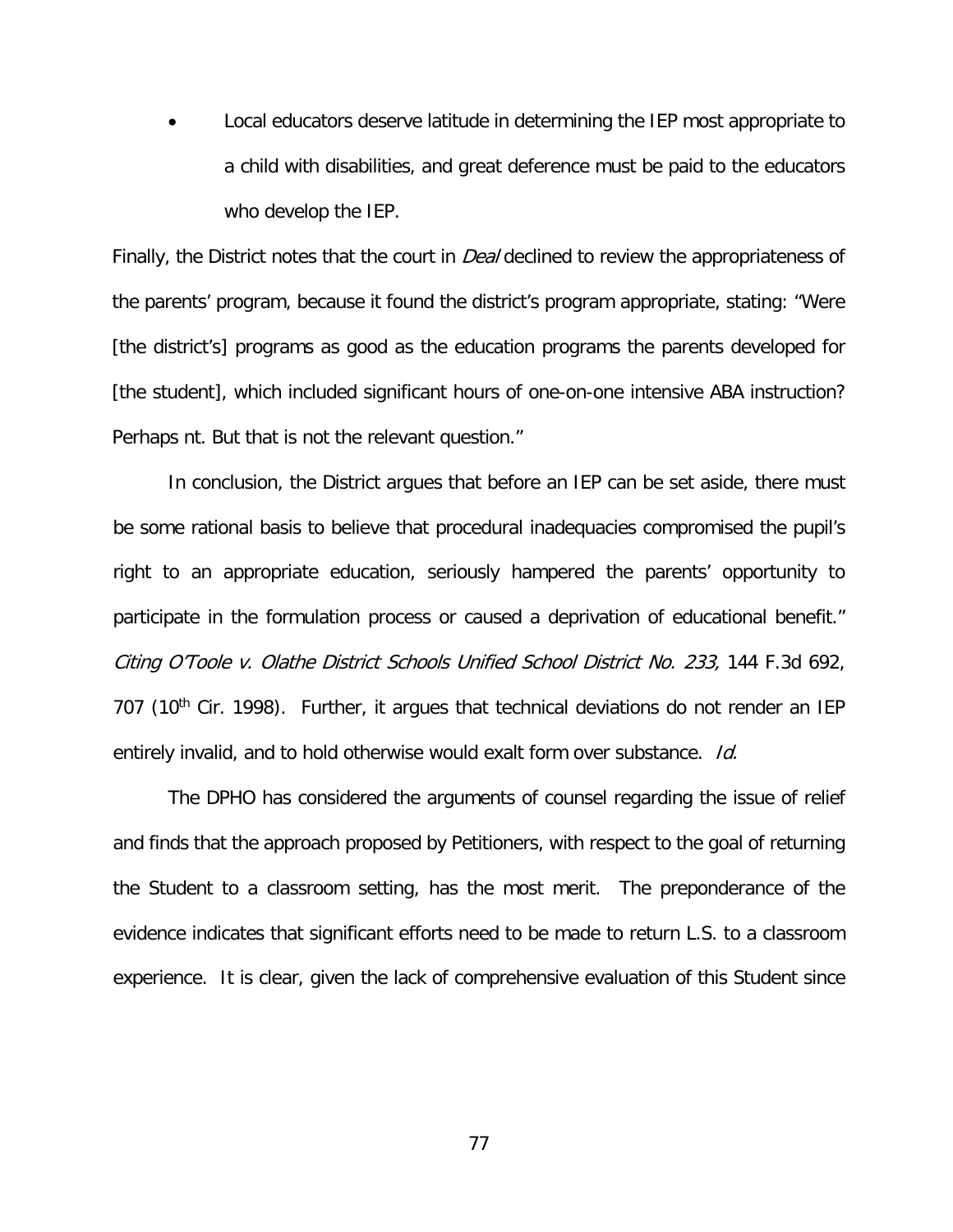• Local educators deserve latitude in determining the IEP most appropriate to a child with disabilities, and great deference must be paid to the educators who develop the IEP.

Finally, the District notes that the court in *Deal* declined to review the appropriateness of the parents' program, because it found the district's program appropriate, stating: "Were [the district's] programs as good as the education programs the parents developed for [the student], which included significant hours of one-on-one intensive ABA instruction? Perhaps nt. But that is not the relevant question."

In conclusion, the District argues that before an IEP can be set aside, there must be some rational basis to believe that procedural inadequacies compromised the pupil's right to an appropriate education, seriously hampered the parents' opportunity to participate in the formulation process or caused a deprivation of educational benefit." Citing O'Toole v. Olathe District Schools Unified School District No. 233, 144 F.3d 692, 707 (10<sup>th</sup> Cir. 1998). Further, it argues that technical deviations do not render an IEP entirely invalid, and to hold otherwise would exalt form over substance. Id.

The DPHO has considered the arguments of counsel regarding the issue of relief and finds that the approach proposed by Petitioners, with respect to the goal of returning the Student to a classroom setting, has the most merit. The preponderance of the evidence indicates that significant efforts need to be made to return L.S. to a classroom experience. It is clear, given the lack of comprehensive evaluation of this Student since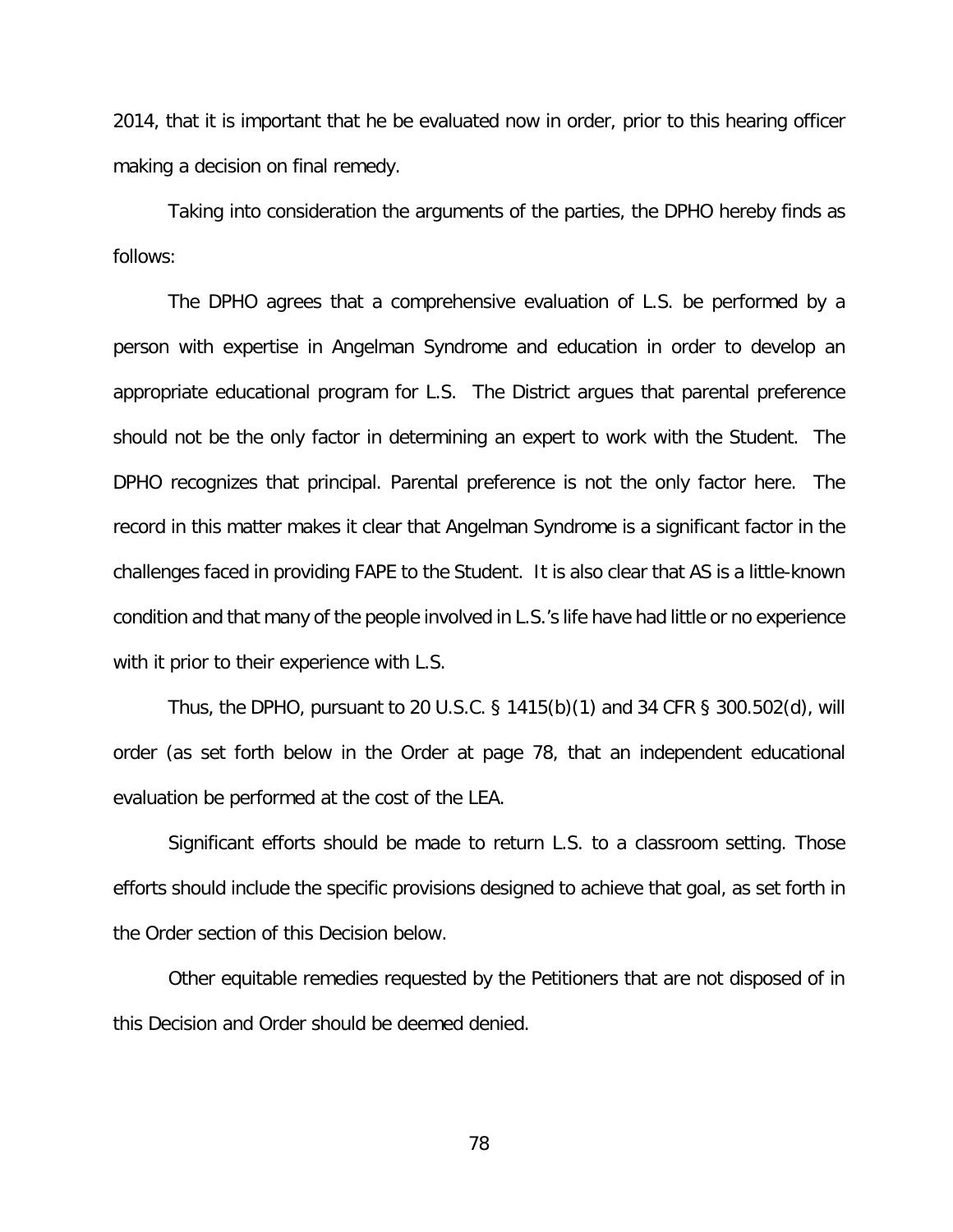2014, that it is important that he be evaluated now in order, prior to this hearing officer making a decision on final remedy.

Taking into consideration the arguments of the parties, the DPHO hereby finds as follows:

The DPHO agrees that a comprehensive evaluation of L.S. be performed by a person with expertise in Angelman Syndrome and education in order to develop an appropriate educational program for L.S. The District argues that parental preference should not be the only factor in determining an expert to work with the Student. The DPHO recognizes that principal. Parental preference is not the only factor here. The record in this matter makes it clear that Angelman Syndrome is a significant factor in the challenges faced in providing FAPE to the Student. It is also clear that AS is a little-known condition and that many of the people involved in L.S.'s life have had little or no experience with it prior to their experience with L.S.

Thus, the DPHO, pursuant to 20 U.S.C. § 1415(b)(1) and 34 CFR § 300.502(d), will order (as set forth below in the Order at page 78, that an independent educational evaluation be performed at the cost of the LEA.

Significant efforts should be made to return L.S. to a classroom setting. Those efforts should include the specific provisions designed to achieve that goal, as set forth in the Order section of this Decision below.

Other equitable remedies requested by the Petitioners that are not disposed of in this Decision and Order should be deemed denied.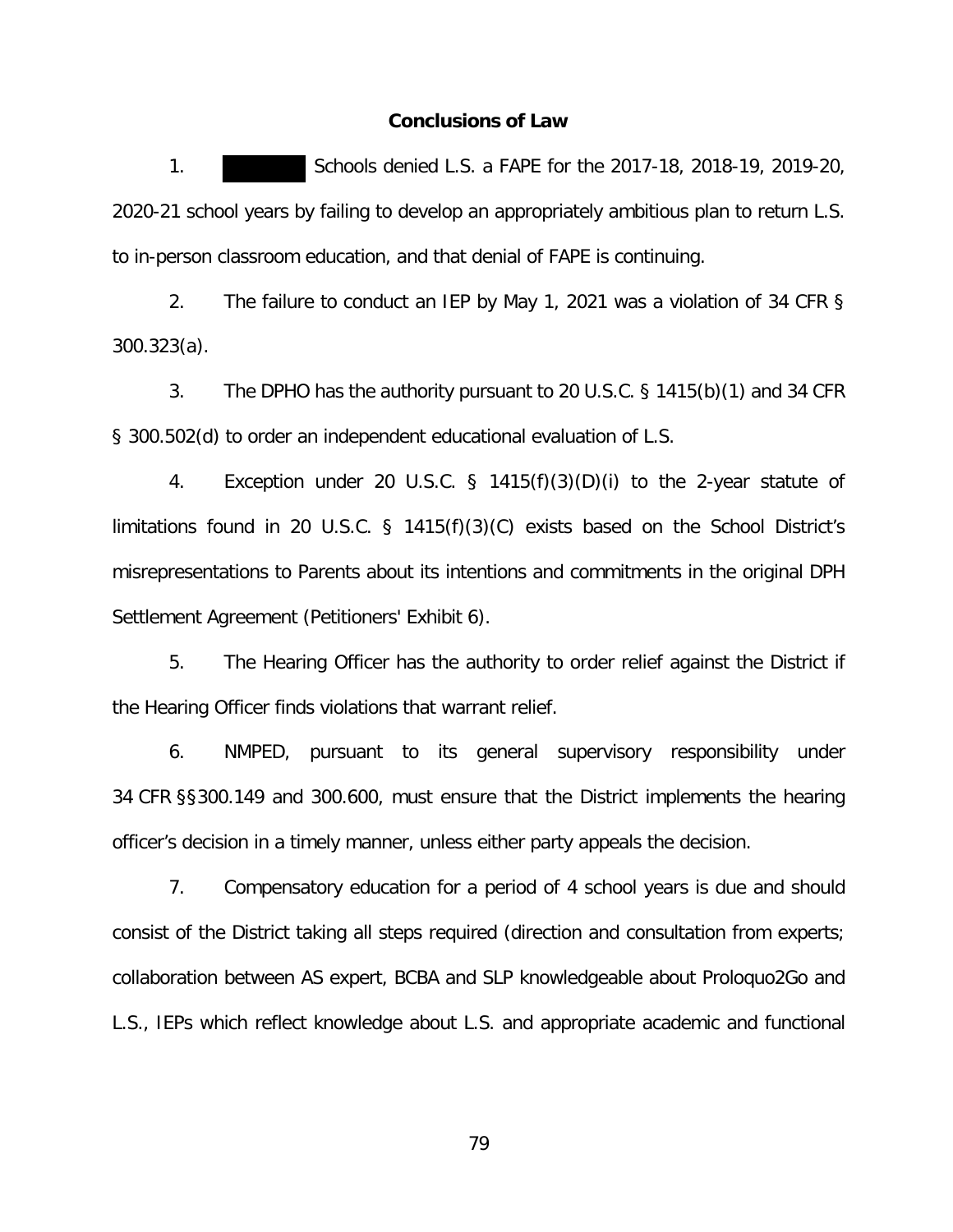## **Conclusions of Law**

1. Schools denied L.S. a FAPE for the 2017-18, 2018-19, 2019-20, 2020-21 school years by failing to develop an appropriately ambitious plan to return L.S. to in-person classroom education, and that denial of FAPE is continuing.

2. The failure to conduct an IEP by May 1, 2021 was a violation of 34 CFR § 300.323(a).

3. The DPHO has the authority pursuant to 20 U.S.C. § 1415(b)(1) and 34 CFR § 300.502(d) to order an independent educational evaluation of L.S.

4. Exception under 20 U.S.C. § 1415(f)(3)(D)(i) to the 2-year statute of limitations found in 20 U.S.C. § 1415(f)(3)(C) exists based on the School District's misrepresentations to Parents about its intentions and commitments in the original DPH Settlement Agreement (Petitioners' Exhibit 6).

5. The Hearing Officer has the authority to order relief against the District if the Hearing Officer finds violations that warrant relief.

6. NMPED, pursuant to its general supervisory responsibility under 34 CFR §§300.149 and 300.600, must ensure that the District implements the hearing officer's decision in a timely manner, unless either party appeals the decision.

7. Compensatory education for a period of 4 school years is due and should consist of the District taking all steps required (direction and consultation from experts; collaboration between AS expert, BCBA and SLP knowledgeable about Proloquo2Go and L.S., IEPs which reflect knowledge about L.S. and appropriate academic and functional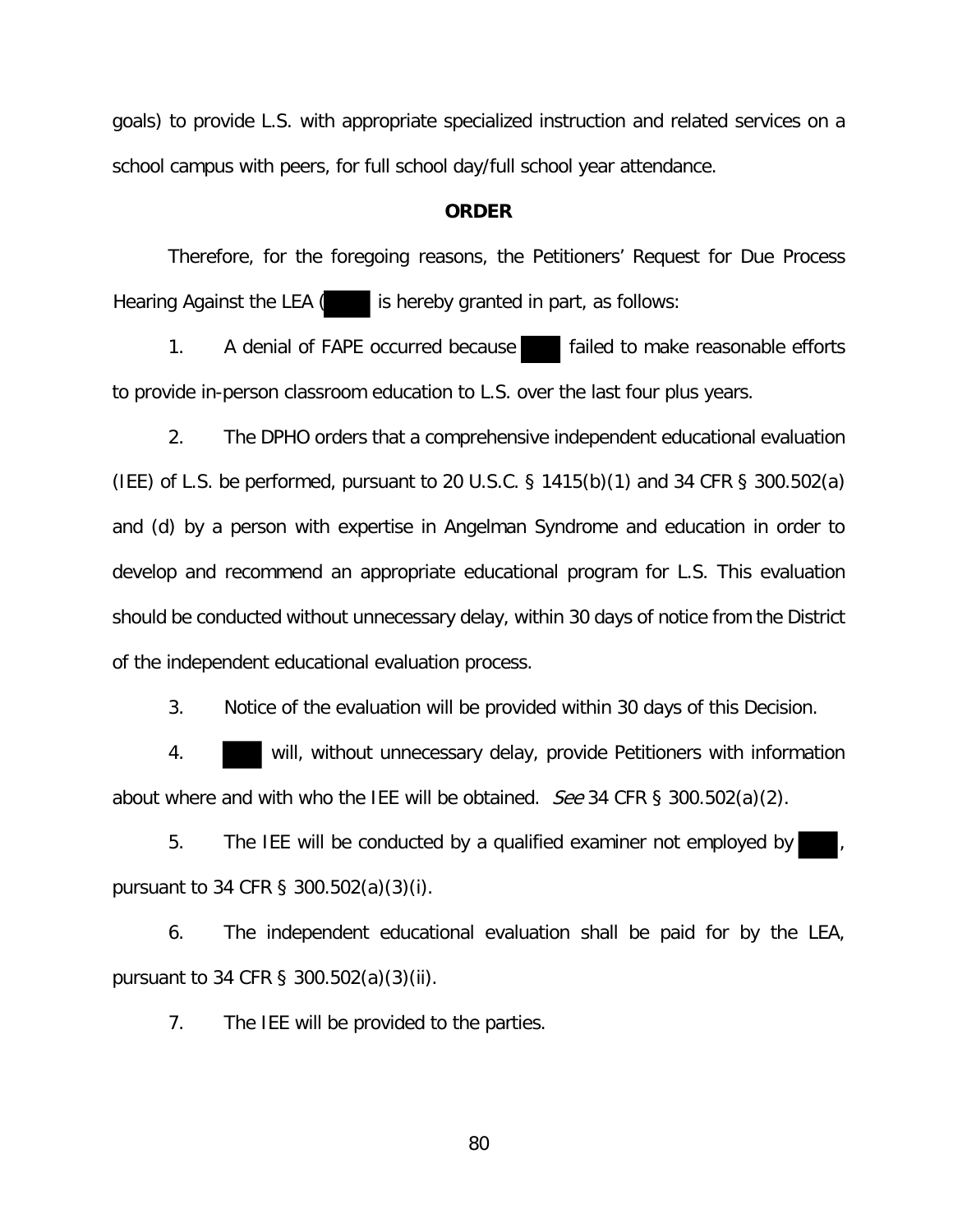goals) to provide L.S. with appropriate specialized instruction and related services on a school campus with peers, for full school day/full school year attendance.

## **ORDER**

Therefore, for the foregoing reasons, the Petitioners' Request for Due Process Hearing Against the LEA  $\left($  is hereby granted in part, as follows:

1. A denial of FAPE occurred because failed to make reasonable efforts to provide in-person classroom education to L.S. over the last four plus years.

2. The DPHO orders that a comprehensive independent educational evaluation (IEE) of L.S. be performed, pursuant to 20 U.S.C. § 1415(b)(1) and 34 CFR § 300.502(a) and (d) by a person with expertise in Angelman Syndrome and education in order to develop and recommend an appropriate educational program for L.S. This evaluation should be conducted without unnecessary delay, within 30 days of notice from the District of the independent educational evaluation process.

3. Notice of the evaluation will be provided within 30 days of this Decision.

4. will, without unnecessary delay, provide Petitioners with information about where and with who the IEE will be obtained. See 34 CFR § 300.502(a)(2).

5. The IEE will be conducted by a qualified examiner not employed by pursuant to 34 CFR § 300.502(a)(3)(i).

6. The independent educational evaluation shall be paid for by the LEA, pursuant to 34 CFR § 300.502(a)(3)(ii).

7. The IEE will be provided to the parties.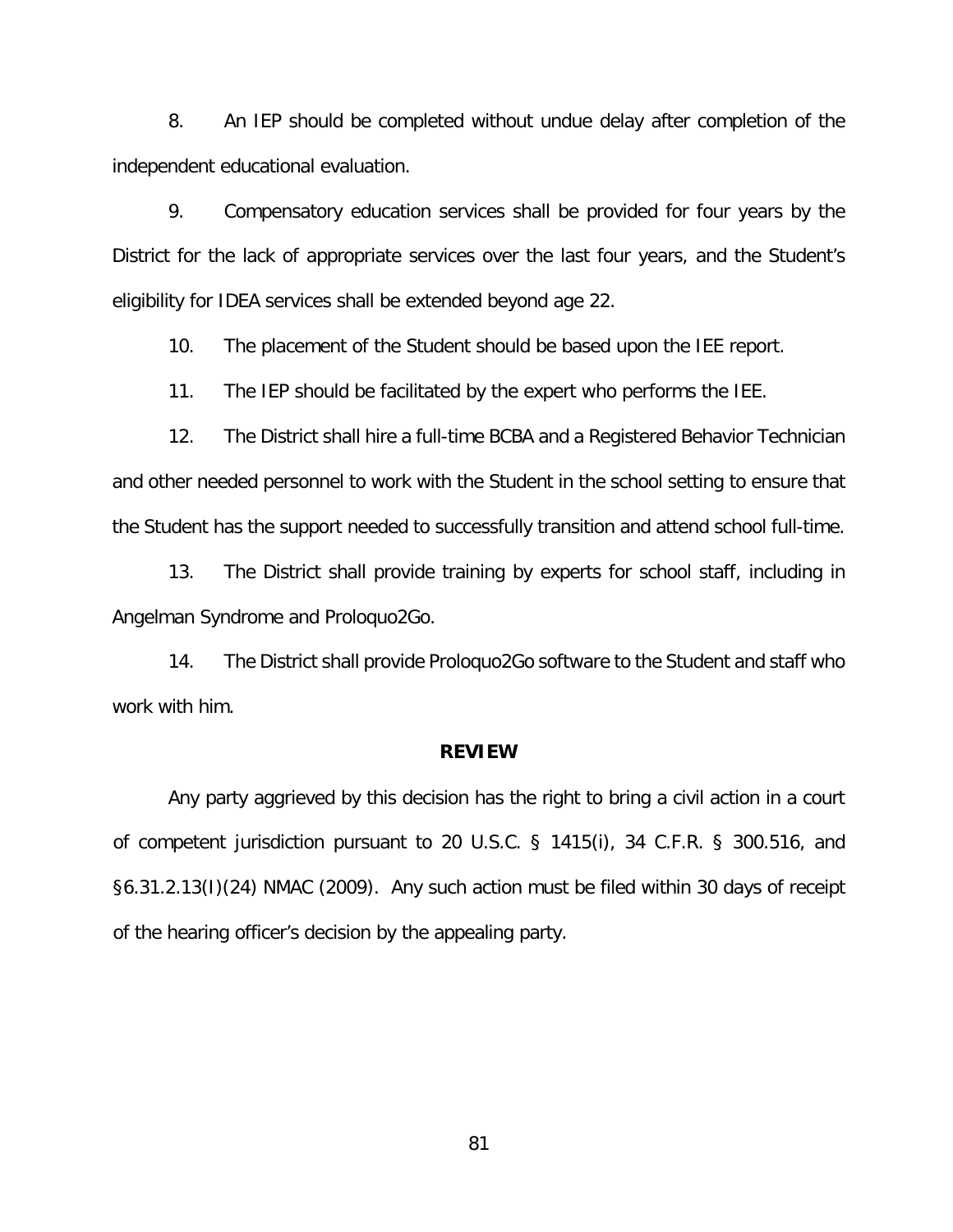8. An IEP should be completed without undue delay after completion of the independent educational evaluation.

9. Compensatory education services shall be provided for four years by the District for the lack of appropriate services over the last four years, and the Student's eligibility for IDEA services shall be extended beyond age 22.

10. The placement of the Student should be based upon the IEE report.

11. The IEP should be facilitated by the expert who performs the IEE.

12. The District shall hire a full-time BCBA and a Registered Behavior Technician and other needed personnel to work with the Student in the school setting to ensure that the Student has the support needed to successfully transition and attend school full-time.

13. The District shall provide training by experts for school staff, including in Angelman Syndrome and Proloquo2Go.

14. The District shall provide Proloquo2Go software to the Student and staff who work with him.

## **REVIEW**

 Any party aggrieved by this decision has the right to bring a civil action in a court of competent jurisdiction pursuant to 20 U.S.C. § 1415(i), 34 C.F.R. § 300.516, and §6.31.2.13(I)(24) NMAC (2009). Any such action must be filed within 30 days of receipt of the hearing officer's decision by the appealing party.